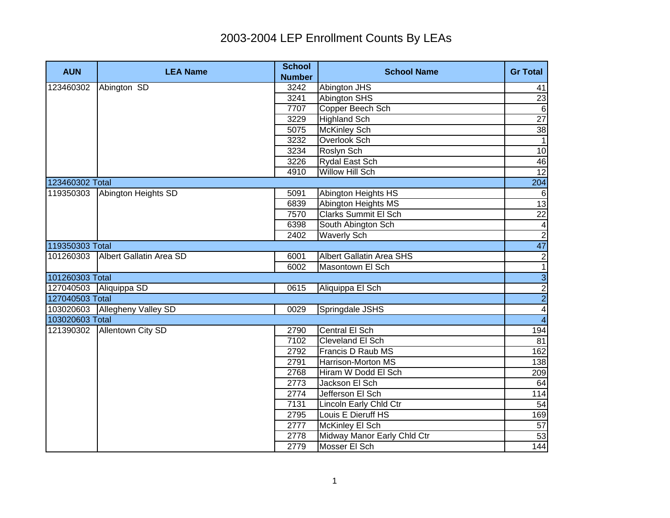| <b>AUN</b>      | <b>LEA Name</b>               | <b>School</b><br><b>Number</b> | <b>School Name</b>          | <b>Gr Total</b>         |
|-----------------|-------------------------------|--------------------------------|-----------------------------|-------------------------|
| 123460302       | Abington SD                   | 3242                           | Abington JHS                | 41                      |
|                 |                               | 3241                           | <b>Abington SHS</b>         | $\overline{23}$         |
|                 |                               | 7707                           | Copper Beech Sch            | $\overline{6}$          |
|                 |                               | 3229                           | <b>Highland Sch</b>         | 27                      |
|                 |                               | 5075                           | <b>McKinley Sch</b>         | 38                      |
|                 |                               | 3232                           | Overlook Sch                | $\overline{1}$          |
|                 |                               | 3234                           | Roslyn Sch                  | 10                      |
|                 |                               | 3226                           | Rydal East Sch              | 46                      |
|                 |                               | 4910                           | Willow Hill Sch             | 12                      |
| 123460302 Total |                               |                                |                             | 204                     |
| 119350303       | Abington Heights SD           | 5091                           | Abington Heights HS         | 6                       |
|                 |                               | 6839                           | Abington Heights MS         | 13                      |
|                 |                               | 7570                           | <b>Clarks Summit El Sch</b> | $\overline{22}$         |
|                 |                               | 6398                           | South Abington Sch          |                         |
|                 |                               | 2402                           | <b>Waverly Sch</b>          | $\frac{4}{2}$           |
| 119350303 Total |                               |                                |                             | 47                      |
| 101260303       | Albert Gallatin Area SD       | 6001                           | Albert Gallatin Area SHS    | $\overline{2}$          |
|                 |                               | 6002                           | Masontown El Sch            | $\overline{1}$          |
| 101260303 Total |                               |                                |                             | $\frac{1}{2}$           |
| 127040503       | Aliquippa SD                  | 0615                           | Aliquippa El Sch            |                         |
| 127040503 Total |                               |                                |                             |                         |
|                 | 103020603 Allegheny Valley SD | 0029                           | Springdale JSHS             | $\overline{\mathbf{4}}$ |
| 103020603 Total |                               |                                |                             | $\overline{4}$          |
|                 | 121390302 Allentown City SD   | 2790                           | Central El Sch              | 194                     |
|                 |                               | 7102                           | Cleveland El Sch            | 81                      |
|                 |                               | 2792                           | Francis D Raub MS           | 162                     |
|                 |                               | 2791                           | Harrison-Morton MS          | 138                     |
|                 |                               | 2768                           | Hiram W Dodd El Sch         | 209                     |
|                 |                               | 2773                           | Jackson El Sch              | 64                      |
|                 |                               | 2774                           | Jefferson El Sch            | 114                     |
|                 |                               | 7131                           | Lincoln Early Chld Ctr      | 54                      |
|                 |                               | 2795                           | Louis E Dieruff HS          | 169                     |
|                 |                               | 2777                           | <b>McKinley El Sch</b>      | $\overline{57}$         |
|                 |                               | 2778                           | Midway Manor Early Chld Ctr | 53                      |
|                 |                               | 2779                           | Mosser El Sch               | 144                     |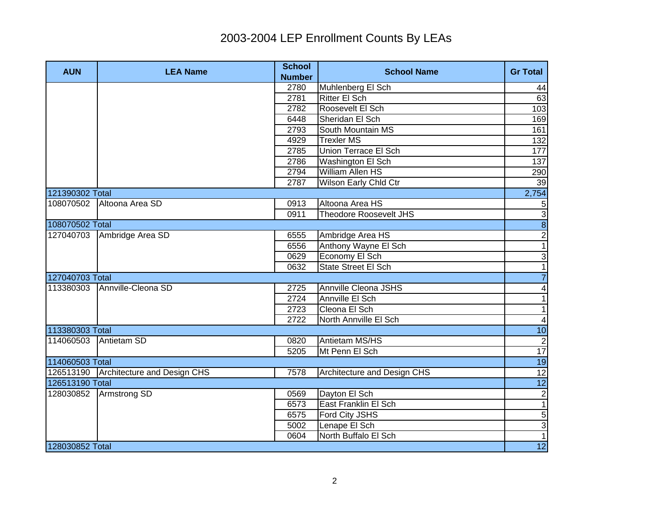| <b>AUN</b>      | <b>LEA Name</b>                       | <b>School</b><br><b>Number</b> | <b>School Name</b>            | <b>Gr Total</b>          |
|-----------------|---------------------------------------|--------------------------------|-------------------------------|--------------------------|
|                 |                                       | 2780                           | Muhlenberg El Sch             | 44                       |
|                 |                                       | 2781                           | <b>Ritter El Sch</b>          | 63                       |
|                 |                                       | 2782                           | Roosevelt El Sch              | 103                      |
|                 |                                       | 6448                           | Sheridan El Sch               | 169                      |
|                 |                                       | 2793                           | South Mountain MS             | 161                      |
|                 |                                       | 4929                           | <b>Trexler MS</b>             | 132                      |
|                 |                                       | 2785                           | Union Terrace El Sch          | 177                      |
|                 |                                       | 2786                           | Washington El Sch             | 137                      |
|                 |                                       | 2794                           | William Allen HS              | 290                      |
|                 |                                       | 2787                           | Wilson Early Chld Ctr         | 39                       |
| 121390302 Total |                                       |                                |                               | 2,754                    |
| 108070502       | Altoona Area SD                       | 0913                           | Altoona Area HS               | $\sqrt{5}$               |
|                 |                                       | 0911                           | <b>Theodore Roosevelt JHS</b> |                          |
| 108070502 Total |                                       |                                |                               | $\frac{1}{8}$            |
|                 | 127040703 Ambridge Area SD            | 6555                           | Ambridge Area HS              | $\frac{2}{1}$            |
|                 |                                       | 6556                           | Anthony Wayne El Sch          |                          |
|                 |                                       | 0629                           | Economy El Sch                | $\frac{3}{1}$            |
|                 |                                       | 0632                           | State Street El Sch           |                          |
| 127040703 Total |                                       |                                |                               | $\overline{7}$           |
|                 | 113380303 Annville-Cleona SD          | 2725                           | Annville Cleona JSHS          | $\overline{\mathbf{A}}$  |
|                 |                                       | 2724                           | Annville El Sch               | $\overline{\phantom{0}}$ |
|                 |                                       | 2723                           | Cleona El Sch                 | $\overline{\phantom{0}}$ |
|                 |                                       | 2722                           | North Annville El Sch         | $\blacktriangle$         |
| 113380303 Total |                                       |                                |                               | 10                       |
| 114060503       | Antietam SD                           | 0820                           | Antietam MS/HS                | $\overline{c}$           |
|                 |                                       | 5205                           | Mt Penn El Sch                | 17                       |
| 114060503 Total |                                       |                                |                               | 19                       |
|                 | 126513190 Architecture and Design CHS | 7578                           | Architecture and Design CHS   | 12                       |
| 126513190 Total |                                       |                                |                               | 12                       |
|                 | 128030852 Armstrong SD                | 0569                           | Dayton El Sch                 | $\overline{2}$           |
|                 |                                       | 6573                           | East Franklin El Sch          | $\overline{1}$           |
|                 |                                       | 6575                           | Ford City JSHS                | $\overline{5}$           |
|                 |                                       | 5002                           | Lenape El Sch                 | $\frac{3}{1}$            |
|                 |                                       | 0604                           | North Buffalo El Sch          |                          |
| 128030852 Total |                                       |                                |                               | 12                       |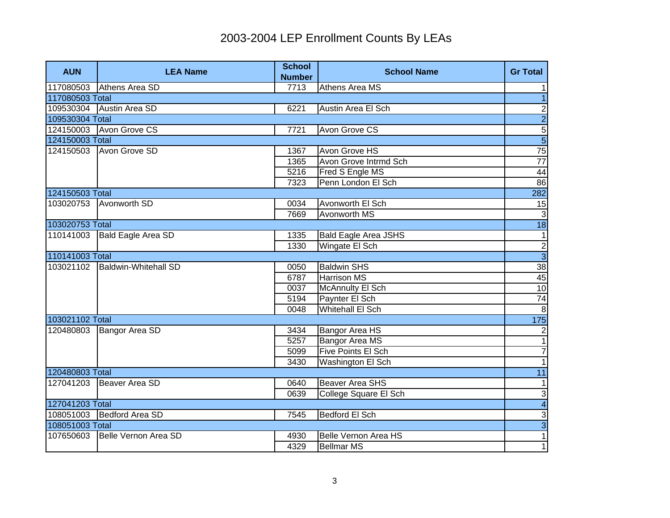| <b>AUN</b>      | <b>LEA Name</b>                  | <b>School</b><br><b>Number</b> | <b>School Name</b>          | <b>Gr Total</b> |
|-----------------|----------------------------------|--------------------------------|-----------------------------|-----------------|
| 117080503       | Athens Area SD                   | 7713                           | Athens Area MS              | $\mathbf{1}$    |
| 117080503 Total |                                  |                                |                             | $\overline{1}$  |
|                 | 109530304 Austin Area SD         | 6221                           | Austin Area El Sch          | $\overline{c}$  |
| 109530304 Total |                                  |                                |                             | $\overline{2}$  |
|                 | 124150003 Avon Grove CS          | 7721                           | Avon Grove CS               | $\overline{5}$  |
| 124150003 Total |                                  |                                |                             | $\overline{5}$  |
|                 | 124150503 Avon Grove SD          | 1367                           | Avon Grove HS               | 75              |
|                 |                                  | 1365                           | Avon Grove Intrmd Sch       | $\overline{77}$ |
|                 |                                  | 5216                           | Fred S Engle MS             | 44              |
|                 |                                  | 7323                           | Penn London El Sch          | 86              |
| 124150503 Total |                                  |                                |                             | 282             |
| 103020753       | Avonworth SD                     | 0034                           | Avonworth El Sch            | 15              |
|                 |                                  | 7669                           | Avonworth MS                | $\overline{3}$  |
| 103020753 Total |                                  |                                |                             | $\overline{18}$ |
| 110141003       | <b>Bald Eagle Area SD</b>        | 1335                           | <b>Bald Eagle Area JSHS</b> | $\mathbf{1}$    |
|                 |                                  | 1330                           | Wingate El Sch              | ا دا            |
| 110141003 Total |                                  |                                |                             |                 |
|                 | 103021102   Baldwin-Whitehall SD | 0050                           | <b>Baldwin SHS</b>          | 38              |
|                 |                                  | 6787                           | <b>Harrison MS</b>          | 45              |
|                 |                                  | 0037                           | <b>McAnnulty El Sch</b>     | 10              |
|                 |                                  | 5194                           | Paynter El Sch              | 74              |
|                 |                                  | 0048                           | Whitehall El Sch            | $\infty$        |
| 103021102 Total |                                  |                                |                             | 175             |
| 120480803       | Bangor Area SD                   | 3434                           | <b>Bangor Area HS</b>       | $\overline{2}$  |
|                 |                                  | 5257                           | <b>Bangor Area MS</b>       | $\overline{1}$  |
|                 |                                  | 5099                           | <b>Five Points El Sch</b>   | $\overline{7}$  |
|                 |                                  | 3430                           | Washington El Sch           | $\overline{1}$  |
| 120480803 Total |                                  |                                |                             | 11              |
| 127041203       | Beaver Area SD                   | 0640                           | <b>Beaver Area SHS</b>      | $\mathbf{1}$    |
|                 |                                  | 0639                           | College Square El Sch       | دن              |
| 127041203 Total |                                  |                                |                             | $\overline{4}$  |
|                 | 108051003 Bedford Area SD        | 7545                           | Bedford El Sch              | $\mathbf{3}$    |
| 108051003 Total |                                  |                                |                             | $\overline{3}$  |
| 107650603       | Belle Vernon Area SD             | 4930                           | <b>Belle Vernon Area HS</b> | $\overline{1}$  |
|                 |                                  | 4329                           | <b>Bellmar MS</b>           | $\overline{1}$  |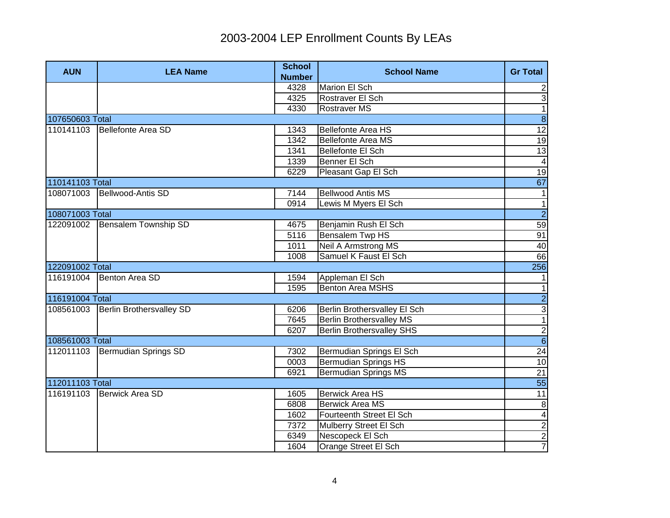| <b>AUN</b>      | <b>LEA Name</b>                 | <b>School</b><br><b>Number</b> | <b>School Name</b>               | <b>Gr Total</b>         |
|-----------------|---------------------------------|--------------------------------|----------------------------------|-------------------------|
|                 |                                 | 4328                           | Marion El Sch                    | $\mathbf{2}$            |
|                 |                                 | 4325                           | Rostraver El Sch                 | دن                      |
|                 |                                 | 4330                           | <b>Rostraver MS</b>              | $\overline{1}$          |
| 107650603 Total |                                 |                                |                                  | $\overline{8}$          |
| 110141103       | Bellefonte Area SD              | 1343                           | Bellefonte Area HS               | 12                      |
|                 |                                 | 1342                           | <b>Bellefonte Area MS</b>        | 19                      |
|                 |                                 | 1341                           | Bellefonte El Sch                | $\overline{13}$         |
|                 |                                 | 1339                           | Benner El Sch                    | $\blacktriangle$        |
|                 |                                 | 6229                           | Pleasant Gap El Sch              | 19                      |
| 110141103 Total |                                 |                                |                                  | 67                      |
| 108071003       | Bellwood-Antis SD               | 7144                           | <b>Bellwood Antis MS</b>         | $\mathbf 1$             |
|                 |                                 | 0914                           | Lewis M Myers El Sch             | $\mathbf{1}$            |
| 108071003 Total |                                 |                                |                                  | $\overline{2}$          |
| 122091002       | Bensalem Township SD            | 4675                           | Benjamin Rush El Sch             | 59                      |
|                 |                                 | 5116                           | Bensalem Twp HS                  | 91                      |
|                 |                                 | 1011                           | Neil A Armstrong MS              | 40                      |
|                 |                                 | 1008                           | Samuel K Faust El Sch            | 66                      |
| 122091002 Total |                                 |                                |                                  | 256                     |
| 116191004       | Benton Area SD                  | 1594                           | Appleman El Sch                  | $\mathbf{1}$            |
|                 |                                 | 1595                           | <b>Benton Area MSHS</b>          | $\overline{1}$          |
| 116191004 Total |                                 |                                |                                  | $\frac{1}{3}$           |
| 108561003       | <b>Berlin Brothersvalley SD</b> | 6206                           | Berlin Brothersvalley El Sch     |                         |
|                 |                                 | 7645                           | <b>Berlin Brothersvalley MS</b>  |                         |
|                 |                                 | 6207                           | <b>Berlin Brothersvalley SHS</b> | $\frac{1}{6}$           |
| 108561003 Total |                                 |                                |                                  |                         |
| 112011103       | Bermudian Springs SD            | 7302                           | Bermudian Springs El Sch         | 24                      |
|                 |                                 | 0003                           | <b>Bermudian Springs HS</b>      | 10                      |
|                 |                                 | 6921                           | <b>Bermudian Springs MS</b>      | 21                      |
| 112011103 Total |                                 |                                |                                  | 55                      |
| 116191103       | Berwick Area SD                 | 1605                           | <b>Berwick Area HS</b>           | $\overline{11}$         |
|                 |                                 | 6808                           | <b>Berwick Area MS</b>           | $\infty$                |
|                 |                                 | 1602                           | Fourteenth Street El Sch         | $\overline{\mathbf{r}}$ |
|                 |                                 | 7372                           | Mulberry Street El Sch           | $\frac{2}{2}$           |
|                 |                                 | 6349                           | Nescopeck El Sch                 |                         |
|                 |                                 | 1604                           | Orange Street El Sch             | $\overline{7}$          |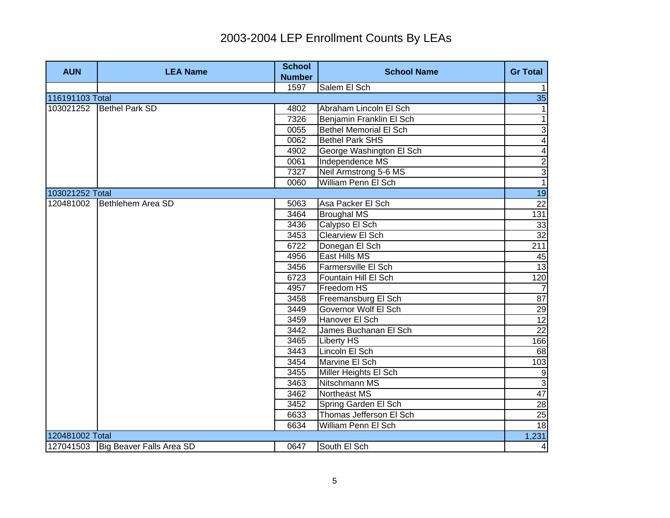| <b>AUN</b>      | <b>LEA Name</b>                      | <b>School</b><br><b>Number</b> | <b>School Name</b>            | <b>Gr Total</b> |
|-----------------|--------------------------------------|--------------------------------|-------------------------------|-----------------|
|                 |                                      | 1597                           | Salem El Sch                  | $\mathbf{1}$    |
| 116191103 Total |                                      |                                |                               | 35              |
| 103021252       | <b>Bethel Park SD</b>                | 4802                           | Abraham Lincoln El Sch        | $\mathbf 1$     |
|                 |                                      | 7326                           | Benjamin Franklin El Sch      | $\overline{1}$  |
|                 |                                      | 0055                           | <b>Bethel Memorial El Sch</b> | $\overline{3}$  |
|                 |                                      | 0062                           | <b>Bethel Park SHS</b>        | $\overline{4}$  |
|                 |                                      | 4902                           | George Washington El Sch      | 4               |
|                 |                                      | 0061                           | Independence MS               | $\overline{2}$  |
|                 |                                      | 7327                           | Neil Armstrong 5-6 MS         | $\overline{3}$  |
|                 |                                      | 0060                           | William Penn El Sch           | $\overline{1}$  |
| 103021252 Total |                                      |                                |                               | 19              |
| 120481002       | Bethlehem Area SD                    | 5063                           | Asa Packer El Sch             | $\overline{22}$ |
|                 |                                      | 3464                           | <b>Broughal MS</b>            | 131             |
|                 |                                      | 3436                           | Calypso El Sch                | 33              |
|                 |                                      | 3453                           | Clearview El Sch              | 32              |
|                 |                                      | 6722                           | Donegan El Sch                | 211             |
|                 |                                      | 4956                           | East Hills MS                 | 45              |
|                 |                                      | 3456                           | Farmersville El Sch           | 13              |
|                 |                                      | 6723                           | Fountain Hill El Sch          | 120             |
|                 |                                      | 4957                           | Freedom HS                    | $\overline{7}$  |
|                 |                                      | 3458                           | Freemansburg El Sch           | 87              |
|                 |                                      | 3449                           | Governor Wolf El Sch          | $\frac{29}{12}$ |
|                 |                                      | 3459                           | Hanover El Sch                |                 |
|                 |                                      | 3442                           | James Buchanan El Sch         | 22              |
|                 |                                      | 3465                           | <b>Liberty HS</b>             | 166             |
|                 |                                      | 3443                           | Lincoln El Sch                | 68              |
|                 |                                      | 3454                           | Marvine El Sch                | 103             |
|                 |                                      | 3455                           | Miller Heights El Sch         | $\overline{9}$  |
|                 |                                      | 3463                           | Nitschmann MS                 | $\overline{3}$  |
|                 |                                      | 3462                           | Northeast MS                  | 47              |
|                 |                                      | 3452                           | Spring Garden El Sch          | 28              |
|                 |                                      | 6633                           | Thomas Jefferson El Sch       | 25              |
|                 |                                      | 6634                           | William Penn El Sch           | 18              |
| 120481002 Total |                                      |                                |                               | 1,231           |
|                 | 127041503   Big Beaver Falls Area SD | 0647                           | South El Sch                  | $\overline{4}$  |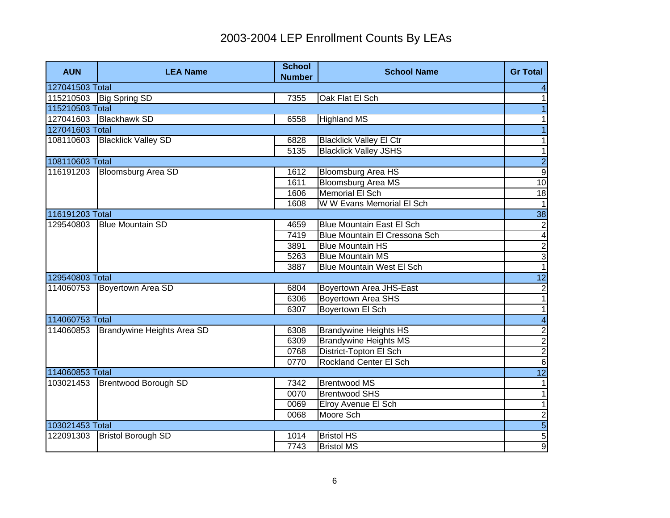| <b>AUN</b>      | <b>LEA Name</b>            | <b>School</b><br><b>Number</b> | <b>School Name</b>               | <b>Gr Total</b>          |
|-----------------|----------------------------|--------------------------------|----------------------------------|--------------------------|
| 127041503 Total |                            |                                |                                  | 4                        |
| 115210503       | <b>Big Spring SD</b>       | 7355                           | Oak Flat El Sch                  | 1                        |
| 115210503 Total |                            |                                |                                  |                          |
| 127041603       | <b>Blackhawk SD</b>        | 6558                           | <b>Highland MS</b>               | 1                        |
| 127041603 Total |                            |                                |                                  | $\overline{1}$           |
| 108110603       | <b>Blacklick Valley SD</b> | 6828                           | <b>Blacklick Valley El Ctr</b>   | 1                        |
|                 |                            | 5135                           | <b>Blacklick Valley JSHS</b>     | $\mathbf{1}$             |
| 108110603 Total |                            |                                |                                  | $\overline{2}$           |
| 116191203       | <b>Bloomsburg Area SD</b>  | 1612                           | <b>Bloomsburg Area HS</b>        | $\overline{9}$           |
|                 |                            | 1611                           | <b>Bloomsburg Area MS</b>        | 10                       |
|                 |                            | 1606                           | <b>Memorial El Sch</b>           | 18                       |
|                 |                            | 1608                           | W W Evans Memorial El Sch        | $\mathbf{1}$             |
| 116191203 Total |                            |                                |                                  | 38                       |
| 129540803       | <b>Blue Mountain SD</b>    | 4659                           | <b>Blue Mountain East El Sch</b> | $\overline{c}$           |
|                 |                            | 7419                           | Blue Mountain El Cressona Sch    | $\overline{\mathbf{4}}$  |
|                 |                            | 3891                           | <b>Blue Mountain HS</b>          | $\frac{2}{1}$            |
|                 |                            | 5263                           | <b>Blue Mountain MS</b>          |                          |
|                 |                            | 3887                           | <b>Blue Mountain West El Sch</b> |                          |
| 129540803 Total |                            |                                |                                  | $\overline{12}$          |
| 114060753       | Boyertown Area SD          | 6804                           | Boyertown Area JHS-East          | $\overline{2}$           |
|                 |                            | 6306                           | <b>Boyertown Area SHS</b>        | $\overline{1}$           |
|                 |                            | 6307                           | Boyertown El Sch                 | $\overline{\phantom{0}}$ |
| 114060753 Total |                            |                                |                                  | $\overline{\mathbf{4}}$  |
| 114060853       | Brandywine Heights Area SD | 6308                           | <b>Brandywine Heights HS</b>     | $\frac{1}{2}$            |
|                 |                            | 6309                           | <b>Brandywine Heights MS</b>     |                          |
|                 |                            | 0768                           | District-Topton El Sch           |                          |
|                 |                            | 0770                           | <b>Rockland Center El Sch</b>    | $\overline{6}$           |
| 114060853 Total |                            |                                |                                  | 12                       |
| 103021453       | Brentwood Borough SD       | 7342                           | <b>Brentwood MS</b>              | 1                        |
|                 |                            | 0070                           | <b>Brentwood SHS</b>             | $\mathbf{1}$             |
|                 |                            | 0069                           | Elroy Avenue El Sch              | $\mathbf{1}$             |
|                 |                            | 0068                           | Moore Sch                        | $\overline{c}$           |
| 103021453 Total |                            |                                |                                  | $\overline{5}$           |
| 122091303       | <b>Bristol Borough SD</b>  | 1014                           | <b>Bristol HS</b>                | $\overline{5}$           |
|                 |                            | 7743                           | <b>Bristol MS</b>                | $\overline{9}$           |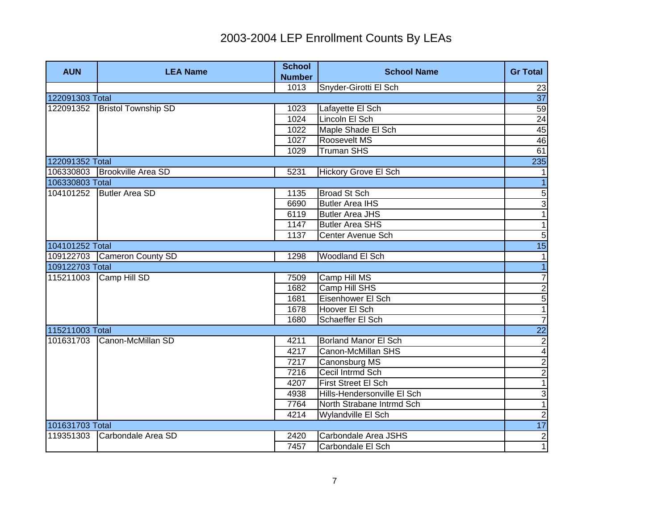| <b>AUN</b>      | <b>LEA Name</b>              | <b>School</b><br><b>Number</b> | <b>School Name</b>          | <b>Gr Total</b>         |
|-----------------|------------------------------|--------------------------------|-----------------------------|-------------------------|
|                 |                              | 1013                           | Snyder-Girotti El Sch       | 23                      |
| 122091303 Total |                              |                                |                             | $\overline{37}$         |
| 122091352       | <b>Bristol Township SD</b>   | 1023                           | Lafayette El Sch            | 59                      |
|                 |                              | 1024                           | Lincoln El Sch              | 24                      |
|                 |                              | 1022                           | Maple Shade El Sch          | 45                      |
|                 |                              | 1027                           | Roosevelt MS                | 46                      |
|                 |                              | 1029                           | <b>Truman SHS</b>           | 61                      |
| 122091352 Total |                              |                                |                             | 235                     |
|                 | 106330803 Brookville Area SD | 5231                           | Hickory Grove El Sch        | $\mathbf{1}$            |
| 106330803 Total |                              |                                |                             | $\overline{1}$          |
|                 | 104101252 Butler Area SD     | 1135                           | <b>Broad St Sch</b>         | $\sqrt{5}$              |
|                 |                              | 6690                           | <b>Butler Area IHS</b>      | 3                       |
|                 |                              | 6119                           | <b>Butler Area JHS</b>      | $\overline{1}$          |
|                 |                              | 1147                           | <b>Butler Area SHS</b>      | $\mathbf{1}$            |
|                 |                              | 1137                           | Center Avenue Sch           | $\overline{5}$          |
| 104101252 Total |                              |                                |                             | 15                      |
|                 | 109122703 Cameron County SD  | 1298                           | Woodland El Sch             | 1                       |
| 109122703 Total |                              |                                |                             | $\overline{1}$          |
| 115211003       | Camp Hill SD                 | 7509                           | Camp Hill MS                | $\overline{7}$          |
|                 |                              | 1682                           | Camp Hill SHS               |                         |
|                 |                              | 1681                           | Eisenhower El Sch           | $\frac{2}{5}$           |
|                 |                              | 1678                           | Hoover El Sch               |                         |
|                 |                              | 1680                           | Schaeffer El Sch            | $\overline{7}$          |
| 115211003 Total |                              |                                |                             | <b>22</b>               |
| 101631703       | Canon-McMillan SD            | 4211                           | <b>Borland Manor El Sch</b> | $\overline{2}$          |
|                 |                              | 4217                           | Canon-McMillan SHS          | $\overline{\mathbf{A}}$ |
|                 |                              | 7217                           | Canonsburg MS               | $\frac{2}{2}$           |
|                 |                              | 7216                           | Cecil Intrmd Sch            |                         |
|                 |                              | 4207                           | First Street El Sch         | $\overline{1}$          |
|                 |                              | 4938                           | Hills-Hendersonville El Sch | دى                      |
|                 |                              | 7764                           | North Strabane Intrmd Sch   | $\overline{1}$          |
|                 |                              | 4214                           | Wylandville El Sch          | $\overline{2}$          |
| 101631703 Total |                              |                                |                             | 17                      |
| 119351303       | Carbondale Area SD           | 2420                           | Carbondale Area JSHS        | $\frac{2}{1}$           |
|                 |                              | 7457                           | Carbondale El Sch           |                         |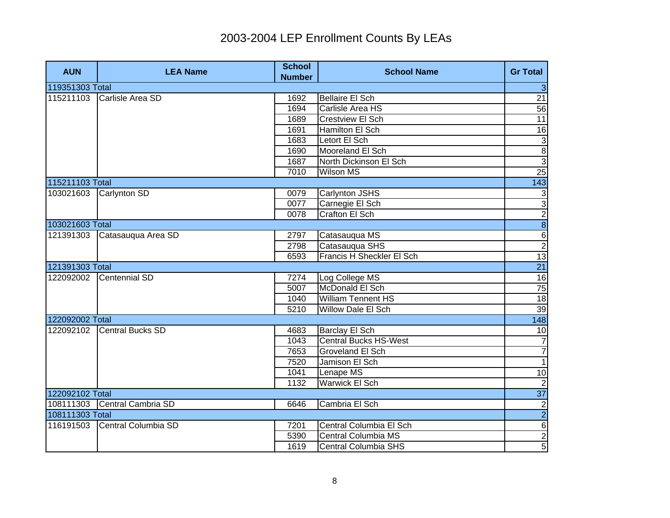| <b>AUN</b>      | <b>LEA Name</b>               | <b>School</b><br><b>Number</b> | <b>School Name</b>           | <b>Gr Total</b>                           |
|-----------------|-------------------------------|--------------------------------|------------------------------|-------------------------------------------|
| 119351303 Total |                               |                                |                              | $\mathbf{3}$                              |
| 115211103       | Carlisle Area SD              | 1692                           | <b>Bellaire El Sch</b>       | 21                                        |
|                 |                               | 1694                           | Carlisle Area HS             | 56                                        |
|                 |                               | 1689                           | <b>Crestview El Sch</b>      | 11                                        |
|                 |                               | 1691                           | Hamilton El Sch              | 16                                        |
|                 |                               | 1683                           | Letort El Sch                |                                           |
|                 |                               | 1690                           | Mooreland El Sch             | $\begin{array}{c c}\n3 \\ 3\n\end{array}$ |
|                 |                               | 1687                           | North Dickinson El Sch       |                                           |
|                 |                               | 7010                           | Wilson MS                    | 25                                        |
| 115211103 Total |                               |                                |                              | 143                                       |
|                 | 103021603 Carlynton SD        | 0079                           | Carlynton JSHS               |                                           |
|                 |                               | 0077                           | Carnegie El Sch              |                                           |
|                 |                               | 0078                           | <b>Crafton El Sch</b>        |                                           |
| 103021603 Total |                               |                                |                              | <u>ა თ თ ა ა ა</u>                        |
| 121391303       | Catasauqua Area SD            | 2797                           | Catasauqua MS                |                                           |
|                 |                               | 2798                           | Catasauqua SHS               |                                           |
|                 |                               | 6593                           | Francis H Sheckler El Sch    | 13                                        |
| 121391303 Total |                               |                                |                              | 21                                        |
| 122092002       | Centennial SD                 | 7274                           | Log College MS               | $\frac{16}{75}$                           |
|                 |                               | 5007                           | McDonald El Sch              |                                           |
|                 |                               | 1040                           | <b>William Tennent HS</b>    | 18                                        |
|                 |                               | 5210                           | Willow Dale El Sch           | 39                                        |
| 122092002 Total |                               |                                |                              | 148                                       |
| 122092102       | Central Bucks SD              | 4683                           | <b>Barclay El Sch</b>        | $\overline{10}$                           |
|                 |                               | 1043                           | <b>Central Bucks HS-West</b> | $\overline{7}$                            |
|                 |                               | 7653                           | <b>Groveland El Sch</b>      | $\overline{7}$                            |
|                 |                               | 7520                           | Jamison El Sch               | $\overline{1}$                            |
|                 |                               | 1041                           | Lenape MS                    | 10                                        |
|                 |                               | 1132                           | Warwick El Sch               | $\overline{2}$                            |
| 122092102 Total |                               |                                |                              | 37                                        |
|                 | 108111303 Central Cambria SD  | 6646                           | Cambria El Sch               | $\overline{2}$                            |
| 108111303 Total |                               |                                |                              | $\overline{2}$                            |
|                 | 116191503 Central Columbia SD | 7201                           | Central Columbia El Sch      | $\overline{6}$                            |
|                 |                               | 5390                           | Central Columbia MS          | $\overline{2}$                            |
|                 |                               | 1619                           | <b>Central Columbia SHS</b>  | $\overline{5}$                            |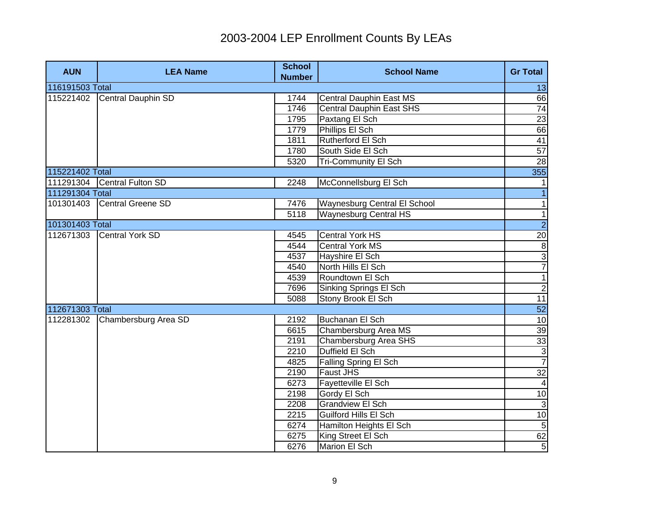| <b>AUN</b>      | <b>LEA Name</b>             | <b>School</b><br><b>Number</b> | <b>School Name</b>              | <b>Gr Total</b> |
|-----------------|-----------------------------|--------------------------------|---------------------------------|-----------------|
| 116191503 Total |                             |                                |                                 | 13              |
| 115221402       | Central Dauphin SD          | 1744                           | Central Dauphin East MS         | 66              |
|                 |                             | 1746                           | <b>Central Dauphin East SHS</b> | 74              |
|                 |                             | 1795                           | Paxtang El Sch                  | 23              |
|                 |                             | 1779                           | Phillips El Sch                 | 66              |
|                 |                             | 1811                           | Rutherford El Sch               | 41              |
|                 |                             | 1780                           | South Side El Sch               | 57              |
|                 |                             | 5320                           | <b>Tri-Community El Sch</b>     | 28              |
| 115221402 Total |                             |                                |                                 | 355             |
|                 | 111291304 Central Fulton SD | 2248                           | McConnellsburg El Sch           |                 |
| 111291304 Total |                             |                                |                                 |                 |
| 101301403       | Central Greene SD           | 7476                           | Waynesburg Central El School    | $\mathbf{1}$    |
|                 |                             | 5118                           | <b>Waynesburg Central HS</b>    | $\overline{1}$  |
| 101301403 Total |                             |                                |                                 | $\overline{2}$  |
| 112671303       | Central York SD             | 4545                           | <b>Central York HS</b>          |                 |
|                 |                             | 4544                           | <b>Central York MS</b>          | $\frac{20}{3}$  |
|                 |                             | 4537                           | Hayshire El Sch                 |                 |
|                 |                             | 4540                           | North Hills El Sch              | $\overline{7}$  |
|                 |                             | 4539                           | Roundtown El Sch                | $\overline{1}$  |
|                 |                             | 7696                           | Sinking Springs El Sch          | $\overline{2}$  |
|                 |                             | 5088                           | Stony Brook El Sch              | 11              |
| 112671303 Total |                             |                                |                                 | $\overline{52}$ |
| 112281302       | Chambersburg Area SD        | 2192                           | Buchanan El Sch                 | 10              |
|                 |                             | 6615                           | Chambersburg Area MS            | 39              |
|                 |                             | 2191                           | Chambersburg Area SHS           | 33              |
|                 |                             | 2210                           | Duffield El Sch                 | $\overline{3}$  |
|                 |                             | 4825                           | Falling Spring El Sch           | $\overline{7}$  |
|                 |                             | 2190                           | <b>Faust JHS</b>                | 32              |
|                 |                             | 6273                           | Fayetteville El Sch             | $\overline{4}$  |
|                 |                             | 2198                           | Gordy El Sch                    | 10              |
|                 |                             | 2208                           | <b>Grandview El Sch</b>         | $\overline{3}$  |
|                 |                             | 2215                           | Guilford Hills El Sch           | 10              |
|                 |                             | 6274                           | Hamilton Heights El Sch         | $\overline{5}$  |
|                 |                             | 6275                           | King Street El Sch              | 62              |
|                 |                             | 6276                           | Marion El Sch                   | $\overline{5}$  |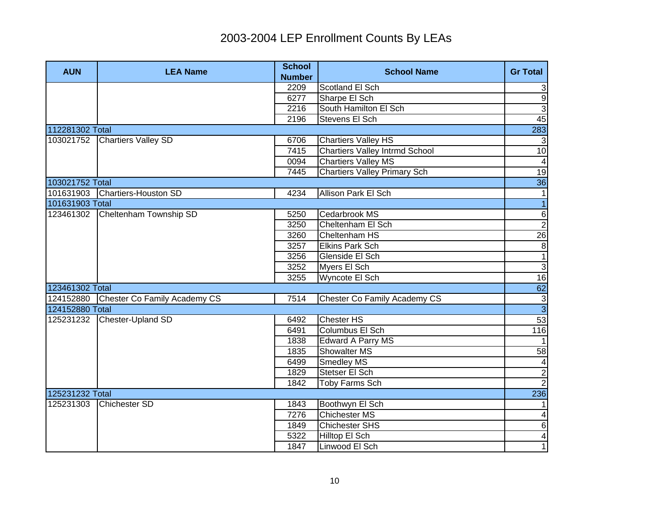| <b>AUN</b>      | <b>LEA Name</b>              | <b>School</b><br><b>Number</b> | <b>School Name</b>                    | <b>Gr Total</b>         |
|-----------------|------------------------------|--------------------------------|---------------------------------------|-------------------------|
|                 |                              | 2209                           | Scotland El Sch                       | 3                       |
|                 |                              | 6277                           | Sharpe El Sch                         | $\overline{9}$          |
|                 |                              | 2216                           | South Hamilton El Sch                 | $\overline{3}$          |
|                 |                              | 2196                           | <b>Stevens El Sch</b>                 | 45                      |
| 112281302 Total |                              |                                |                                       | 283                     |
| 103021752       | <b>Chartiers Valley SD</b>   | 6706                           | <b>Chartiers Valley HS</b>            | 3                       |
|                 |                              | 7415                           | <b>Chartiers Valley Intrmd School</b> | 10                      |
|                 |                              | 0094                           | <b>Chartiers Valley MS</b>            | $\overline{\mathbf{4}}$ |
|                 |                              | 7445                           | <b>Chartiers Valley Primary Sch</b>   | 19                      |
| 103021752 Total |                              |                                |                                       | 36                      |
| 101631903       | <b>Chartiers-Houston SD</b>  | 4234                           | Allison Park El Sch                   | $\mathbf{1}$            |
| 101631903 Total |                              |                                |                                       | $\mathbf{1}$            |
| 123461302       | Cheltenham Township SD       | 5250                           | Cedarbrook MS                         | 6                       |
|                 |                              | 3250                           | Cheltenham El Sch                     | $\overline{2}$          |
|                 |                              | 3260                           | Cheltenham HS                         | 26                      |
|                 |                              | 3257                           | <b>Elkins Park Sch</b>                | $\overline{8}$          |
|                 |                              | 3256                           | Glenside El Sch                       | $\overline{1}$          |
|                 |                              | 3252                           | Myers El Sch                          | $\frac{3}{16}$          |
|                 |                              | 3255                           | Wyncote El Sch                        |                         |
| 123461302 Total |                              |                                |                                       | 62                      |
| 124152880       | Chester Co Family Academy CS | 7514                           | Chester Co Family Academy CS          |                         |
| 124152880 Total |                              |                                |                                       | $\frac{1}{3}$           |
| 125231232       | Chester-Upland SD            | 6492                           | <b>Chester HS</b>                     | 53                      |
|                 |                              | 6491                           | Columbus El Sch                       | 116                     |
|                 |                              | 1838                           | <b>Edward A Parry MS</b>              |                         |
|                 |                              | 1835                           | <b>Showalter MS</b>                   | 58                      |
|                 |                              | 6499                           | Smedley MS                            | 4                       |
|                 |                              | 1829                           | Stetser El Sch                        | $\overline{2}$          |
|                 |                              | 1842                           | Toby Farms Sch                        | $\overline{2}$          |
| 125231232 Total |                              |                                |                                       | 236                     |
| 125231303       | <b>Chichester SD</b>         | 1843                           | Boothwyn El Sch                       |                         |
|                 |                              | 7276                           | <b>Chichester MS</b>                  | 4                       |
|                 |                              | 1849                           | <b>Chichester SHS</b>                 | 6                       |
|                 |                              | 5322                           | Hilltop El Sch                        | $\overline{4}$          |
|                 |                              | 1847                           | Linwood El Sch                        | $\overline{1}$          |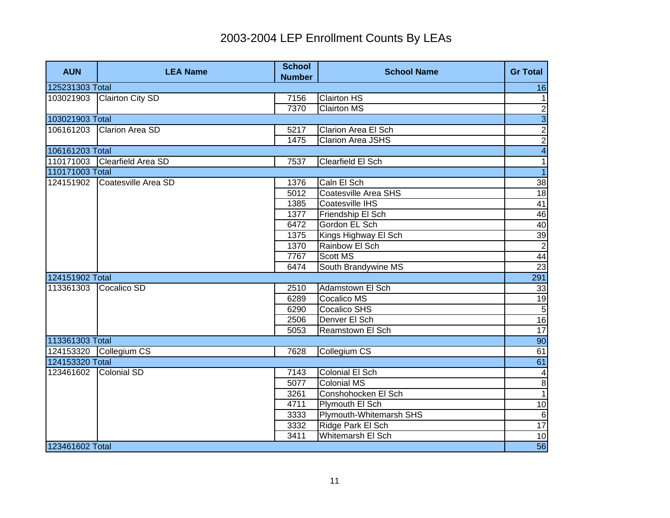| <b>AUN</b>      | <b>LEA Name</b>         | <b>School</b><br><b>Number</b> | <b>School Name</b>       | <b>Gr Total</b>         |
|-----------------|-------------------------|--------------------------------|--------------------------|-------------------------|
| 125231303 Total |                         |                                |                          | 16                      |
| 103021903       | <b>Clairton City SD</b> | 7156                           | <b>Clairton HS</b>       | $\mathbf{1}$            |
|                 |                         | 7370                           | <b>Clairton MS</b>       | $\overline{2}$          |
| 103021903 Total |                         |                                |                          | $\frac{3}{2}$           |
| 106161203       | <b>Clarion Area SD</b>  | 5217                           | Clarion Area El Sch      |                         |
|                 |                         | 1475                           | <b>Clarion Area JSHS</b> | $\overline{2}$          |
| 106161203 Total |                         |                                |                          | $\overline{4}$          |
| 110171003       | Clearfield Area SD      | 7537                           | <b>Clearfield El Sch</b> | $\overline{1}$          |
| 110171003 Total |                         |                                |                          | $\overline{1}$          |
| 124151902       | Coatesville Area SD     | 1376                           | Caln El Sch              | 38                      |
|                 |                         | 5012                           | Coatesville Area SHS     | $\overline{18}$         |
|                 |                         | 1385                           | Coatesville IHS          | 41                      |
|                 |                         | 1377                           | Friendship El Sch        | 46                      |
|                 |                         | 6472                           | Gordon EL Sch            | 40                      |
|                 |                         | 1375                           | Kings Highway El Sch     | $\frac{39}{2}$          |
|                 |                         | 1370                           | Rainbow El Sch           |                         |
|                 |                         | 7767                           | <b>Scott MS</b>          | 44                      |
|                 |                         | 6474                           | South Brandywine MS      | $\overline{23}$         |
| 124151902 Total |                         |                                |                          | $\overline{291}$        |
| 113361303       | Cocalico SD             | 2510                           | Adamstown El Sch         | 33                      |
|                 |                         | 6289                           | <b>Cocalico MS</b>       |                         |
|                 |                         | 6290                           | <b>Cocalico SHS</b>      | $\frac{19}{5}$          |
|                 |                         | 2506                           | Denver El Sch            | 16                      |
|                 |                         | 5053                           | Reamstown El Sch         | $\overline{17}$         |
| 113361303 Total |                         |                                |                          | 90                      |
| 124153320       | Collegium CS            | 7628                           | Collegium CS             | 61                      |
| 124153320 Total |                         |                                |                          | 61                      |
| 123461602       | <b>Colonial SD</b>      | 7143                           | Colonial El Sch          | $\overline{\mathbf{4}}$ |
|                 |                         | 5077                           | <b>Colonial MS</b>       | $\overline{8}$          |
|                 |                         | 3261                           | Conshohocken El Sch      | $\overline{1}$          |
|                 |                         | 4711                           | Plymouth El Sch          | 10                      |
|                 |                         | 3333                           | Plymouth-Whitemarsh SHS  | $\overline{6}$          |
|                 |                         | 3332                           | Ridge Park El Sch        | 17                      |
|                 |                         | 3411                           | Whitemarsh El Sch        | 10                      |
| 123461602 Total |                         |                                |                          | 56                      |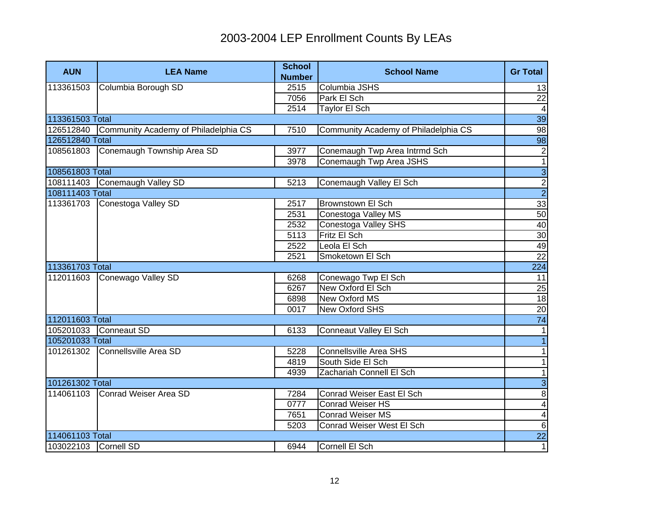| <b>AUN</b>           | <b>LEA Name</b>                      | <b>School</b><br><b>Number</b> | <b>School Name</b>                   | <b>Gr Total</b> |
|----------------------|--------------------------------------|--------------------------------|--------------------------------------|-----------------|
| 113361503            | Columbia Borough SD                  | 2515                           | Columbia JSHS                        | 13              |
|                      |                                      | 7056                           | Park El Sch                          | 22              |
|                      |                                      | 2514                           | <b>Taylor El Sch</b>                 | $\overline{4}$  |
| 113361503 Total      |                                      |                                |                                      | 39              |
| 126512840            | Community Academy of Philadelphia CS | 7510                           | Community Academy of Philadelphia CS | 98              |
| 126512840 Total      |                                      |                                |                                      | 98              |
| 108561803            | Conemaugh Township Area SD           | 3977                           | Conemaugh Twp Area Intrmd Sch        | $\overline{2}$  |
|                      |                                      | 3978                           | Conemaugh Twp Area JSHS              | $\overline{1}$  |
| 108561803 Total      |                                      |                                |                                      | $\frac{3}{2}$   |
|                      | 108111403 Conemaugh Valley SD        | 5213                           | Conemaugh Valley El Sch              |                 |
| 108111403 Total      |                                      |                                |                                      |                 |
| 113361703            | Conestoga Valley SD                  | 2517                           | <b>Brownstown El Sch</b>             | $\frac{33}{50}$ |
|                      |                                      | 2531                           | Conestoga Valley MS                  |                 |
|                      |                                      | 2532                           | Conestoga Valley SHS                 | 40              |
|                      |                                      | 5113                           | Fritz El Sch                         | 30              |
|                      |                                      | 2522                           | Leola El Sch                         | 49              |
|                      |                                      | 2521                           | Smoketown El Sch                     | $\overline{22}$ |
| 113361703 Total      |                                      |                                |                                      | 224             |
| 112011603            | Conewago Valley SD                   | 6268                           | Conewago Twp El Sch                  | 11              |
|                      |                                      | 6267                           | New Oxford El Sch                    | $\frac{25}{18}$ |
|                      |                                      | 6898                           | <b>New Oxford MS</b>                 |                 |
|                      |                                      | 0017                           | New Oxford SHS                       | 20              |
| 112011603 Total      |                                      |                                |                                      | 74              |
| 105201033            | Conneaut SD                          | 6133                           | Conneaut Valley El Sch               | $\mathbf 1$     |
| 105201033 Total      |                                      |                                |                                      | $\overline{1}$  |
| 101261302            | Connellsville Area SD                | 5228                           | <b>Connellsville Area SHS</b>        | $\mathbf 1$     |
|                      |                                      | 4819                           | South Side El Sch                    | $\mathbf 1$     |
|                      |                                      | 4939                           | Zachariah Connell El Sch             | $\mathbf{1}$    |
| 101261302 Total      |                                      |                                |                                      | $\overline{3}$  |
| 114061103            | Conrad Weiser Area SD                | 7284                           | Conrad Weiser East El Sch            | $\overline{8}$  |
|                      |                                      | 0777                           | <b>Conrad Weiser HS</b>              | $\overline{4}$  |
|                      |                                      | 7651                           | <b>Conrad Weiser MS</b>              | $\overline{4}$  |
|                      |                                      | 5203                           | Conrad Weiser West El Sch            | $\overline{6}$  |
| 114061103 Total      |                                      |                                |                                      | <b>22</b>       |
| 103022103 Cornell SD |                                      | 6944                           | Cornell El Sch                       | $\overline{1}$  |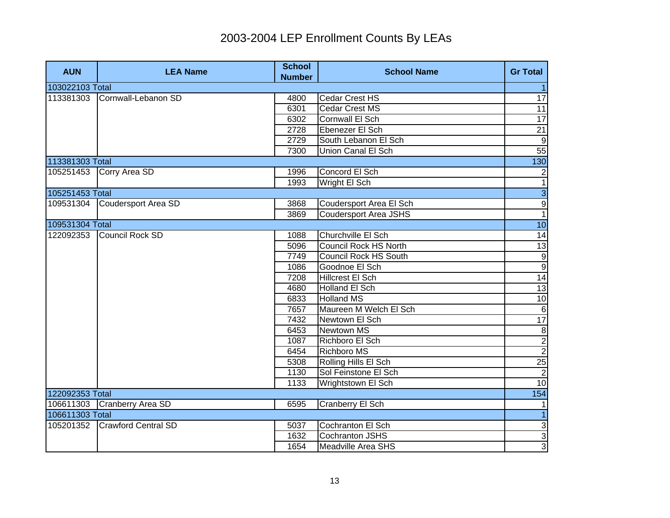| <b>AUN</b>      | <b>LEA Name</b>             | <b>School</b><br><b>Number</b> | <b>School Name</b>           | <b>Gr Total</b>                                                 |
|-----------------|-----------------------------|--------------------------------|------------------------------|-----------------------------------------------------------------|
| 103022103 Total |                             |                                |                              |                                                                 |
| 113381303       | Cornwall-Lebanon SD         | 4800                           | Cedar Crest HS               | $\overline{17}$                                                 |
|                 |                             | 6301                           | Cedar Crest MS               | 11                                                              |
|                 |                             | 6302                           | Cornwall El Sch              | 17                                                              |
|                 |                             | 2728                           | Ebenezer El Sch              | $\overline{21}$                                                 |
|                 |                             | 2729                           | South Lebanon El Sch         | $\overline{9}$                                                  |
|                 |                             | 7300                           | Union Canal El Sch           | 55                                                              |
| 113381303 Total |                             |                                |                              | 130                                                             |
| 105251453       | Corry Area SD               | 1996                           | Concord El Sch               | $\overline{\mathbf{c}}$                                         |
|                 |                             | 1993                           | Wright El Sch                | $\overline{1}$                                                  |
| 105251453 Total |                             |                                |                              | $\frac{3}{1}$                                                   |
| 109531304       | Coudersport Area SD         | 3868                           | Coudersport Area El Sch      |                                                                 |
|                 |                             | 3869                           | <b>Coudersport Area JSHS</b> |                                                                 |
| 109531304 Total |                             |                                |                              | 10                                                              |
| 122092353       | <b>Council Rock SD</b>      | 1088                           | Churchville El Sch           | 14                                                              |
|                 |                             | 5096                           | <b>Council Rock HS North</b> | 13                                                              |
|                 |                             | 7749                           | <b>Council Rock HS South</b> |                                                                 |
|                 |                             | 1086                           | Goodnoe El Sch               |                                                                 |
|                 |                             | 7208                           | <b>Hillcrest El Sch</b>      | $\begin{array}{r} 9 \\ \hline 9 \\ \hline 14 \\ 13 \end{array}$ |
|                 |                             | 4680                           | <b>Holland El Sch</b>        |                                                                 |
|                 |                             | 6833                           | <b>Holland MS</b>            | 10                                                              |
|                 |                             | 7657                           | Maureen M Welch El Sch       | $\overline{6}$                                                  |
|                 |                             | 7432                           | Newtown El Sch               | 17                                                              |
|                 |                             | 6453                           | Newtown MS                   | $\overline{\mathbf{8}}$                                         |
|                 |                             | 1087                           | Richboro El Sch              | $\frac{2}{2}$                                                   |
|                 |                             | 6454                           | <b>Richboro MS</b>           |                                                                 |
|                 |                             | 5308                           | Rolling Hills El Sch         | 25                                                              |
|                 |                             | 1130                           | Sol Feinstone El Sch         | $\overline{2}$                                                  |
|                 |                             | 1133                           | Wrightstown El Sch           | 10                                                              |
| 122092353 Total |                             |                                |                              | 154                                                             |
|                 | 106611303 Cranberry Area SD | 6595                           | <b>Cranberry El Sch</b>      | 1                                                               |
| 106611303 Total |                             |                                |                              | $\overline{1}$                                                  |
| 105201352       | <b>Crawford Central SD</b>  | 5037                           | Cochranton El Sch            | $\overline{3}$                                                  |
|                 |                             | 1632                           | Cochranton JSHS              | $\overline{3}$                                                  |
|                 |                             | 1654                           | Meadville Area SHS           | $\overline{3}$                                                  |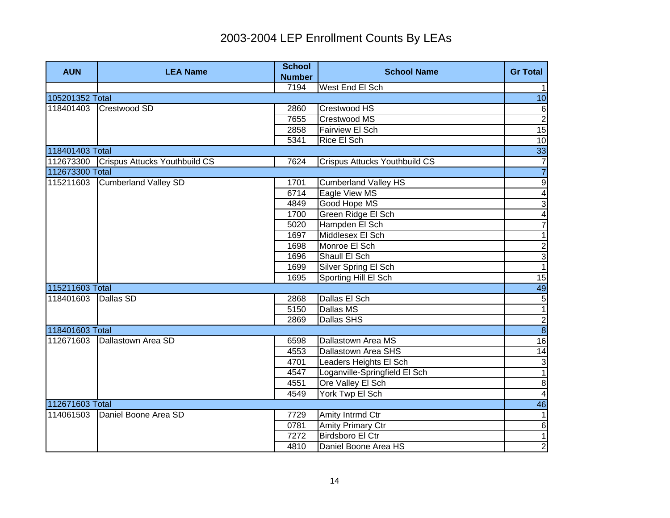| <b>AUN</b>      | <b>LEA Name</b>                         | <b>School</b><br><b>Number</b> | <b>School Name</b>            | <b>Gr Total</b>         |
|-----------------|-----------------------------------------|--------------------------------|-------------------------------|-------------------------|
|                 |                                         | 7194                           | West End El Sch               | $\mathbf{1}$            |
| 105201352 Total |                                         |                                |                               | $\overline{10}$         |
| 118401403       | Crestwood SD                            | 2860                           | Crestwood HS                  | $\sigma$                |
|                 |                                         | 7655                           | Crestwood MS                  | $\overline{2}$          |
|                 |                                         | 2858                           | <b>Fairview El Sch</b>        | 15                      |
|                 |                                         | 5341                           | Rice El Sch                   | 10                      |
| 118401403 Total |                                         |                                |                               | 33                      |
|                 | 112673300 Crispus Attucks Youthbuild CS | 7624                           | Crispus Attucks Youthbuild CS | $\overline{7}$          |
| 112673300 Total |                                         |                                |                               | $\overline{7}$          |
| 115211603       | <b>Cumberland Valley SD</b>             | 1701                           | <b>Cumberland Valley HS</b>   | $\overline{9}$          |
|                 |                                         | 6714                           | Eagle View MS                 | $\overline{\mathbf{4}}$ |
|                 |                                         | 4849                           | Good Hope MS                  | 3                       |
|                 |                                         | 1700                           | Green Ridge El Sch            | $\overline{\mathbf{4}}$ |
|                 |                                         | 5020                           | Hampden El Sch                | $\overline{7}$          |
|                 |                                         | 1697                           | Middlesex El Sch              | $\overline{1}$          |
|                 |                                         | 1698                           | Monroe El Sch                 | $\frac{1}{3}$           |
|                 |                                         | 1696                           | Shaull El Sch                 |                         |
|                 |                                         | 1699                           | Silver Spring El Sch          |                         |
|                 |                                         | 1695                           | Sporting Hill El Sch          | 15                      |
| 115211603 Total |                                         |                                |                               | 49                      |
| 118401603       | Dallas SD                               | 2868                           | Dallas El Sch                 | $\frac{5}{1}$           |
|                 |                                         | 5150                           | Dallas MS                     |                         |
|                 |                                         | 2869                           | Dallas SHS                    | $\frac{2}{8}$           |
| 118401603 Total |                                         |                                |                               |                         |
| 112671603       | Dallastown Area SD                      | 6598                           | Dallastown Area MS            | 16                      |
|                 |                                         | 4553                           | Dallastown Area SHS           | 14                      |
|                 |                                         | 4701                           | Leaders Heights El Sch        | دى                      |
|                 |                                         | 4547                           | Loganville-Springfield El Sch | $\overline{1}$          |
|                 |                                         | 4551                           | Ore Valley El Sch             | $\boldsymbol{8}$        |
|                 |                                         | 4549                           | York Twp El Sch               | $\overline{4}$          |
| 112671603 Total |                                         |                                |                               | 46                      |
| 114061503       | Daniel Boone Area SD                    | 7729                           | Amity Intrmd Ctr              | 1                       |
|                 |                                         | 0781                           | <b>Amity Primary Ctr</b>      | $\sigma$                |
|                 |                                         | 7272                           | <b>Birdsboro El Ctr</b>       | $\overline{1}$          |
|                 |                                         | 4810                           | Daniel Boone Area HS          | $\overline{2}$          |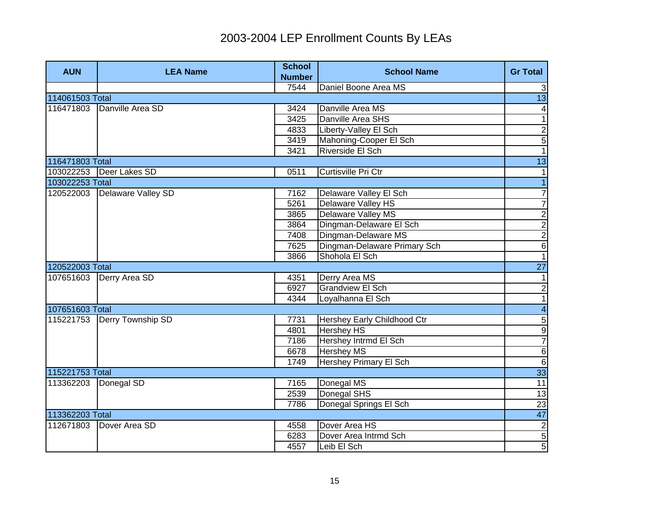| <b>AUN</b>      | <b>LEA Name</b>           | <b>School</b><br><b>Number</b> | <b>School Name</b>            | <b>Gr Total</b>         |
|-----------------|---------------------------|--------------------------------|-------------------------------|-------------------------|
|                 |                           | 7544                           | Daniel Boone Area MS          | $\mathbf{3}$            |
| 114061503 Total |                           |                                |                               | 13                      |
| 116471803       | Danville Area SD          | 3424                           | Danville Area MS              | $\vert 4 \vert$         |
|                 |                           | 3425                           | Danville Area SHS             | $\overline{1}$          |
|                 |                           | 4833                           | Liberty-Valley El Sch         | $\overline{c}$          |
|                 |                           | 3419                           | Mahoning-Cooper El Sch        | $\overline{5}$          |
|                 |                           | 3421                           | Riverside El Sch              | $\overline{1}$          |
| 116471803 Total |                           |                                |                               | $\overline{13}$         |
|                 | 103022253   Deer Lakes SD | 0511                           | Curtisville Pri Ctr           | $\mathbf{1}$            |
| 103022253 Total |                           |                                |                               | $\overline{1}$          |
| 120522003       | Delaware Valley SD        | 7162                           | Delaware Valley El Sch        | $\overline{7}$          |
|                 |                           | 5261                           | Delaware Valley HS            | $\overline{7}$          |
|                 |                           | 3865                           | <b>Delaware Valley MS</b>     | $\overline{2}$          |
|                 |                           | 3864                           | Dingman-Delaware El Sch       | $\overline{c}$          |
|                 |                           | 7408                           | Dingman-Delaware MS           | $\frac{2}{6}$           |
|                 |                           | 7625                           | Dingman-Delaware Primary Sch  |                         |
|                 |                           | 3866                           | Shohola El Sch                | $\overline{1}$          |
| 120522003 Total |                           |                                |                               | <b>27</b>               |
| 107651603       | Derry Area SD             | 4351                           | Derry Area MS                 | $\mathbf{1}$            |
|                 |                           | 6927                           | <b>Grandview El Sch</b>       | $\overline{2}$          |
|                 |                           | 4344                           | Loyalhanna El Sch             | $\overline{1}$          |
| 107651603 Total |                           |                                |                               | $\overline{\mathbf{4}}$ |
| 115221753       | Derry Township SD         | 7731                           | Hershey Early Childhood Ctr   | $\frac{1}{9}$           |
|                 |                           | 4801                           | <b>Hershey HS</b>             |                         |
|                 |                           | 7186                           | Hershey Intrmd El Sch         | $\overline{7}$          |
|                 |                           | 6678                           | <b>Hershey MS</b>             | $\overline{6}$          |
|                 |                           | 1749                           | <b>Hershey Primary El Sch</b> | $6\overline{6}$         |
| 115221753 Total |                           |                                |                               | 33                      |
| 113362203       | Donegal SD                | 7165                           | Donegal MS                    | 11                      |
|                 |                           | 2539                           | Donegal SHS                   | 13                      |
|                 |                           | 7786                           | Donegal Springs El Sch        | 23                      |
| 113362203 Total |                           |                                |                               | 47                      |
| 112671803       | Dover Area SD             | 4558                           | Dover Area HS                 | $\overline{2}$          |
|                 |                           | 6283                           | Dover Area Intrmd Sch         | $\overline{5}$          |
|                 |                           | 4557                           | Leib El Sch                   | 5                       |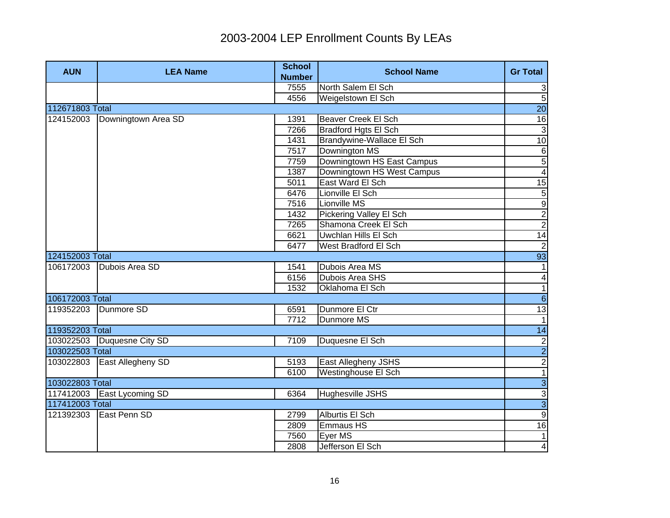| <b>AUN</b>      | <b>LEA Name</b>            | <b>School</b><br><b>Number</b> | <b>School Name</b>         | <b>Gr Total</b> |
|-----------------|----------------------------|--------------------------------|----------------------------|-----------------|
|                 |                            | 7555                           | North Salem El Sch         | $\mathbf{3}$    |
|                 |                            | 4556                           | Weigelstown El Sch         | $\overline{5}$  |
| 112671803 Total |                            |                                |                            | 20              |
| 124152003       | Downingtown Area SD        | 1391                           | <b>Beaver Creek El Sch</b> | 16              |
|                 |                            | 7266                           | Bradford Hgts El Sch       | 3               |
|                 |                            | 1431                           | Brandywine-Wallace El Sch  | 10              |
|                 |                            | 7517                           | Downington MS              | $\sigma$        |
|                 |                            | 7759                           | Downingtown HS East Campus | $\overline{5}$  |
|                 |                            | 1387                           | Downingtown HS West Campus | $\overline{4}$  |
|                 |                            | 5011                           | East Ward El Sch           | $\overline{15}$ |
|                 |                            | 6476                           | Lionville El Sch           | 5               |
|                 |                            | 7516                           | Lionville MS               | $\overline{9}$  |
|                 |                            | 1432                           | Pickering Valley El Sch    | $\overline{c}$  |
|                 |                            | 7265                           | Shamona Creek El Sch       | $\overline{2}$  |
|                 |                            | 6621                           | Uwchlan Hills El Sch       | 14              |
|                 |                            | 6477                           | West Bradford El Sch       | $\overline{2}$  |
| 124152003 Total |                            |                                |                            | 93              |
| 106172003       | Dubois Area SD             | 1541                           | Dubois Area MS             | 1               |
|                 |                            | 6156                           | Dubois Area SHS            |                 |
|                 |                            | 1532                           | Oklahoma El Sch            | $\frac{4}{1}$   |
| 106172003 Total |                            |                                |                            | $\overline{6}$  |
| 119352203       | Dunmore SD                 | 6591                           | Dunmore El Ctr             | 13              |
|                 |                            | 7712                           | Dunmore MS                 | $\vert$ 1       |
| 119352203 Total |                            |                                |                            | 14              |
|                 | 103022503 Duquesne City SD | 7109                           | Duquesne El Sch            |                 |
| 103022503 Total |                            |                                |                            |                 |
| 103022803       | East Allegheny SD          | 5193                           | East Allegheny JSHS        | $\frac{2}{1}$   |
|                 |                            | 6100                           | <b>Westinghouse El Sch</b> |                 |
| 103022803 Total |                            |                                |                            | $\overline{3}$  |
|                 | 117412003 East Lycoming SD | 6364                           | Hughesville JSHS           | $\overline{3}$  |
| 117412003 Total |                            |                                |                            | $\overline{3}$  |
| 121392303       | East Penn SD               | 2799                           | <b>Alburtis El Sch</b>     | $\overline{9}$  |
|                 |                            | 2809                           | Emmaus HS                  | 16              |
|                 |                            | 7560                           | Eyer MS                    | $\overline{1}$  |
|                 |                            | 2808                           | Jefferson El Sch           | $\overline{4}$  |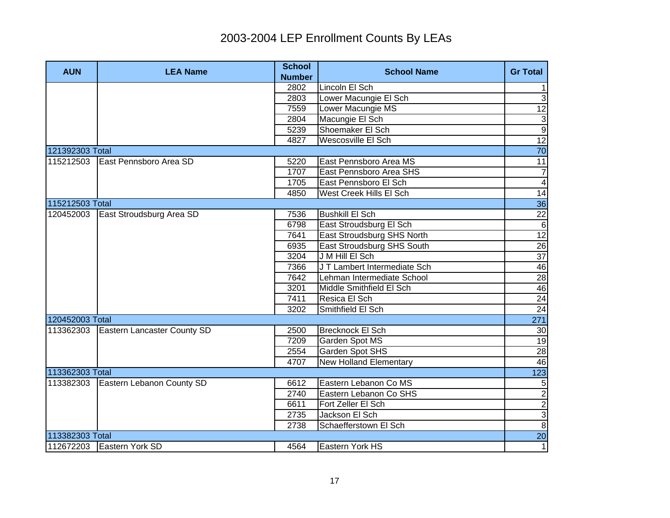| <b>AUN</b>      | <b>LEA Name</b>                    | <b>School</b><br><b>Number</b> | <b>School Name</b>            | <b>Gr Total</b>    |
|-----------------|------------------------------------|--------------------------------|-------------------------------|--------------------|
|                 |                                    | 2802                           | Lincoln El Sch                | 1                  |
|                 |                                    | 2803                           | Lower Macungie El Sch         | $\overline{3}$     |
|                 |                                    | 7559                           | Lower Macungie MS             | 12                 |
|                 |                                    | 2804                           | Macungie El Sch               |                    |
|                 |                                    | 5239                           | Shoemaker El Sch              | $\frac{3}{9}$      |
|                 |                                    | 4827                           | Wescosville El Sch            | 12                 |
| 121392303 Total |                                    |                                |                               | $\overline{70}$    |
| 115212503       | East Pennsboro Area SD             | 5220                           | East Pennsboro Area MS        | 11                 |
|                 |                                    | 1707                           | East Pennsboro Area SHS       | $\overline{7}$     |
|                 |                                    | 1705                           | East Pennsboro El Sch         | $\overline{4}$     |
|                 |                                    | 4850                           | West Creek Hills El Sch       | $\overline{14}$    |
| 115212503 Total |                                    |                                |                               | 36                 |
| 120452003       | East Stroudsburg Area SD           | 7536                           | <b>Bushkill El Sch</b>        | $\overline{22}$    |
|                 |                                    | 6798                           | East Stroudsburg El Sch       | $\overline{6}$     |
|                 |                                    | 7641                           | East Stroudsburg SHS North    | 12                 |
|                 |                                    | 6935                           | East Stroudsburg SHS South    | $\frac{26}{37}$    |
|                 |                                    | 3204                           | J M Hill El Sch               |                    |
|                 |                                    | 7366                           | J T Lambert Intermediate Sch  | 46                 |
|                 |                                    | 7642                           | Lehman Intermediate School    | $rac{12}{24}$      |
|                 |                                    | 3201                           | Middle Smithfield El Sch      |                    |
|                 |                                    | 7411                           | Resica El Sch                 |                    |
|                 |                                    | 3202                           | Smithfield El Sch             | 24                 |
| 120452003 Total |                                    |                                |                               | $\overline{271}$   |
| 113362303       | <b>Eastern Lancaster County SD</b> | 2500                           | <b>Brecknock El Sch</b>       | 30                 |
|                 |                                    | 7209                           | Garden Spot MS                | 19                 |
|                 |                                    | 2554                           | Garden Spot SHS               | $\overline{28}$    |
|                 |                                    | 4707                           | <b>New Holland Elementary</b> | 46                 |
| 113362303 Total |                                    |                                |                               | 123                |
| 113382303       | Eastern Lebanon County SD          | 6612                           | Eastern Lebanon Co MS         | $\overline{5}$     |
|                 |                                    | 2740                           | Eastern Lebanon Co SHS        | $\frac{2}{2}$      |
|                 |                                    | 6611                           | Fort Zeller El Sch            |                    |
|                 |                                    | 2735                           | Jackson El Sch                |                    |
|                 |                                    | 2738                           | Schaefferstown El Sch         | $\frac{1}{\infty}$ |
| 113382303 Total |                                    |                                |                               | <b>20</b>          |
|                 | 112672203 Eastern York SD          | 4564                           | <b>Eastern York HS</b>        | $\overline{1}$     |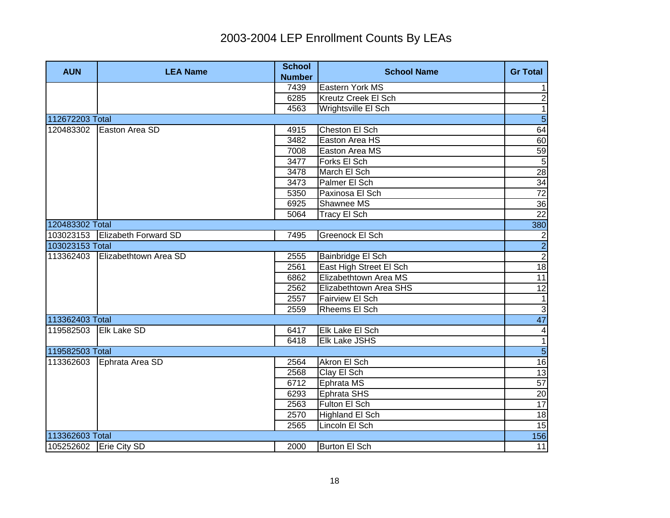| <b>AUN</b>               | <b>LEA Name</b>             | <b>School</b><br><b>Number</b> | <b>School Name</b>      | <b>Gr Total</b>  |
|--------------------------|-----------------------------|--------------------------------|-------------------------|------------------|
|                          |                             | 7439                           | Eastern York MS         | 1                |
|                          |                             | 6285                           | Kreutz Creek El Sch     | $\overline{2}$   |
|                          |                             | 4563                           | Wrightsville El Sch     | $\overline{1}$   |
| 112672203 Total          |                             |                                |                         | $\overline{5}$   |
| 120483302                | Easton Area SD              | 4915                           | Cheston El Sch          | 64               |
|                          |                             | 3482                           | Easton Area HS          | 60               |
|                          |                             | 7008                           | Easton Area MS          |                  |
|                          |                             | 3477                           | Forks El Sch            | $\frac{59}{5}$   |
|                          |                             | 3478                           | March El Sch            | 28               |
|                          |                             | 3473                           | Palmer El Sch           | 34               |
|                          |                             | 5350                           | Paxinosa El Sch         | $\overline{72}$  |
|                          |                             | 6925                           | Shawnee MS              | 36               |
|                          |                             | 5064                           | Tracy El Sch            | $\overline{22}$  |
| 120483302 Total          |                             |                                |                         | 380              |
| 103023153                | <b>Elizabeth Forward SD</b> | 7495                           | Greenock El Sch         | $\overline{2}$   |
| 103023153 Total          |                             |                                |                         |                  |
| 113362403                | Elizabethtown Area SD       | 2555                           | Bainbridge El Sch       | $\frac{2}{2}$    |
|                          |                             | 2561                           | East High Street El Sch | 18               |
|                          |                             | 6862                           | Elizabethtown Area MS   | 11               |
|                          |                             | 2562                           | Elizabethtown Area SHS  | 12               |
|                          |                             | 2557                           | <b>Fairview El Sch</b>  | $\mathbf{1}$     |
|                          |                             | 2559                           | Rheems El Sch           | $\overline{3}$   |
| 113362403 Total          |                             |                                |                         | 47               |
| 119582503                | Elk Lake SD                 | 6417                           | Elk Lake El Sch         | $\blacktriangle$ |
|                          |                             | 6418                           | <b>Elk Lake JSHS</b>    | $\overline{1}$   |
| 119582503 Total          |                             |                                |                         | $\overline{5}$   |
| 113362603                | Ephrata Area SD             | 2564                           | Akron El Sch            | 16               |
|                          |                             | 2568                           | Clay El Sch             | 13               |
|                          |                             | 6712                           | Ephrata MS              | 57               |
|                          |                             | 6293                           | Ephrata SHS             | 20               |
|                          |                             | 2563                           | Fulton El Sch           | 17               |
|                          |                             | 2570                           | Highland El Sch         | 18               |
|                          |                             | 2565                           | Lincoln El Sch          | 15               |
| 113362603 Total          |                             |                                |                         | 156              |
| 105252602   Erie City SD |                             | 2000                           | <b>Burton El Sch</b>    | 11               |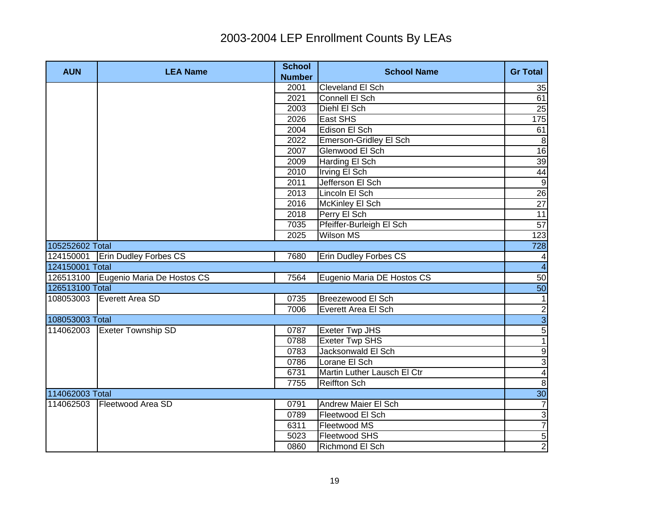| <b>AUN</b>      | <b>LEA Name</b>                      | <b>School</b><br><b>Number</b> | <b>School Name</b>           | <b>Gr Total</b>         |
|-----------------|--------------------------------------|--------------------------------|------------------------------|-------------------------|
|                 |                                      | 2001                           | Cleveland El Sch             | 35                      |
|                 |                                      | 2021                           | Connell El Sch               | 61                      |
|                 |                                      | 2003                           | Diehl El Sch                 | 25                      |
|                 |                                      | 2026                           | East SHS                     | 175                     |
|                 |                                      | 2004                           | Edison El Sch                | 61                      |
|                 |                                      | 2022                           | Emerson-Gridley El Sch       | $\infty$                |
|                 |                                      | 2007                           | Glenwood El Sch              | 16                      |
|                 |                                      | 2009                           | Harding El Sch               | 39                      |
|                 |                                      | 2010                           | Irving El Sch                | 44                      |
|                 |                                      | 2011                           | Jefferson El Sch             | $\overline{9}$          |
|                 |                                      | 2013                           | Lincoln El Sch               | 26                      |
|                 |                                      | 2016                           | McKinley El Sch              | 27                      |
|                 |                                      | 2018                           | Perry El Sch                 | 11                      |
|                 |                                      | 7035                           | Pfeiffer-Burleigh El Sch     | 57                      |
|                 |                                      | 2025                           | <b>Wilson MS</b>             | 123                     |
| 105252602 Total |                                      |                                |                              | 728                     |
| 124150001       | <b>Erin Dudley Forbes CS</b>         | 7680                           | <b>Erin Dudley Forbes CS</b> | $\overline{4}$          |
| 124150001 Total |                                      |                                |                              | $\overline{4}$          |
|                 | 126513100 Eugenio Maria De Hostos CS | 7564                           | Eugenio Maria DE Hostos CS   | 50                      |
| 126513100 Total |                                      |                                |                              | 50                      |
| 108053003       | Everett Area SD                      | 0735                           | Breezewood El Sch            | 1                       |
|                 |                                      | 7006                           | Everett Area El Sch          |                         |
| 108053003 Total |                                      |                                |                              | $\frac{1}{5}$ ש         |
| 114062003       | <b>Exeter Township SD</b>            | 0787                           | <b>Exeter Twp JHS</b>        |                         |
|                 |                                      | 0788                           | <b>Exeter Twp SHS</b>        | $\overline{1}$          |
|                 |                                      | 0783                           | Jacksonwald El Sch           | $\overline{9}$          |
|                 |                                      | 0786                           | Lorane El Sch                | $\overline{3}$          |
|                 |                                      | 6731                           | Martin Luther Lausch El Ctr  | $\overline{\mathbf{4}}$ |
|                 |                                      | 7755                           | Reiffton Sch                 | $\boldsymbol{8}$        |
| 114062003 Total |                                      |                                |                              | 30                      |
|                 | 114062503 Fleetwood Area SD          | 0791                           | Andrew Maier El Sch          | $\overline{7}$          |
|                 |                                      | 0789                           | Fleetwood El Sch             | $\mathbf{3}$            |
|                 |                                      | 6311                           | Fleetwood MS                 | $\overline{7}$          |
|                 |                                      | 5023                           | <b>Fleetwood SHS</b>         | $\overline{5}$          |
|                 |                                      | 0860                           | Richmond El Sch              | $\overline{2}$          |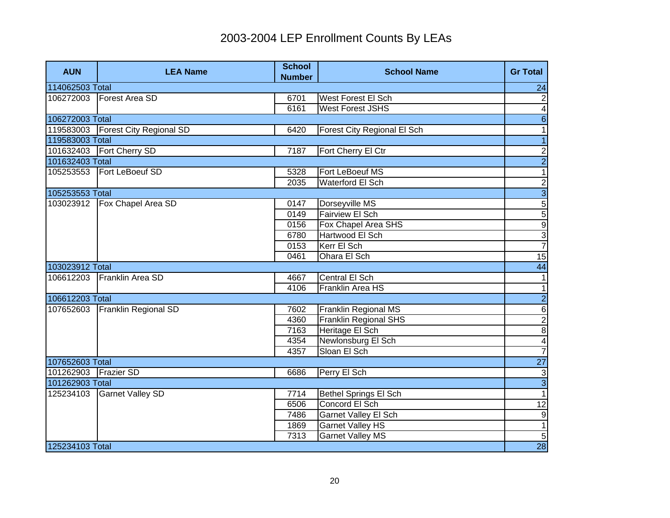| <b>AUN</b>      | <b>LEA Name</b>                     | <b>School</b><br><b>Number</b> | <b>School Name</b>           | <b>Gr Total</b>          |
|-----------------|-------------------------------------|--------------------------------|------------------------------|--------------------------|
| 114062503 Total |                                     |                                |                              | 24                       |
| 106272003       | Forest Area SD                      | 6701                           | West Forest El Sch           | $\overline{c}$           |
|                 |                                     | 6161                           | <b>West Forest JSHS</b>      | $\overline{4}$           |
| 106272003 Total |                                     |                                |                              | $6 \overline{6}$         |
|                 | 119583003   Forest City Regional SD | 6420                           | Forest City Regional El Sch  | $\overline{\phantom{a}}$ |
| 119583003 Total |                                     |                                |                              | $\overline{1}$           |
|                 | 101632403    Fort Cherry SD         | 7187                           | Fort Cherry El Ctr           | $\overline{c}$           |
| 101632403 Total |                                     |                                |                              | $\overline{2}$           |
| 105253553       | Fort LeBoeuf SD                     | 5328                           | Fort LeBoeuf MS              | $\overline{1}$           |
|                 |                                     | 2035                           | Waterford El Sch             | $\overline{2}$           |
| 105253553 Total |                                     |                                |                              | $\overline{3}$           |
| 103023912       | Fox Chapel Area SD                  | 0147                           | Dorseyville MS               | $\overline{5}$           |
|                 |                                     | 0149                           | <b>Fairview El Sch</b>       | $\overline{5}$           |
|                 |                                     | 0156                           | Fox Chapel Area SHS          | $\overline{9}$           |
|                 |                                     | 6780                           | Hartwood El Sch              | $rac{3}{7}$              |
|                 |                                     | 0153                           | Kerr El Sch                  |                          |
|                 |                                     | 0461                           | Ohara El Sch                 | 15                       |
| 103023912 Total |                                     |                                |                              | 44                       |
| 106612203       | Franklin Area SD                    | 4667                           | Central El Sch               | $\mathbf{1}$             |
|                 |                                     | 4106                           | Franklin Area HS             | $\overline{\phantom{0}}$ |
| 106612203 Total |                                     |                                |                              | $\overline{2}$           |
| 107652603       | <b>Franklin Regional SD</b>         | 7602                           | Franklin Regional MS         | $6\overline{6}$          |
|                 |                                     | 4360                           | <b>Franklin Regional SHS</b> | $\frac{2}{8}$            |
|                 |                                     | 7163                           | Heritage El Sch              |                          |
|                 |                                     | 4354                           | Newlonsburg El Sch           | $\overline{\mathbf{A}}$  |
|                 |                                     | 4357                           | Sloan El Sch                 | $\overline{7}$           |
| 107652603 Total |                                     |                                |                              | <b>27</b>                |
| 101262903       | <b>Frazier SD</b>                   | 6686                           | Perry El Sch                 | $\overline{3}$           |
| 101262903 Total |                                     |                                |                              | $\overline{3}$           |
| 125234103       | <b>Garnet Valley SD</b>             | 7714                           | <b>Bethel Springs El Sch</b> | 1                        |
|                 |                                     | 6506                           | Concord El Sch               | $\overline{12}$          |
|                 |                                     | 7486                           | <b>Garnet Valley El Sch</b>  | Θ                        |
|                 |                                     | 1869                           | <b>Garnet Valley HS</b>      | $\overline{1}$           |
|                 |                                     | 7313                           | <b>Garnet Valley MS</b>      | 5                        |
| 125234103 Total |                                     |                                |                              | 28                       |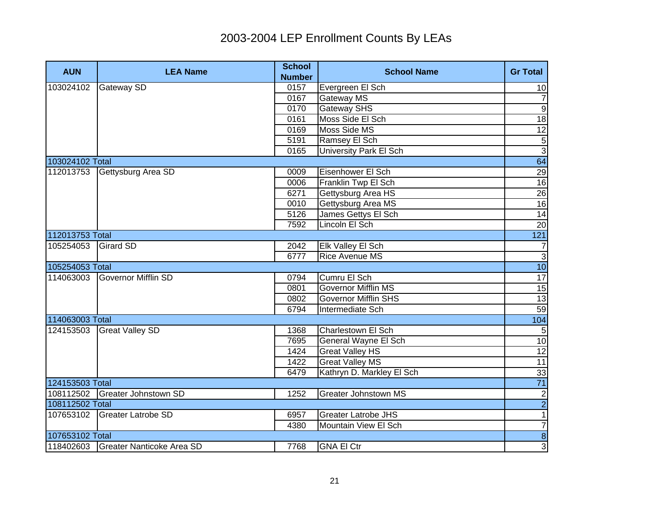| <b>AUN</b>      | <b>LEA Name</b>                     | <b>School</b><br><b>Number</b> | <b>School Name</b>          | <b>Gr Total</b>  |
|-----------------|-------------------------------------|--------------------------------|-----------------------------|------------------|
| 103024102       | <b>Gateway SD</b>                   | 0157                           | Evergreen El Sch            | 10               |
|                 |                                     | 0167                           | Gateway MS                  | $\overline{7}$   |
|                 |                                     | 0170                           | Gateway SHS                 | $\overline{9}$   |
|                 |                                     | 0161                           | Moss Side El Sch            | 18               |
|                 |                                     | 0169                           | Moss Side MS                | 12               |
|                 |                                     | 5191                           | Ramsey El Sch               | $\overline{5}$   |
|                 |                                     | 0165                           | University Park El Sch      | $\overline{3}$   |
| 103024102 Total |                                     |                                |                             | 64               |
| 112013753       | Gettysburg Area SD                  | 0009                           | Eisenhower El Sch           |                  |
|                 |                                     | 0006                           | Franklin Twp El Sch         | $\frac{29}{16}$  |
|                 |                                     | 6271                           | Gettysburg Area HS          |                  |
|                 |                                     | 0010                           | Gettysburg Area MS          | $\frac{26}{16}$  |
|                 |                                     | 5126                           | James Gettys El Sch         | $\overline{14}$  |
|                 |                                     | 7592                           | Lincoln El Sch              | 20               |
| 112013753 Total |                                     |                                |                             | 121              |
| 105254053       | <b>Girard SD</b>                    | 2042                           | Elk Valley El Sch           | $\boldsymbol{7}$ |
|                 |                                     | 6777                           | <b>Rice Avenue MS</b>       | $\overline{3}$   |
| 105254053 Total |                                     |                                |                             | 10               |
| 114063003       | Governor Mifflin SD                 | 0794                           | Cumru El Sch                | 17               |
|                 |                                     | 0801                           | <b>Governor Mifflin MS</b>  | 15               |
|                 |                                     | 0802                           | <b>Governor Mifflin SHS</b> | 13               |
|                 |                                     | 6794                           | Intermediate Sch            | 59               |
| 114063003 Total |                                     |                                |                             | 104              |
| 124153503       | <b>Great Valley SD</b>              | 1368                           | Charlestown El Sch          | $\overline{5}$   |
|                 |                                     | 7695                           | General Wayne El Sch        | 10               |
|                 |                                     | 1424                           | <b>Great Valley HS</b>      | $\overline{12}$  |
|                 |                                     | 1422                           | <b>Great Valley MS</b>      | 11               |
|                 |                                     | 6479                           | Kathryn D. Markley El Sch   | 33               |
| 124153503 Total |                                     |                                |                             | $\overline{71}$  |
|                 | 108112502 Greater Johnstown SD      | 1252                           | <b>Greater Johnstown MS</b> | $\frac{2}{2}$    |
| 108112502 Total |                                     |                                |                             |                  |
| 107653102       | Greater Latrobe SD                  | 6957                           | <b>Greater Latrobe JHS</b>  | $\overline{1}$   |
|                 |                                     | 4380                           | Mountain View El Sch        | $\overline{7}$   |
| 107653102 Total |                                     |                                |                             | $\overline{8}$   |
|                 | 118402603 Greater Nanticoke Area SD | 7768                           | <b>GNA El Ctr</b>           | $\overline{3}$   |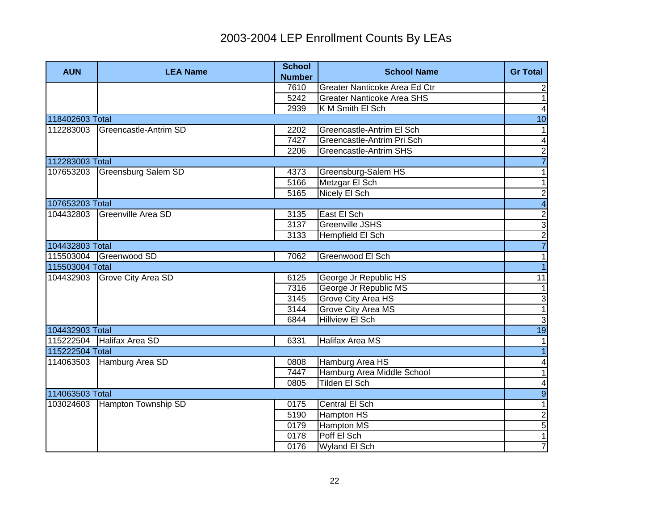| <b>AUN</b>      | <b>LEA Name</b>        | <b>School</b><br><b>Number</b> | <b>School Name</b>                | <b>Gr Total</b>         |
|-----------------|------------------------|--------------------------------|-----------------------------------|-------------------------|
|                 |                        | 7610                           | Greater Nanticoke Area Ed Ctr     | $\overline{c}$          |
|                 |                        | 5242                           | <b>Greater Nanticoke Area SHS</b> | $\mathbf{1}$            |
|                 |                        | 2939                           | K M Smith El Sch                  | $\overline{4}$          |
| 118402603 Total |                        |                                |                                   | 10                      |
| 112283003       | Greencastle-Antrim SD  | 2202                           | Greencastle-Antrim El Sch         | $\mathbf{1}$            |
|                 |                        | 7427                           | Greencastle-Antrim Pri Sch        | $\overline{\mathbf{4}}$ |
|                 |                        | 2206                           | Greencastle-Antrim SHS            |                         |
| 112283003 Total |                        |                                |                                   | $\frac{2}{7}$           |
| 107653203       | Greensburg Salem SD    | 4373                           | Greensburg-Salem HS               | 1                       |
|                 |                        | 5166                           | Metzgar El Sch                    | $\mathbf{1}$            |
|                 |                        | 5165                           | Nicely El Sch                     | $\overline{2}$          |
| 107653203 Total |                        |                                |                                   | $\overline{4}$          |
| 104432803       | Greenville Area SD     | 3135                           | East El Sch                       |                         |
|                 |                        | 3137                           | Greenville JSHS                   |                         |
|                 |                        | 3133                           | Hempfield El Sch                  |                         |
| 104432803 Total |                        |                                |                                   | $\frac{2}{7}$           |
|                 | 115503004 Greenwood SD | 7062                           | Greenwood El Sch                  | 1                       |
| 115503004 Total |                        |                                |                                   | $\overline{1}$          |
| 104432903       | Grove City Area SD     | 6125                           | George Jr Republic HS             | 11                      |
|                 |                        | 7316                           | George Jr Republic MS             | $\overline{1}$          |
|                 |                        | 3145                           | <b>Grove City Area HS</b>         | $\overline{3}$          |
|                 |                        | 3144                           | <b>Grove City Area MS</b>         | $\overline{1}$          |
|                 |                        | 6844                           | <b>Hillview El Sch</b>            | $\overline{3}$          |
| 104432903 Total |                        |                                |                                   | 19                      |
| 115222504       | Halifax Area SD        | 6331                           | Halifax Area MS                   | $\vert$ 1               |
| 115222504 Total |                        |                                |                                   | $\overline{1}$          |
| 114063503       | Hamburg Area SD        | 0808                           | Hamburg Area HS                   | $\overline{\mathbf{4}}$ |
|                 |                        | 7447                           | Hamburg Area Middle School        | $\overline{1}$          |
|                 |                        | 0805                           | Tilden El Sch                     | $\blacktriangle$        |
| 114063503 Total |                        |                                |                                   | $\overline{9}$          |
| 103024603       | Hampton Township SD    | 0175                           | Central El Sch                    | $\overline{1}$          |
|                 |                        | 5190                           | Hampton HS                        | $\overline{2}$          |
|                 |                        | 0179                           | <b>Hampton MS</b>                 | $\overline{5}$          |
|                 |                        | 0178                           | Poff El Sch                       | $\overline{1}$          |
|                 |                        | 0176                           | Wyland El Sch                     | $\overline{7}$          |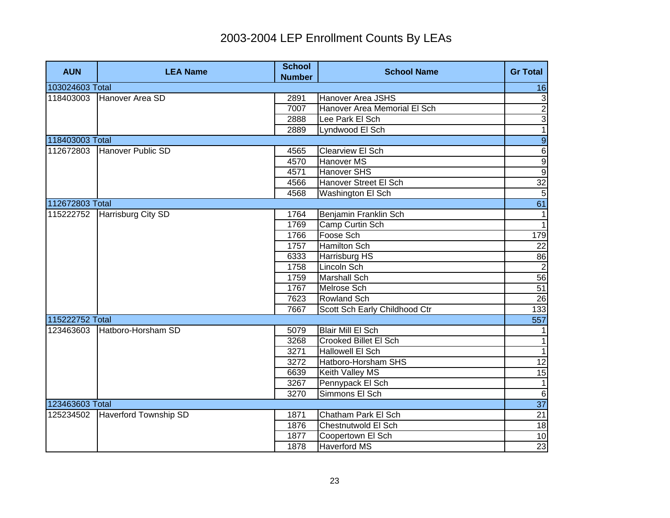| <b>AUN</b>      | <b>LEA Name</b>              | <b>School</b><br><b>Number</b> | <b>School Name</b>            | <b>Gr Total</b>                                                                                                                                                                                                                                                                                                                                                                                                                                                                                                                                                                             |
|-----------------|------------------------------|--------------------------------|-------------------------------|---------------------------------------------------------------------------------------------------------------------------------------------------------------------------------------------------------------------------------------------------------------------------------------------------------------------------------------------------------------------------------------------------------------------------------------------------------------------------------------------------------------------------------------------------------------------------------------------|
| 103024603 Total |                              |                                |                               | 16                                                                                                                                                                                                                                                                                                                                                                                                                                                                                                                                                                                          |
| 118403003       | Hanover Area SD              | 2891                           | <b>Hanover Area JSHS</b>      | 3                                                                                                                                                                                                                                                                                                                                                                                                                                                                                                                                                                                           |
|                 |                              | 7007                           | Hanover Area Memorial El Sch  | $\overline{2}$                                                                                                                                                                                                                                                                                                                                                                                                                                                                                                                                                                              |
|                 |                              | 2888                           | Lee Park El Sch               | $\overline{3}$                                                                                                                                                                                                                                                                                                                                                                                                                                                                                                                                                                              |
|                 |                              | 2889                           | Lyndwood El Sch               | $\overline{1}$                                                                                                                                                                                                                                                                                                                                                                                                                                                                                                                                                                              |
| 118403003 Total |                              |                                |                               | $\overline{9}$                                                                                                                                                                                                                                                                                                                                                                                                                                                                                                                                                                              |
| 112672803       | Hanover Public SD            | 4565                           | <b>Clearview El Sch</b>       | $\overline{6}$                                                                                                                                                                                                                                                                                                                                                                                                                                                                                                                                                                              |
|                 |                              | 4570                           | <b>Hanover MS</b>             | $\overline{9}$                                                                                                                                                                                                                                                                                                                                                                                                                                                                                                                                                                              |
|                 |                              | 4571                           | Hanover SHS                   | $\overline{9}$                                                                                                                                                                                                                                                                                                                                                                                                                                                                                                                                                                              |
|                 |                              | 4566                           | Hanover Street El Sch         | 32                                                                                                                                                                                                                                                                                                                                                                                                                                                                                                                                                                                          |
|                 |                              | 4568                           | Washington El Sch             | $\overline{5}$                                                                                                                                                                                                                                                                                                                                                                                                                                                                                                                                                                              |
| 112672803 Total |                              |                                |                               | 61                                                                                                                                                                                                                                                                                                                                                                                                                                                                                                                                                                                          |
| 115222752       | Harrisburg City SD           | 1764                           | Benjamin Franklin Sch         | $\overline{1}$                                                                                                                                                                                                                                                                                                                                                                                                                                                                                                                                                                              |
|                 |                              | 1769                           | Camp Curtin Sch               | $\overline{1}$                                                                                                                                                                                                                                                                                                                                                                                                                                                                                                                                                                              |
|                 |                              | 1766                           | Foose Sch                     | 179                                                                                                                                                                                                                                                                                                                                                                                                                                                                                                                                                                                         |
|                 |                              | 1757                           | <b>Hamilton Sch</b>           | $\overline{22}$                                                                                                                                                                                                                                                                                                                                                                                                                                                                                                                                                                             |
|                 |                              | 6333                           | Harrisburg HS                 | 86                                                                                                                                                                                                                                                                                                                                                                                                                                                                                                                                                                                          |
|                 |                              | 1758                           | Lincoln Sch                   | $\begin{array}{c}\n\overline{\phantom{0}} \\ \overline{\phantom{0}} \\ \overline{\phantom{0}} \\ \overline{\phantom{0}} \\ \overline{\phantom{0}} \\ \overline{\phantom{0}} \\ \overline{\phantom{0}} \\ \overline{\phantom{0}} \\ \overline{\phantom{0}} \\ \overline{\phantom{0}} \\ \overline{\phantom{0}} \\ \overline{\phantom{0}} \\ \overline{\phantom{0}} \\ \overline{\phantom{0}} \\ \overline{\phantom{0}} \\ \overline{\phantom{0}} \\ \overline{\phantom{0}} \\ \overline{\phantom{0}} \\ \overline{\phantom{0}} \\ \overline{\phantom{0}} \\ \overline{\phantom{0}} \\ \over$ |
|                 |                              | 1759                           | <b>Marshall Sch</b>           |                                                                                                                                                                                                                                                                                                                                                                                                                                                                                                                                                                                             |
|                 |                              | 1767                           | <b>Melrose Sch</b>            |                                                                                                                                                                                                                                                                                                                                                                                                                                                                                                                                                                                             |
|                 |                              | 7623                           | <b>Rowland Sch</b>            | $\overline{26}$                                                                                                                                                                                                                                                                                                                                                                                                                                                                                                                                                                             |
|                 |                              | 7667                           | Scott Sch Early Childhood Ctr | 133                                                                                                                                                                                                                                                                                                                                                                                                                                                                                                                                                                                         |
| 115222752 Total |                              |                                |                               | 557                                                                                                                                                                                                                                                                                                                                                                                                                                                                                                                                                                                         |
| 123463603       | Hatboro-Horsham SD           | 5079                           | <b>Blair Mill El Sch</b>      |                                                                                                                                                                                                                                                                                                                                                                                                                                                                                                                                                                                             |
|                 |                              | 3268                           | <b>Crooked Billet El Sch</b>  | $\mathbf{1}$                                                                                                                                                                                                                                                                                                                                                                                                                                                                                                                                                                                |
|                 |                              | 3271                           | <b>Hallowell El Sch</b>       | $\mathbf{1}$                                                                                                                                                                                                                                                                                                                                                                                                                                                                                                                                                                                |
|                 |                              | 3272                           | Hatboro-Horsham SHS           | 12                                                                                                                                                                                                                                                                                                                                                                                                                                                                                                                                                                                          |
|                 |                              | 6639                           | Keith Valley MS               | 15                                                                                                                                                                                                                                                                                                                                                                                                                                                                                                                                                                                          |
|                 |                              | 3267                           | Pennypack El Sch              | $\mathbf{1}$                                                                                                                                                                                                                                                                                                                                                                                                                                                                                                                                                                                |
|                 |                              | 3270                           | Simmons El Sch                | $\overline{6}$                                                                                                                                                                                                                                                                                                                                                                                                                                                                                                                                                                              |
| 123463603 Total |                              |                                |                               | $\overline{37}$                                                                                                                                                                                                                                                                                                                                                                                                                                                                                                                                                                             |
| 125234502       | <b>Haverford Township SD</b> | 1871                           | Chatham Park El Sch           | $\overline{21}$                                                                                                                                                                                                                                                                                                                                                                                                                                                                                                                                                                             |
|                 |                              | 1876                           | Chestnutwold El Sch           | $\frac{1}{8}$                                                                                                                                                                                                                                                                                                                                                                                                                                                                                                                                                                               |
|                 |                              | 1877                           | Coopertown El Sch             | 10                                                                                                                                                                                                                                                                                                                                                                                                                                                                                                                                                                                          |
|                 |                              | 1878                           | Haverford MS                  | 23                                                                                                                                                                                                                                                                                                                                                                                                                                                                                                                                                                                          |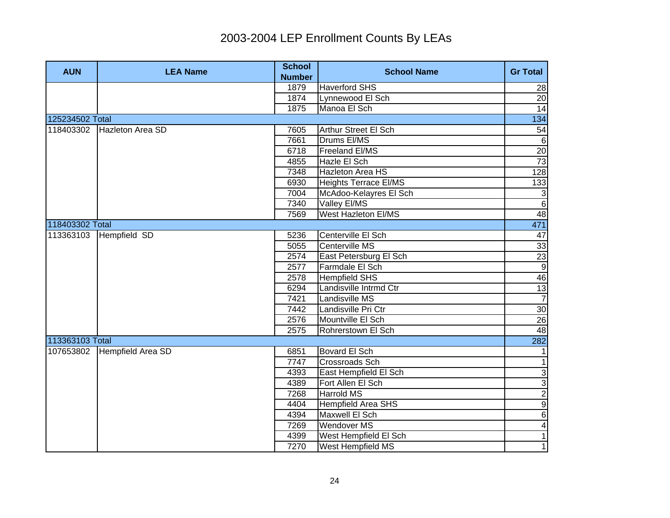| <b>AUN</b>      | <b>LEA Name</b>            | <b>School</b><br><b>Number</b> | <b>School Name</b>           | <b>Gr Total</b>         |
|-----------------|----------------------------|--------------------------------|------------------------------|-------------------------|
|                 |                            | 1879                           | <b>Haverford SHS</b>         | 28                      |
|                 |                            | 1874                           | Lynnewood El Sch             | 20                      |
|                 |                            | 1875                           | Manoa El Sch                 | 14                      |
| 125234502 Total |                            |                                |                              | 134                     |
|                 | 118403302 Hazleton Area SD | 7605                           | Arthur Street El Sch         | 54                      |
|                 |                            | 7661                           | Drums EI/MS                  | ഐ                       |
|                 |                            | 6718                           | Freeland El/MS               | 20                      |
|                 |                            | 4855                           | Hazle El Sch                 | 73                      |
|                 |                            | 7348                           | Hazleton Area HS             | 128                     |
|                 |                            | 6930                           | <b>Heights Terrace EI/MS</b> | 133                     |
|                 |                            | 7004                           | McAdoo-Kelayres El Sch       | $\mathbf{3}$            |
|                 |                            | 7340                           | Valley El/MS                 | $6 \overline{}$         |
|                 |                            | 7569                           | West Hazleton EI/MS          | 48                      |
| 118403302 Total |                            |                                |                              | 471                     |
| 113363103       | Hempfield SD               | 5236                           | Centerville El Sch           | 47                      |
|                 |                            | 5055                           | Centerville MS               | 33                      |
|                 |                            | 2574                           | East Petersburg El Sch       | 23                      |
|                 |                            | 2577                           | Farmdale El Sch              | $\overline{9}$          |
|                 |                            | 2578                           | <b>Hempfield SHS</b>         | 46                      |
|                 |                            | 6294                           | Landisville Intrmd Ctr       | 13                      |
|                 |                            | 7421                           | Landisville MS               | $\overline{7}$          |
|                 |                            | 7442                           | Landisville Pri Ctr          | 30                      |
|                 |                            | 2576                           | Mountville El Sch            | 26                      |
|                 |                            | 2575                           | Rohrerstown El Sch           | 48                      |
| 113363103 Total |                            |                                |                              | 282                     |
| 107653802       | Hempfield Area SD          | 6851                           | Bovard El Sch                | 1                       |
|                 |                            | 7747                           | <b>Crossroads Sch</b>        | 1                       |
|                 |                            | 4393                           | East Hempfield El Sch        | $\overline{3}$          |
|                 |                            | 4389                           | Fort Allen El Sch            | $\overline{3}$          |
|                 |                            | 7268                           | <b>Harrold MS</b>            | $\overline{2}$          |
|                 |                            | 4404                           | <b>Hempfield Area SHS</b>    | $\overline{9}$          |
|                 |                            | 4394                           | Maxwell El Sch               | $\overline{6}$          |
|                 |                            | 7269                           | <b>Wendover MS</b>           | $\overline{\mathbf{A}}$ |
|                 |                            | 4399                           | West Hempfield El Sch        | $\overline{1}$          |
|                 |                            | 7270                           | West Hempfield MS            | $\overline{1}$          |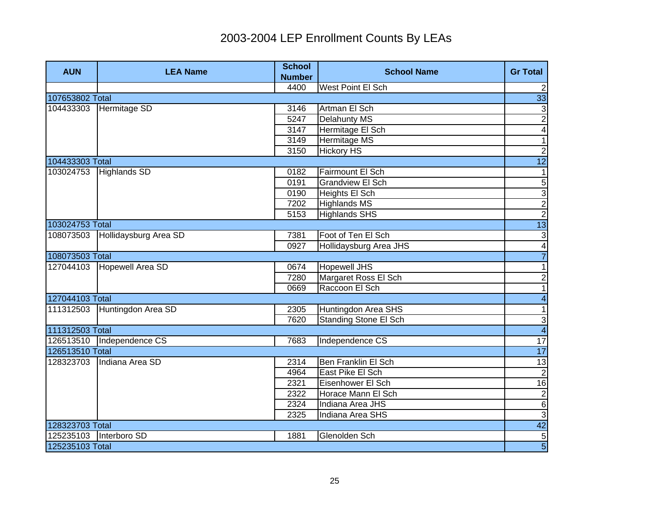| <b>AUN</b>      | <b>LEA Name</b>             | <b>School</b><br><b>Number</b> | <b>School Name</b>           | <b>Gr Total</b>          |
|-----------------|-----------------------------|--------------------------------|------------------------------|--------------------------|
|                 |                             | 4400                           | West Point El Sch            | $2\vert$                 |
| 107653802 Total |                             |                                |                              | 33                       |
| 104433303       | Hermitage SD                | 3146                           | Artman El Sch                | 3                        |
|                 |                             | 5247                           | <b>Delahunty MS</b>          | $\overline{2}$           |
|                 |                             | 3147                           | Hermitage El Sch             | $\overline{\mathbf{4}}$  |
|                 |                             | 3149                           | <b>Hermitage MS</b>          | $\overline{1}$           |
|                 |                             | 3150                           | <b>Hickory HS</b>            | $\overline{c}$           |
| 104433303 Total |                             |                                |                              | $\overline{12}$          |
| 103024753       | Highlands SD                | 0182                           | Fairmount El Sch             | $\mathbf{1}$             |
|                 |                             | 0191                           | <b>Grandview El Sch</b>      | $\overline{5}$           |
|                 |                             | 0190                           | Heights El Sch               | $\overline{3}$           |
|                 |                             | 7202                           | <b>Highlands MS</b>          | $\frac{2}{2}$            |
|                 |                             | 5153                           | <b>Highlands SHS</b>         |                          |
| 103024753 Total |                             |                                |                              | 13                       |
| 108073503       | Hollidaysburg Area SD       | 7381                           | Foot of Ten El Sch           | رن                       |
|                 |                             | 0927                           | Hollidaysburg Area JHS       | $\overline{\mathbf{4}}$  |
| 108073503 Total |                             |                                |                              | $\overline{7}$           |
| 127044103       | Hopewell Area SD            | 0674                           | <b>Hopewell JHS</b>          | $\overline{1}$           |
|                 |                             | 7280                           | Margaret Ross El Sch         | $\frac{2}{1}$            |
|                 |                             | 0669                           | Raccoon El Sch               |                          |
| 127044103 Total |                             |                                |                              | $\overline{\mathbf{A}}$  |
| 111312503       | Huntingdon Area SD          | 2305                           | Huntingdon Area SHS          | $\overline{\phantom{0}}$ |
|                 |                             | 7620                           | <b>Standing Stone El Sch</b> | $\frac{3}{4}$            |
| 111312503 Total |                             |                                |                              |                          |
|                 | 126513510   Independence CS | 7683                           | Independence CS              | 17                       |
| 126513510 Total |                             |                                |                              | 17                       |
|                 | 128323703   Indiana Area SD | 2314                           | <b>Ben Franklin El Sch</b>   | 13                       |
|                 |                             | 4964                           | East Pike El Sch             | $\overline{c}$           |
|                 |                             | 2321                           | Eisenhower El Sch            | 16                       |
|                 |                             | 2322                           | Horace Mann El Sch           | $\overline{c}$           |
|                 |                             | 2324                           | Indiana Area JHS             | $\overline{6}$           |
|                 |                             | 2325                           | Indiana Area SHS             | 3                        |
| 128323703 Total |                             |                                |                              | 42                       |
| 125235103       | Interboro SD                | 1881                           | Glenolden Sch                | $\overline{5}$           |
| 125235103 Total |                             |                                |                              | $\overline{5}$           |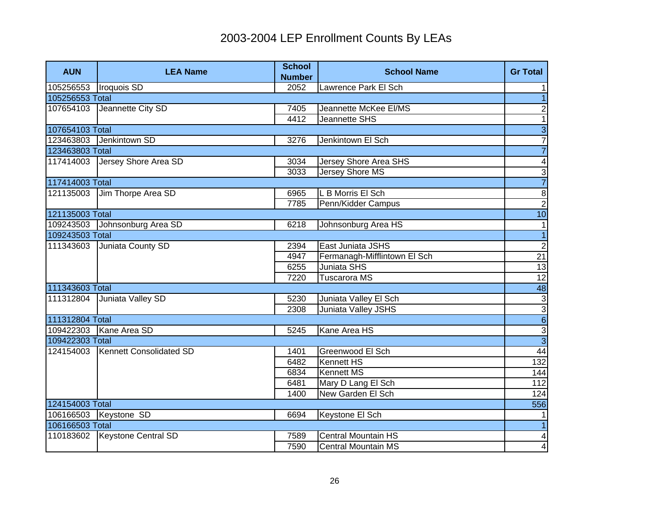| <b>AUN</b>      | <b>LEA Name</b>            | <b>School</b><br><b>Number</b> | <b>School Name</b>           | <b>Gr Total</b>         |
|-----------------|----------------------------|--------------------------------|------------------------------|-------------------------|
| 105256553       | Iroquois SD                | 2052                           | Lawrence Park El Sch         | $\mathbf{1}$            |
| 105256553 Total |                            |                                |                              | $\overline{1}$          |
| 107654103       | Jeannette City SD          | 7405                           | Jeannette McKee El/MS        | $\overline{c}$          |
|                 |                            | 4412                           | Jeannette SHS                | $\overline{1}$          |
| 107654103 Total |                            |                                |                              | $\overline{3}$          |
| 123463803       | Jenkintown SD              | 3276                           | Jenkintown El Sch            | $\overline{7}$          |
| 123463803 Total |                            |                                |                              | $\overline{7}$          |
| 117414003       | Jersey Shore Area SD       | 3034                           | Jersey Shore Area SHS        | $\overline{\mathbf{4}}$ |
|                 |                            | 3033                           | <b>Jersey Shore MS</b>       | $\overline{3}$          |
| 117414003 Total |                            |                                |                              | $\overline{7}$          |
| 121135003       | Jim Thorpe Area SD         | 6965                           | L B Morris El Sch            | $\overline{8}$          |
|                 |                            | 7785                           | Penn/Kidder Campus           | $\overline{2}$          |
| 121135003 Total |                            |                                |                              | 10                      |
| 109243503       | Johnsonburg Area SD        | 6218                           | Johnsonburg Area HS          | $\mathbf{1}$            |
| 109243503 Total |                            |                                |                              | $\overline{1}$          |
| 111343603       | Juniata County SD          | 2394                           | East Juniata JSHS            | $\overline{2}$          |
|                 |                            | 4947                           | Fermanagh-Mifflintown El Sch | 21                      |
|                 |                            | 6255                           | Juniata SHS                  | 13                      |
|                 |                            | 7220                           | Tuscarora MS                 | 12                      |
| 111343603 Total |                            |                                |                              | 48                      |
| 111312804       | Juniata Valley SD          | 5230                           | Juniata Valley El Sch        |                         |
|                 |                            | 2308                           | Juniata Valley JSHS          |                         |
| 111312804 Total |                            |                                |                              | <u>ယ တ တ ယ</u>          |
|                 | 109422303 Kane Area SD     | 5245                           | Kane Area HS                 |                         |
| 109422303 Total |                            |                                |                              |                         |
| 124154003       | Kennett Consolidated SD    | 1401                           | Greenwood El Sch             | 44                      |
|                 |                            | 6482                           | <b>Kennett HS</b>            | 132                     |
|                 |                            | 6834                           | <b>Kennett MS</b>            | 144                     |
|                 |                            | 6481                           | Mary D Lang El Sch           | 112                     |
|                 |                            | 1400                           | New Garden El Sch            | 124                     |
| 124154003 Total |                            |                                |                              | 556                     |
|                 | 106166503 Keystone SD      | 6694                           | Keystone El Sch              | $\mathbf{1}$            |
| 106166503 Total |                            |                                |                              | $\overline{1}$          |
| 110183602       | <b>Keystone Central SD</b> | 7589                           | <b>Central Mountain HS</b>   | $\vert 4 \vert$         |
|                 |                            | 7590                           | <b>Central Mountain MS</b>   | $\overline{4}$          |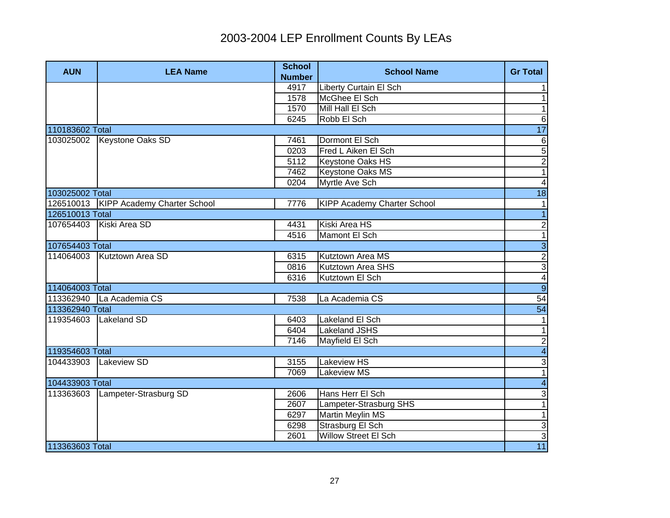| <b>AUN</b>      | <b>LEA Name</b>                         | <b>School</b><br><b>Number</b> | <b>School Name</b>                 | <b>Gr Total</b>              |
|-----------------|-----------------------------------------|--------------------------------|------------------------------------|------------------------------|
|                 |                                         | 4917                           | <b>Liberty Curtain El Sch</b>      | 1                            |
|                 |                                         | 1578                           | McGhee El Sch                      | 1                            |
|                 |                                         | 1570                           | Mill Hall El Sch                   | $\mathbf{1}$                 |
|                 |                                         | 6245                           | Robb El Sch                        | $\,6$                        |
| 110183602 Total |                                         |                                |                                    | 17                           |
|                 | 103025002 Keystone Oaks SD              | 7461                           | Dormont El Sch                     | $\,6$                        |
|                 |                                         | 0203                           | Fred L Aiken El Sch                | $\overline{5}$               |
|                 |                                         | 5112                           | <b>Keystone Oaks HS</b>            | $\overline{2}$               |
|                 |                                         | 7462                           | <b>Keystone Oaks MS</b>            | $\overline{1}$               |
|                 |                                         | 0204                           | Myrtle Ave Sch                     | $\overline{\mathbf{4}}$      |
| 103025002 Total |                                         |                                |                                    | 18                           |
|                 | 126510013   KIPP Academy Charter School | 7776                           | <b>KIPP Academy Charter School</b> | $\mathbf{1}$                 |
| 126510013 Total |                                         |                                |                                    | $\overline{1}$               |
| 107654403       | Kiski Area SD                           | 4431                           | Kiski Area HS                      | $\overline{2}$               |
|                 |                                         | 4516                           | Mamont El Sch                      | $\overline{1}$               |
| 107654403 Total |                                         |                                |                                    | ا ما <mark>ده   ما</mark> مه |
| 114064003       | Kutztown Area SD                        | 6315                           | Kutztown Area MS                   |                              |
|                 |                                         | 0816                           | <b>Kutztown Area SHS</b>           |                              |
|                 |                                         | 6316                           | Kutztown El Sch                    |                              |
| 114064003 Total |                                         |                                |                                    |                              |
|                 | 113362940 La Academia CS                | 7538                           | La Academia CS                     | 54                           |
| 113362940 Total |                                         |                                |                                    | 54                           |
| 119354603       | Lakeland SD                             | 6403                           | Lakeland El Sch                    | 1                            |
|                 |                                         | 6404                           | <b>Lakeland JSHS</b>               | $\mathbf{1}$                 |
|                 |                                         | 7146                           | Mayfield El Sch                    | $\overline{2}$               |
| 119354603 Total |                                         |                                |                                    | $\overline{\mathbf{4}}$      |
| 104433903       | <b>Lakeview SD</b>                      | 3155                           | Lakeview HS                        | $\overline{3}$               |
|                 |                                         | 7069                           | Lakeview MS                        | $\overline{1}$               |
| 104433903 Total |                                         |                                |                                    | $\overline{4}$               |
|                 | 113363603 Lampeter-Strasburg SD         | 2606                           | Hans Herr El Sch                   | $\sqrt{3}$                   |
|                 |                                         | 2607                           | Lampeter-Strasburg SHS             | $\overline{1}$               |
|                 |                                         | 6297                           | <b>Martin Meylin MS</b>            | $\overline{1}$               |
|                 |                                         | 6298                           | Strasburg El Sch                   | 3                            |
|                 |                                         | 2601                           | <b>Willow Street El Sch</b>        | $\overline{3}$               |
| 113363603 Total |                                         |                                |                                    | 11                           |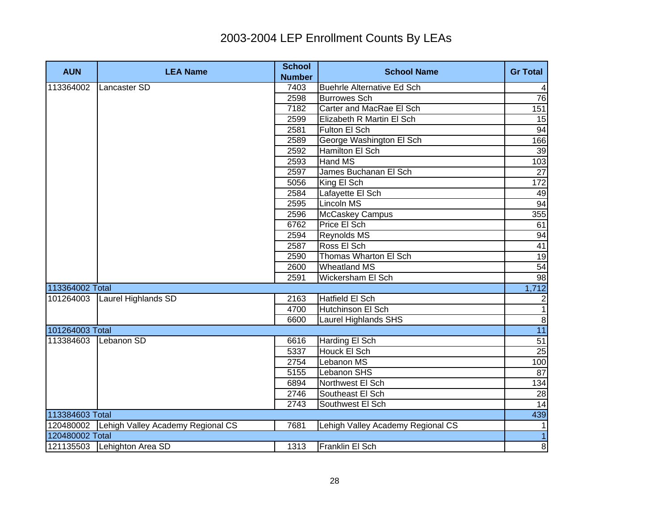| <b>AUN</b>      | <b>LEA Name</b>                   | <b>School</b> | <b>School Name</b>                | <b>Gr Total</b>  |
|-----------------|-----------------------------------|---------------|-----------------------------------|------------------|
|                 |                                   | <b>Number</b> |                                   |                  |
| 113364002       | Lancaster SD                      | 7403          | <b>Buehrle Alternative Ed Sch</b> | $\vert 4 \vert$  |
|                 |                                   | 2598          | <b>Burrowes Sch</b>               | 76               |
|                 |                                   | 7182          | Carter and MacRae El Sch          | 151              |
|                 |                                   | 2599          | Elizabeth R Martin El Sch         | 15               |
|                 |                                   | 2581          | Fulton El Sch                     | 94               |
|                 |                                   | 2589          | George Washington El Sch          | 166              |
|                 |                                   | 2592          | Hamilton El Sch                   | 39               |
|                 |                                   | 2593          | Hand MS                           | 103              |
|                 |                                   | 2597          | James Buchanan El Sch             | 27               |
|                 |                                   | 5056          | King El Sch                       | $\overline{172}$ |
|                 |                                   | 2584          | Lafayette El Sch                  | 49               |
|                 |                                   | 2595          | Lincoln MS                        | 94               |
|                 |                                   | 2596          | McCaskey Campus                   | 355              |
|                 |                                   | 6762          | Price El Sch                      | 61               |
|                 |                                   | 2594          | Reynolds MS                       | 94               |
|                 |                                   | 2587          | Ross El Sch                       | 41               |
|                 |                                   | 2590          | Thomas Wharton El Sch             | 19               |
|                 |                                   | 2600          | <b>Wheatland MS</b>               | 54               |
|                 |                                   | 2591          | Wickersham El Sch                 | 98               |
| 113364002 Total |                                   |               |                                   | 1,712            |
| 101264003       | <b>Laurel Highlands SD</b>        | 2163          | Hatfield El Sch                   | $\overline{2}$   |
|                 |                                   | 4700          | <b>Hutchinson El Sch</b>          | $\overline{1}$   |
|                 |                                   | 6600          | Laurel Highlands SHS              | $\infty$         |
| 101264003 Total |                                   |               |                                   | 11               |
| 113384603       | Lebanon SD                        | 6616          | Harding El Sch                    | 51               |
|                 |                                   | 5337          | Houck El Sch                      | 25               |
|                 |                                   | 2754          | Lebanon MS                        | 100              |
|                 |                                   | 5155          | Lebanon SHS                       | 87               |
|                 |                                   | 6894          | Northwest El Sch                  | 134              |
|                 |                                   | 2746          | Southeast El Sch                  | 28               |
|                 |                                   | 2743          | Southwest El Sch                  | 14               |
| 113384603 Total |                                   |               |                                   | 439              |
| 120480002       | Lehigh Valley Academy Regional CS | 7681          | Lehigh Valley Academy Regional CS | $\mathbf{1}$     |
| 120480002 Total |                                   |               |                                   | $\overline{1}$   |
|                 | 121135503 Lehighton Area SD       | 1313          | Franklin El Sch                   | $\overline{8}$   |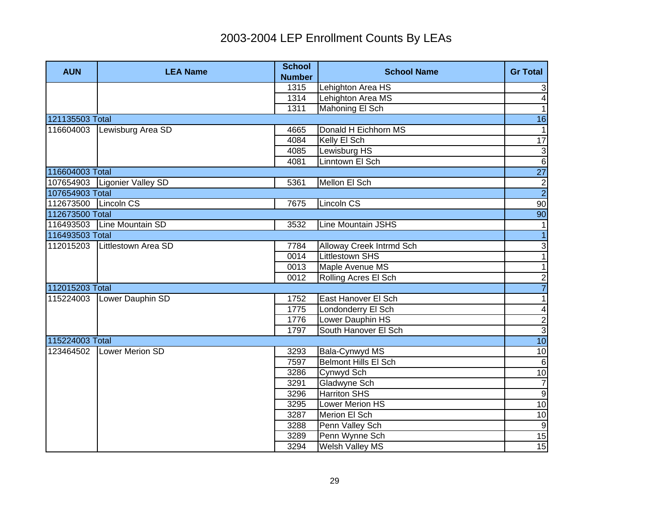| <b>AUN</b>           | <b>LEA Name</b>                | <b>School</b><br><b>Number</b> | <b>School Name</b>          | <b>Gr Total</b>         |
|----------------------|--------------------------------|--------------------------------|-----------------------------|-------------------------|
|                      |                                | 1315                           | Lehighton Area HS           | $\mathbf{3}$            |
|                      |                                | 1314                           | Lehighton Area MS           | $\overline{4}$          |
|                      |                                | 1311                           | Mahoning El Sch             | $\overline{1}$          |
| 121135503 Total      |                                |                                |                             | 16                      |
|                      | 116604003 Lewisburg Area SD    | 4665                           | Donald H Eichhorn MS        | $\mathbf{1}$            |
|                      |                                | 4084                           | Kelly El Sch                | $\overline{17}$         |
|                      |                                | 4085                           | Lewisburg HS                | $\mathbf{3}$            |
|                      |                                | 4081                           | Linntown El Sch             | $6\overline{6}$         |
| 116604003 Total      |                                |                                |                             | $\overline{27}$         |
|                      | 107654903   Ligonier Valley SD | 5361                           | Mellon El Sch               | $\frac{2}{2}$           |
| 107654903 Total      |                                |                                |                             |                         |
| 112673500 Lincoln CS |                                | 7675                           | Lincoln CS                  | 90                      |
| 112673500 Total      |                                |                                |                             | 90                      |
|                      | 116493503 Line Mountain SD     | 3532                           | <b>Line Mountain JSHS</b>   | 1                       |
| 116493503 Total      |                                |                                |                             | $\overline{1}$          |
| 112015203            | Littlestown Area SD            | 7784                           | Alloway Creek Intrmd Sch    | $\frac{3}{1}$           |
|                      |                                | 0014                           | <b>Littlestown SHS</b>      |                         |
|                      |                                | 0013                           | Maple Avenue MS             | $\overline{1}$          |
|                      |                                | 0012                           | Rolling Acres El Sch        | $\overline{2}$          |
| 112015203 Total      |                                |                                |                             | $\overline{7}$          |
| 115224003            | Lower Dauphin SD               | 1752                           | East Hanover El Sch         | $\overline{1}$          |
|                      |                                | 1775                           | Londonderry El Sch          | $\overline{\mathbf{4}}$ |
|                      |                                | 1776                           | Lower Dauphin HS            | $\frac{1}{3}$           |
|                      |                                | 1797                           | South Hanover El Sch        |                         |
| 115224003 Total      |                                |                                |                             | 10                      |
| 123464502            | Lower Merion SD                | 3293                           | Bala-Cynwyd MS              | 10                      |
|                      |                                | 7597                           | <b>Belmont Hills El Sch</b> | $\sigma$                |
|                      |                                | 3286                           | Cynwyd Sch                  | 10                      |
|                      |                                | 3291                           | Gladwyne Sch                | $\overline{7}$          |
|                      |                                | 3296                           | <b>Harriton SHS</b>         | 9                       |
|                      |                                | 3295                           | Lower Merion HS             | 10                      |
|                      |                                | 3287                           | Merion El Sch               | 10                      |
|                      |                                | 3288                           | Penn Valley Sch             | 9                       |
|                      |                                | 3289                           | Penn Wynne Sch              | 15                      |
|                      |                                | 3294                           | <b>Welsh Valley MS</b>      | 15                      |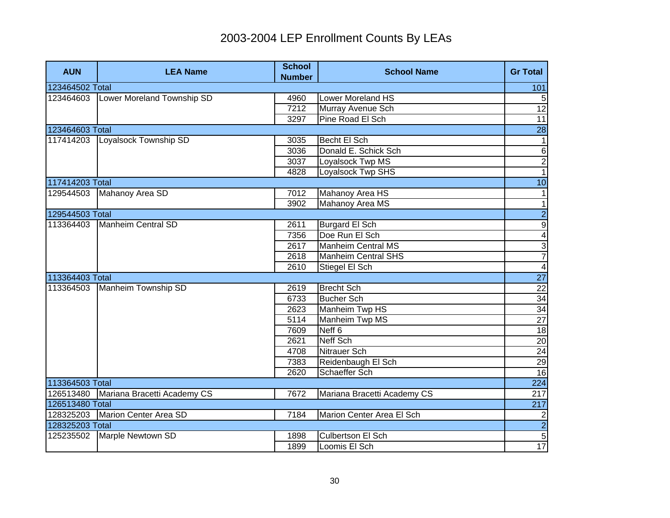| <b>AUN</b>      | <b>LEA Name</b>                        | <b>School</b><br><b>Number</b> | <b>School Name</b>          | <b>Gr Total</b>  |
|-----------------|----------------------------------------|--------------------------------|-----------------------------|------------------|
| 123464502 Total |                                        |                                |                             | 101              |
|                 | 123464603   Lower Moreland Township SD | 4960                           | Lower Moreland HS           | 5                |
|                 |                                        | 7212                           | Murray Avenue Sch           | $\overline{12}$  |
|                 |                                        | 3297                           | Pine Road El Sch            | $\overline{11}$  |
| 123464603 Total |                                        |                                |                             | $\overline{28}$  |
|                 | 117414203 Loyalsock Township SD        | 3035                           | Becht El Sch                |                  |
|                 |                                        | 3036                           | Donald E. Schick Sch        | $\,6$            |
|                 |                                        | 3037                           | Loyalsock Twp MS            | $\overline{2}$   |
|                 |                                        | 4828                           | Loyalsock Twp SHS           | $\overline{1}$   |
| 117414203 Total |                                        |                                |                             | 10               |
| 129544503       | Mahanoy Area SD                        | 7012                           | Mahanoy Area HS             | 1                |
|                 |                                        | 3902                           | <b>Mahanoy Area MS</b>      | $\overline{1}$   |
| 129544503 Total |                                        |                                |                             | $\overline{2}$   |
| 113364403       | Manheim Central SD                     | 2611                           | <b>Burgard El Sch</b>       | $\frac{9}{4}$    |
|                 |                                        | 7356                           | Doe Run El Sch              |                  |
|                 |                                        | 2617                           | <b>Manheim Central MS</b>   | $\frac{3}{7}$    |
|                 |                                        | 2618                           | <b>Manheim Central SHS</b>  |                  |
|                 |                                        | 2610                           | Stiegel El Sch              | $\overline{4}$   |
| 113364403 Total |                                        |                                |                             | $\overline{27}$  |
| 113364503       | Manheim Township SD                    | 2619                           | <b>Brecht Sch</b>           | $\overline{22}$  |
|                 |                                        | 6733                           | <b>Bucher Sch</b>           | $\overline{34}$  |
|                 |                                        | 2623                           | Manheim Twp HS              | 34               |
|                 |                                        | 5114                           | Manheim Twp MS              | $\overline{27}$  |
|                 |                                        | 7609                           | Neff <sub>6</sub>           | 18               |
|                 |                                        | 2621                           | Neff Sch                    | $\overline{20}$  |
|                 |                                        | 4708                           | Nitrauer Sch                | 24               |
|                 |                                        | 7383                           | Reidenbaugh El Sch          | 29               |
|                 |                                        | 2620                           | Schaeffer Sch               | 16               |
| 113364503 Total |                                        |                                |                             | 224              |
| 126513480       | Mariana Bracetti Academy CS            | 7672                           | Mariana Bracetti Academy CS | 217              |
| 126513480 Total |                                        |                                |                             | $\overline{217}$ |
|                 | 128325203 Marion Center Area SD        | 7184                           | Marion Center Area El Sch   |                  |
| 128325203 Total |                                        |                                |                             | $\frac{2}{2}$    |
|                 | 125235502 Marple Newtown SD            | 1898                           | Culbertson El Sch           |                  |
|                 |                                        | 1899                           | Loomis El Sch               | 17               |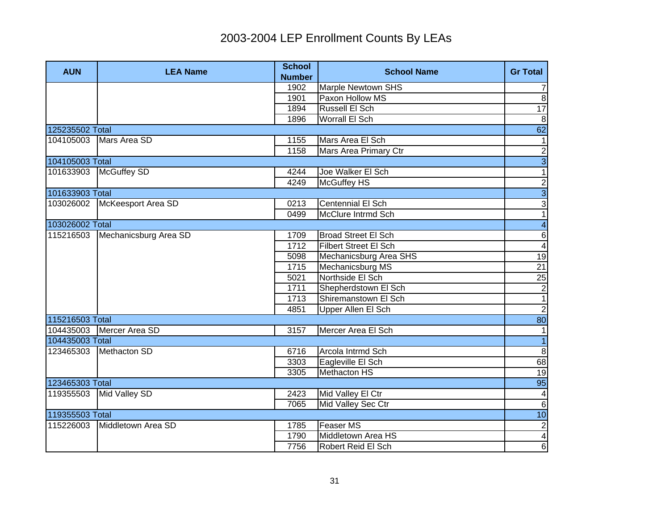| <b>AUN</b>      | <b>LEA Name</b>              | <b>School</b><br><b>Number</b> | <b>School Name</b>           | <b>Gr Total</b>         |
|-----------------|------------------------------|--------------------------------|------------------------------|-------------------------|
|                 |                              | 1902                           | <b>Marple Newtown SHS</b>    | $\overline{7}$          |
|                 |                              | 1901                           | Paxon Hollow MS              | $\infty$                |
|                 |                              | 1894                           | <b>Russell El Sch</b>        | $\overline{17}$         |
|                 |                              | 1896                           | <b>Worrall El Sch</b>        | $\, 8$                  |
| 125235502 Total |                              |                                |                              | 62                      |
|                 | 104105003 Mars Area SD       | 1155                           | Mars Area El Sch             | $\mathbf{1}$            |
|                 |                              | 1158                           | Mars Area Primary Ctr        | $\overline{2}$          |
| 104105003 Total |                              |                                |                              | $\overline{3}$          |
|                 | 101633903   McGuffey SD      | 4244                           | Joe Walker El Sch            | $\overline{1}$          |
|                 |                              | 4249                           | McGuffey HS                  | $\overline{c}$          |
| 101633903 Total |                              |                                |                              | $\overline{3}$          |
| 103026002       | McKeesport Area SD           | 0213                           | Centennial El Sch            | 3                       |
|                 |                              | 0499                           | McClure Intrmd Sch           | $\overline{1}$          |
| 103026002 Total |                              |                                |                              | $\overline{\mathbf{4}}$ |
| 115216503       | Mechanicsburg Area SD        | 1709                           | <b>Broad Street El Sch</b>   | $\overline{6}$          |
|                 |                              | 1712                           | <b>Filbert Street El Sch</b> | $\overline{4}$          |
|                 |                              | 5098                           | Mechanicsburg Area SHS       | 19                      |
|                 |                              | 1715                           | Mechanicsburg MS             | 21                      |
|                 |                              | 5021                           | Northside El Sch             | 25                      |
|                 |                              | 1711                           | Shepherdstown El Sch         | $\frac{2}{1}$           |
|                 |                              | 1713                           | Shiremanstown El Sch         |                         |
|                 |                              | 4851                           | Upper Allen El Sch           | $\overline{c}$          |
| 115216503 Total |                              |                                |                              | 80                      |
|                 | 104435003 Mercer Area SD     | 3157                           | Mercer Area El Sch           | $\overline{1}$          |
| 104435003 Total |                              |                                |                              | $\overline{1}$          |
|                 | 123465303 Methacton SD       | 6716                           | Arcola Intrmd Sch            | $\infty$                |
|                 |                              | 3303                           | Eagleville El Sch            | 68                      |
|                 |                              | 3305                           | <b>Methacton HS</b>          | 19                      |
| 123465303 Total |                              |                                |                              | 95                      |
| 119355503       | Mid Valley SD                | 2423                           | Mid Valley El Ctr            | $\overline{4}$          |
|                 |                              | 7065                           | Mid Valley Sec Ctr           | $6 \overline{}$         |
| 119355503 Total |                              |                                |                              | 10                      |
|                 | 115226003 Middletown Area SD | 1785                           | <b>Feaser MS</b>             | $\overline{2}$          |
|                 |                              | 1790                           | Middletown Area HS           | $\overline{\mathbf{r}}$ |
|                 |                              | 7756                           | Robert Reid El Sch           | 6                       |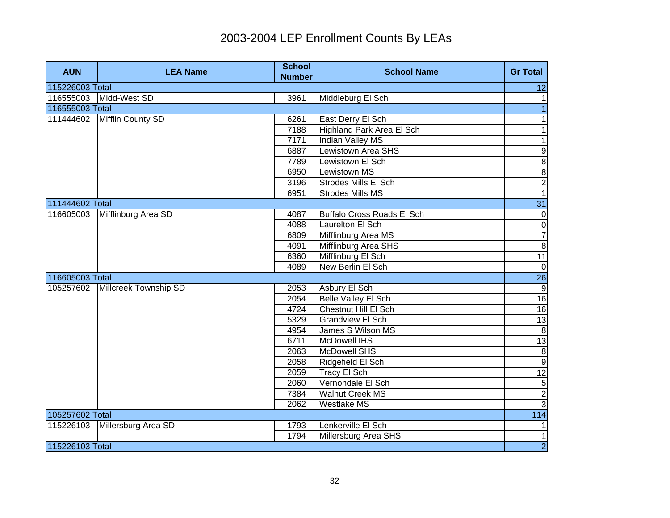| <b>AUN</b>      | <b>LEA Name</b>       | <b>School</b><br><b>Number</b> | <b>School Name</b>                | <b>Gr Total</b>          |
|-----------------|-----------------------|--------------------------------|-----------------------------------|--------------------------|
| 115226003 Total |                       |                                |                                   | 12                       |
| 116555003       | Midd-West SD          | 3961                           | Middleburg El Sch                 | $\mathbf{1}$             |
| 116555003 Total |                       |                                |                                   | $\overline{1}$           |
| 111444602       | Mifflin County SD     | 6261                           | East Derry El Sch                 | $\mathbf{1}$             |
|                 |                       | 7188                           | Highland Park Area El Sch         | $\overline{\phantom{0}}$ |
|                 |                       | 7171                           | Indian Valley MS                  | $\overline{1}$           |
|                 |                       | 6887                           | <b>Lewistown Area SHS</b>         | $\overline{9}$           |
|                 |                       | 7789                           | Lewistown El Sch                  | $\overline{8}$           |
|                 |                       | 6950                           | Lewistown MS                      | $\overline{\mathbf{8}}$  |
|                 |                       | 3196                           | Strodes Mills El Sch              | $\overline{2}$           |
|                 |                       | 6951                           | <b>Strodes Mills MS</b>           | $\overline{1}$           |
| 111444602 Total |                       |                                |                                   | 31                       |
| 116605003       | Mifflinburg Area SD   | 4087                           | <b>Buffalo Cross Roads El Sch</b> | $\pmb{0}$                |
|                 |                       | 4088                           | Laurelton El Sch                  | $\frac{1}{7}$            |
|                 |                       | 6809                           | Mifflinburg Area MS               |                          |
|                 |                       | 4091                           | Mifflinburg Area SHS              | $\overline{8}$           |
|                 |                       | 6360                           | Mifflinburg El Sch                | 11                       |
|                 |                       | 4089                           | New Berlin El Sch                 | $\overline{0}$           |
| 116605003 Total |                       |                                |                                   | 26                       |
| 105257602       | Millcreek Township SD | 2053                           | Asbury El Sch                     | $\overline{9}$           |
|                 |                       | 2054                           | <b>Belle Valley El Sch</b>        | 16                       |
|                 |                       | 4724                           | Chestnut Hill El Sch              | 16                       |
|                 |                       | 5329                           | <b>Grandview El Sch</b>           | 13                       |
|                 |                       | 4954                           | James S Wilson MS                 | 8                        |
|                 |                       | 6711                           | McDowell IHS                      | 13                       |
|                 |                       | 2063                           | McDowell SHS                      | $\boldsymbol{8}$         |
|                 |                       | 2058                           | Ridgefield El Sch                 | 9                        |
|                 |                       | 2059                           | <b>Tracy El Sch</b>               | 12                       |
|                 |                       | 2060                           | Vernondale El Sch                 | $\sqrt{5}$               |
|                 |                       | 7384                           | <b>Walnut Creek MS</b>            | ص                        |
|                 |                       | 2062                           | <b>Westlake MS</b>                |                          |
| 105257602 Total |                       |                                |                                   | $\boxed{114}$            |
| 115226103       | Millersburg Area SD   | 1793                           | Lenkerville El Sch                | $\vert$ 1                |
|                 |                       | 1794                           | Millersburg Area SHS              | $\overline{1}$           |
| 115226103 Total |                       |                                |                                   | $\overline{2}$           |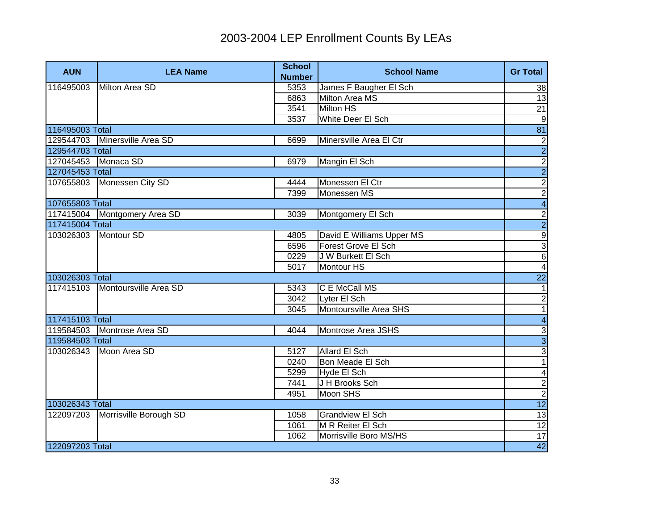| <b>AUN</b>          | <b>LEA Name</b>               | <b>School</b><br><b>Number</b> | <b>School Name</b>        | <b>Gr Total</b>         |
|---------------------|-------------------------------|--------------------------------|---------------------------|-------------------------|
| 116495003           | Milton Area SD                | 5353                           | James F Baugher El Sch    | 38                      |
|                     |                               | 6863                           | <b>Milton Area MS</b>     | 13                      |
|                     |                               | 3541                           | <b>Milton HS</b>          | 21                      |
|                     |                               | 3537                           | White Deer El Sch         | $\boldsymbol{9}$        |
| 116495003 Total     |                               |                                |                           | $\overline{81}$         |
|                     | 129544703 Minersville Area SD | 6699                           | Minersville Area El Ctr   | $\frac{2}{2}$           |
| 129544703 Total     |                               |                                |                           |                         |
| 127045453 Monaca SD |                               | 6979                           | Mangin El Sch             | $\frac{2}{2}$           |
| 127045453 Total     |                               |                                |                           |                         |
| 107655803           | Monessen City SD              | 4444                           | Monessen El Ctr           | $\overline{2}$          |
|                     |                               | 7399                           | Monessen MS               | $\overline{2}$          |
| 107655803 Total     |                               |                                |                           | $\overline{\mathbf{4}}$ |
|                     | 117415004 Montgomery Area SD  | 3039                           | Montgomery El Sch         | စ ယ  <u>ယ</u>  လ        |
| 117415004 Total     |                               |                                |                           |                         |
| 103026303           | Montour SD                    | 4805                           | David E Williams Upper MS |                         |
|                     |                               | 6596                           | Forest Grove El Sch       |                         |
|                     |                               | 0229                           | J W Burkett El Sch        |                         |
|                     |                               | 5017                           | <b>Montour HS</b>         | $\overline{4}$          |
| 103026303 Total     |                               |                                |                           | <b>22</b>               |
| 117415103           | Montoursville Area SD         | 5343                           | C E McCall MS             | 1                       |
|                     |                               | 3042                           | Lyter El Sch              | $\overline{2}$          |
|                     |                               | 3045                           | Montoursville Area SHS    | $\overline{1}$          |
| 117415103 Total     |                               |                                |                           | $\overline{\mathbf{4}}$ |
| 119584503           | Montrose Area SD              | 4044                           | Montrose Area JSHS        |                         |
| 119584503 Total     |                               |                                |                           | $\frac{1}{3}$           |
| 103026343           | Moon Area SD                  | 5127                           | <b>Allard El Sch</b>      | $\overline{3}$          |
|                     |                               | 0240                           | Bon Meade El Sch          | $\overline{1}$          |
|                     |                               | 5299                           | Hyde El Sch               | $\overline{\mathbf{A}}$ |
|                     |                               | 7441                           | J H Brooks Sch            | $\overline{2}$          |
|                     |                               | 4951                           | Moon SHS                  | $\overline{2}$          |
| 103026343 Total     |                               |                                |                           | 12                      |
| 122097203           | Morrisville Borough SD        | 1058                           | <b>Grandview El Sch</b>   | 13                      |
|                     |                               | 1061                           | M R Reiter El Sch         | 12                      |
|                     |                               | 1062                           | Morrisville Boro MS/HS    | 17                      |
| 122097203 Total     |                               |                                |                           | 42                      |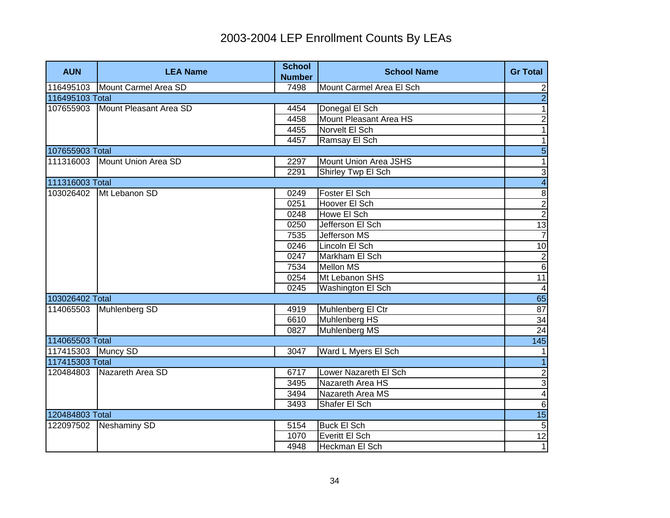| <b>AUN</b>         | <b>LEA Name</b>        | <b>School</b><br><b>Number</b> | <b>School Name</b>            | <b>Gr Total</b>         |
|--------------------|------------------------|--------------------------------|-------------------------------|-------------------------|
| 116495103          | Mount Carmel Area SD   | 7498                           | Mount Carmel Area El Sch      | $\overline{2}$          |
| 116495103 Total    |                        |                                |                               | $\overline{2}$          |
| 107655903          | Mount Pleasant Area SD | 4454                           | Donegal El Sch                | $\overline{1}$          |
|                    |                        | 4458                           | <b>Mount Pleasant Area HS</b> | $\overline{2}$          |
|                    |                        | 4455                           | Norvelt El Sch                | $\mathbf{1}$            |
|                    |                        | 4457                           | Ramsay El Sch                 | $\overline{1}$          |
| 107655903 Total    |                        |                                |                               | $\overline{5}$          |
| 111316003          | Mount Union Area SD    | 2297                           | Mount Union Area JSHS         | $\overline{1}$          |
|                    |                        | 2291                           | Shirley Twp El Sch            | 3                       |
| 111316003 Total    |                        |                                |                               | $\overline{4}$          |
| 103026402          | Mt Lebanon SD          | 0249                           | Foster El Sch                 | $\overline{8}$          |
|                    |                        | 0251                           | Hoover El Sch                 | $\frac{2}{2}$           |
|                    |                        | 0248                           | Howe El Sch                   |                         |
|                    |                        | 0250                           | Jefferson El Sch              | $\frac{13}{7}$          |
|                    |                        | 7535                           | Jefferson MS                  |                         |
|                    |                        | 0246                           | Lincoln El Sch                | 10                      |
|                    |                        | 0247                           | Markham El Sch                | $\overline{2}$          |
|                    |                        | 7534                           | <b>Mellon MS</b>              | $\overline{6}$          |
|                    |                        | 0254                           | Mt Lebanon SHS                | 11                      |
|                    |                        | 0245                           | Washington El Sch             | $\overline{\mathbf{4}}$ |
| 103026402 Total    |                        |                                |                               | 65                      |
| 114065503          | Muhlenberg SD          | 4919                           | Muhlenberg El Ctr             | $\overline{87}$         |
|                    |                        | 6610                           | Muhlenberg HS                 | 34                      |
|                    |                        | 0827                           | Muhlenberg MS                 | $\overline{24}$         |
| 114065503 Total    |                        |                                |                               | $\overline{145}$        |
| 117415303 Muncy SD |                        | 3047                           | Ward L Myers El Sch           | $\mathbf 1$             |
| 117415303 Total    |                        |                                |                               | $\overline{1}$          |
| 120484803          | Nazareth Area SD       | 6717                           | Lower Nazareth El Sch         | $\overline{2}$          |
|                    |                        | 3495                           | Nazareth Area HS              | $\overline{3}$          |
|                    |                        | 3494                           | Nazareth Area MS              | $\overline{\mathbf{4}}$ |
|                    |                        | 3493                           | Shafer El Sch                 | $\,6$                   |
| 120484803 Total    |                        |                                |                               | 15                      |
| 122097502          | <b>Neshaminy SD</b>    | 5154                           | <b>Buck El Sch</b>            | $\overline{5}$          |
|                    |                        | 1070                           | Everitt El Sch                | 12                      |
|                    |                        | 4948                           | Heckman El Sch                | $\overline{1}$          |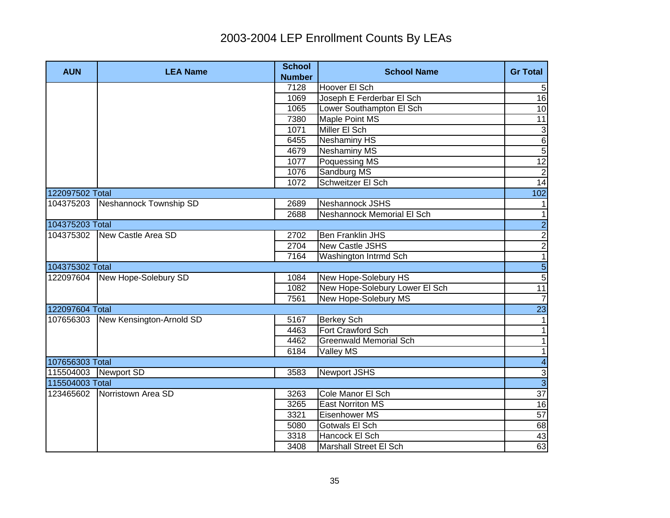| <b>AUN</b>           | <b>LEA Name</b>                | <b>School</b><br><b>Number</b> | <b>School Name</b>             | <b>Gr Total</b>             |
|----------------------|--------------------------------|--------------------------------|--------------------------------|-----------------------------|
|                      |                                | 7128                           | Hoover El Sch                  | 5                           |
|                      |                                | 1069                           | Joseph E Ferderbar El Sch      | $\overline{16}$             |
|                      |                                | 1065                           | Lower Southampton El Sch       | 10                          |
|                      |                                | 7380                           | Maple Point MS                 | 11                          |
|                      |                                | 1071                           | Miller El Sch                  | 3                           |
|                      |                                | 6455                           | <b>Neshaminy HS</b>            | $\overline{6}$              |
|                      |                                | 4679                           | <b>Neshaminy MS</b>            | $\overline{5}$              |
|                      |                                | 1077                           | Poquessing MS                  | $\overline{12}$             |
|                      |                                | 1076                           | Sandburg MS                    | $\overline{2}$              |
|                      |                                | 1072                           | Schweitzer El Sch              | $\overline{14}$             |
| 122097502 Total      |                                |                                |                                | 102                         |
| 104375203            | Neshannock Township SD         | 2689                           | Neshannock JSHS                | 1                           |
|                      |                                | 2688                           | Neshannock Memorial El Sch     | $\overline{1}$              |
| 104375203 Total      |                                |                                |                                |                             |
|                      | 104375302 New Castle Area SD   | 2702                           | <b>Ben Franklin JHS</b>        | $\frac{2}{2}$ $\frac{2}{1}$ |
|                      |                                | 2704                           | <b>New Castle JSHS</b>         |                             |
|                      |                                | 7164                           | Washington Intrmd Sch          |                             |
| 104375302 Total      |                                |                                |                                | $\frac{5}{5}$               |
|                      | 122097604 New Hope-Solebury SD | 1084                           | New Hope-Solebury HS           |                             |
|                      |                                | 1082                           | New Hope-Solebury Lower El Sch | 11                          |
|                      |                                | 7561                           | New Hope-Solebury MS           | $\overline{7}$              |
| 122097604 Total      |                                |                                |                                | $\overline{23}$             |
| 107656303            | New Kensington-Arnold SD       | 5167                           | <b>Berkey Sch</b>              | $\vert$ 1                   |
|                      |                                | 4463                           | Fort Crawford Sch              | $\mathbf{1}$                |
|                      |                                | 4462                           | <b>Greenwald Memorial Sch</b>  | $\mathbf{1}$                |
|                      |                                | 6184                           | Valley MS                      | $\mathbf{1}$                |
| 107656303 Total      |                                |                                |                                | $\overline{4}$              |
| 115504003 Newport SD |                                | 3583                           | Newport JSHS                   | $\frac{3}{3}$               |
| 115504003 Total      |                                |                                |                                |                             |
|                      | 123465602 Norristown Area SD   | 3263                           | Cole Manor El Sch              | $\overline{37}$             |
|                      |                                | 3265                           | <b>East Norriton MS</b>        | 16                          |
|                      |                                | 3321                           | Eisenhower MS                  | 57                          |
|                      |                                | 5080                           | Gotwals El Sch                 | 68                          |
|                      |                                | 3318                           | Hancock El Sch                 | 43                          |
|                      |                                | 3408                           | Marshall Street El Sch         | 63                          |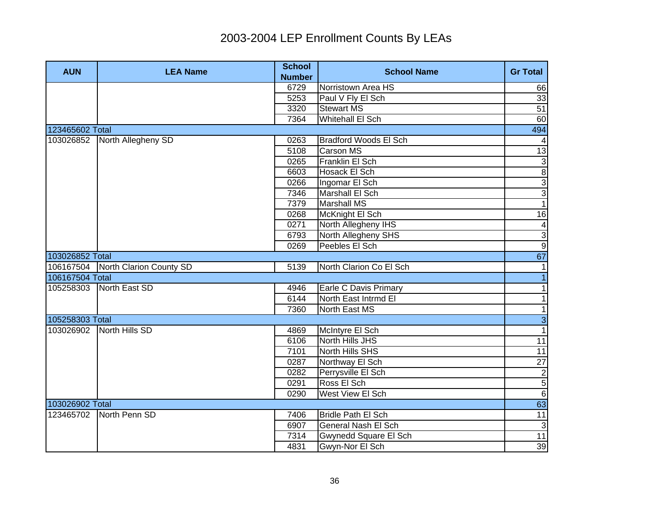| <b>AUN</b>      | <b>LEA Name</b>                   | <b>School</b><br><b>Number</b> | <b>School Name</b>           | <b>Gr Total</b> |
|-----------------|-----------------------------------|--------------------------------|------------------------------|-----------------|
|                 |                                   | 6729                           | Norristown Area HS           | 66              |
|                 |                                   | 5253                           | Paul V Fly El Sch            | 33              |
|                 |                                   | 3320                           | <b>Stewart MS</b>            | $\overline{51}$ |
|                 |                                   | 7364                           | Whitehall El Sch             | 60              |
| 123465602 Total |                                   |                                |                              | 494             |
|                 | 103026852 North Allegheny SD      | 0263                           | <b>Bradford Woods El Sch</b> |                 |
|                 |                                   | 5108                           | <b>Carson MS</b>             | 13              |
|                 |                                   | 0265                           | Franklin El Sch              | $\overline{3}$  |
|                 |                                   | 6603                           | Hosack El Sch                | $\overline{8}$  |
|                 |                                   | 0266                           | Ingomar El Sch               | $\overline{3}$  |
|                 |                                   | 7346                           | Marshall El Sch              | $\overline{3}$  |
|                 |                                   | 7379                           | <b>Marshall MS</b>           | $\overline{1}$  |
|                 |                                   | 0268                           | McKnight El Sch              | 16              |
|                 |                                   | 0271                           | North Allegheny IHS          | 4               |
|                 |                                   | 6793                           | North Allegheny SHS          |                 |
|                 |                                   | 0269                           | Peebles El Sch               | $\frac{1}{9}$   |
| 103026852 Total |                                   |                                |                              | 67              |
|                 | 106167504 North Clarion County SD | 5139                           | North Clarion Co El Sch      | $\mathbf 1$     |
| 106167504 Total |                                   |                                |                              | $\overline{1}$  |
|                 | 105258303 North East SD           | 4946                           | Earle C Davis Primary        | $\mathbf{1}$    |
|                 |                                   | 6144                           | North East Intrmd El         | $\mathbf{1}$    |
|                 |                                   | 7360                           | North East MS                | $\mathbf{1}$    |
| 105258303 Total |                                   |                                |                              | $\overline{3}$  |
|                 | 103026902 North Hills SD          | 4869                           | McIntyre El Sch              | $\overline{1}$  |
|                 |                                   | 6106                           | North Hills JHS              | $\overline{11}$ |
|                 |                                   | 7101                           | North Hills SHS              | $\overline{11}$ |
|                 |                                   | 0287                           | Northway El Sch              | $\overline{27}$ |
|                 |                                   | 0282                           | Perrysville El Sch           | $\overline{2}$  |
|                 |                                   | 0291                           | Ross El Sch                  | $\overline{5}$  |
|                 |                                   | 0290                           | West View El Sch             | $\overline{6}$  |
| 103026902 Total |                                   |                                |                              | 63              |
|                 | 123465702 North Penn SD           | 7406                           | <b>Bridle Path El Sch</b>    | 11              |
|                 |                                   | 6907                           | General Nash El Sch          | دى              |
|                 |                                   | 7314                           | Gwynedd Square El Sch        | 11              |
|                 |                                   | 4831                           | Gwyn-Nor El Sch              | 39              |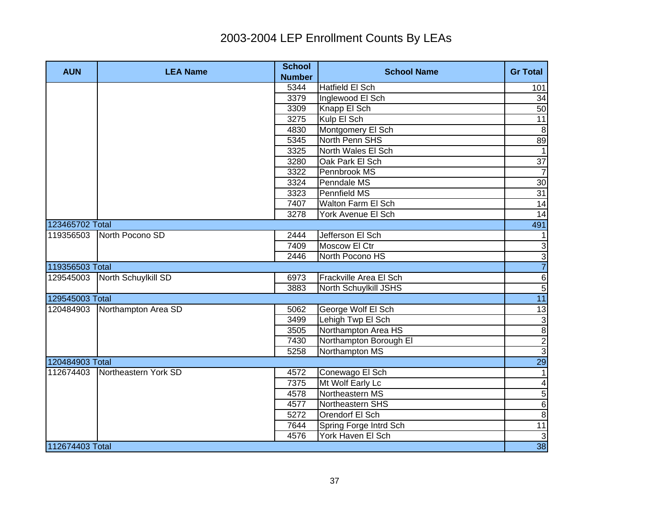| <b>AUN</b>      | <b>LEA Name</b>           | <b>School</b><br><b>Number</b> | <b>School Name</b>     | <b>Gr Total</b>  |
|-----------------|---------------------------|--------------------------------|------------------------|------------------|
|                 |                           | 5344                           | <b>Hatfield El Sch</b> | 101              |
|                 |                           | 3379                           | Inglewood El Sch       | 34               |
|                 |                           | 3309                           | Knapp El Sch           | 50               |
|                 |                           | 3275                           | Kulp El Sch            | 11               |
|                 |                           | 4830                           | Montgomery El Sch      | 8                |
|                 |                           | 5345                           | North Penn SHS         | 89               |
|                 |                           | 3325                           | North Wales El Sch     | $\overline{1}$   |
|                 |                           | 3280                           | Oak Park El Sch        | $\overline{37}$  |
|                 |                           | 3322                           | Pennbrook MS           | $\overline{7}$   |
|                 |                           | 3324                           | Penndale MS            | 30               |
|                 |                           | 3323                           | Pennfield MS           | 31               |
|                 |                           | 7407                           | Walton Farm El Sch     | 14               |
|                 |                           | 3278                           | York Avenue El Sch     | 14               |
| 123465702 Total |                           |                                |                        | 491              |
|                 | 119356503 North Pocono SD | 2444                           | Jefferson El Sch       | $\mathbf{1}$     |
|                 |                           | 7409                           | Moscow El Ctr          | $\overline{3}$   |
|                 |                           | 2446                           | North Pocono HS        | $\overline{3}$   |
| 119356503 Total |                           |                                |                        | $\overline{7}$   |
| 129545003       | North Schuylkill SD       | 6973                           | Frackville Area El Sch | $\overline{6}$   |
|                 |                           | 3883                           | North Schuylkill JSHS  | $\overline{5}$   |
| 129545003 Total |                           |                                |                        | 11               |
| 120484903       | Northampton Area SD       | 5062                           | George Wolf El Sch     | 13               |
|                 |                           | 3499                           | Lehigh Twp El Sch      |                  |
|                 |                           | 3505                           | Northampton Area HS    | <u>ယတစြ</u>      |
|                 |                           | 7430                           | Northampton Borough El |                  |
|                 |                           | 5258                           | Northampton MS         |                  |
| 120484903 Total |                           |                                |                        | 29               |
| 112674403       | Northeastern York SD      | 4572                           | Conewago El Sch        | $\overline{1}$   |
|                 |                           | 7375                           | Mt Wolf Early Lc       | $\blacktriangle$ |
|                 |                           | 4578                           | Northeastern MS        | $\overline{5}$   |
|                 |                           | 4577                           | Northeastern SHS       | $\overline{6}$   |
|                 |                           | 5272                           | Orendorf El Sch        | $\boldsymbol{8}$ |
|                 |                           | 7644                           | Spring Forge Intrd Sch | 11               |
|                 |                           | 4576                           | York Haven El Sch      | $\mathbf{3}$     |
| 112674403 Total |                           |                                |                        | 38               |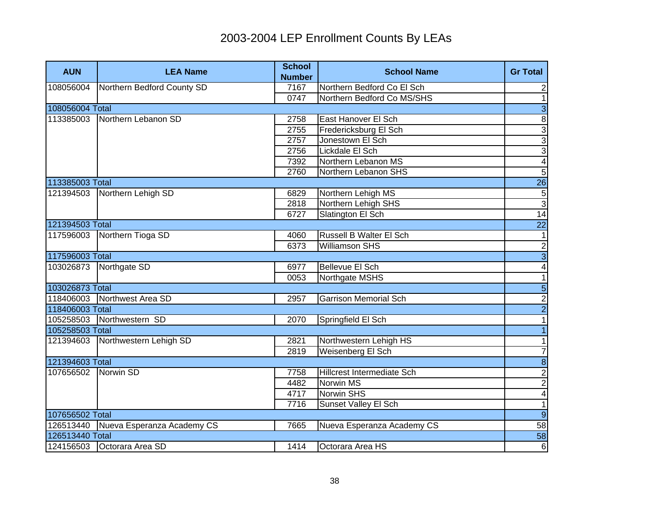| <b>AUN</b>      | <b>LEA Name</b>            | <b>School</b><br><b>Number</b> | <b>School Name</b>           | <b>Gr Total</b>         |
|-----------------|----------------------------|--------------------------------|------------------------------|-------------------------|
| 108056004       | Northern Bedford County SD | 7167                           | Northern Bedford Co El Sch   | $\mathbf{2}$            |
|                 |                            | 0747                           | Northern Bedford Co MS/SHS   | $\overline{1}$          |
| 108056004 Total |                            |                                |                              | $\overline{3}$          |
| 113385003       | Northern Lebanon SD        | 2758                           | East Hanover El Sch          | $\overline{\mathbf{8}}$ |
|                 |                            | 2755                           | Fredericksburg El Sch        | $\overline{3}$          |
|                 |                            | 2757                           | Jonestown El Sch             | $\overline{3}$          |
|                 |                            | 2756                           | Lickdale El Sch              | $\overline{3}$          |
|                 |                            | 7392                           | Northern Lebanon MS          | $\overline{\mathbf{4}}$ |
|                 |                            | 2760                           | Northern Lebanon SHS         | $\overline{5}$          |
| 113385003 Total |                            |                                |                              | <b>26</b>               |
| 121394503       | Northern Lehigh SD         | 6829                           | Northern Lehigh MS           | $\overline{5}$          |
|                 |                            | 2818                           | Northern Lehigh SHS          | $\overline{3}$          |
|                 |                            | 6727                           | Slatington El Sch            | 14                      |
| 121394503 Total |                            |                                |                              | <b>22</b>               |
| 117596003       | Northern Tioga SD          | 4060                           | Russell B Walter El Sch      | 1                       |
|                 |                            | 6373                           | <b>Williamson SHS</b>        |                         |
| 117596003 Total |                            |                                |                              | $\frac{1}{4}$           |
| 103026873       | Northgate SD               | 6977                           | Bellevue El Sch              |                         |
|                 |                            | 0053                           | Northgate MSHS               | $\overline{1}$          |
| 103026873 Total |                            |                                |                              | $\frac{5}{2}$           |
| 118406003       | Northwest Area SD          | 2957                           | <b>Garrison Memorial Sch</b> |                         |
| 118406003 Total |                            |                                |                              |                         |
| 105258503       | Northwestern SD            | 2070                           | Springfield El Sch           | $\overline{1}$          |
| 105258503 Total |                            |                                |                              | $\overline{1}$          |
| 121394603       | Northwestern Lehigh SD     | 2821                           | Northwestern Lehigh HS       | 1                       |
|                 |                            | 2819                           | Weisenberg El Sch            | $\overline{7}$          |
| 121394603 Total |                            |                                |                              | $\overline{8}$          |
| 107656502       | Norwin SD                  | 7758                           | Hillcrest Intermediate Sch   | $\overline{2}$          |
|                 |                            | 4482                           | <b>Norwin MS</b>             | $\overline{2}$          |
|                 |                            | 4717                           | <b>Norwin SHS</b>            | $\overline{\mathbf{r}}$ |
|                 |                            | 7716                           | Sunset Valley El Sch         | $\overline{1}$          |
| 107656502 Total |                            |                                |                              | $\overline{9}$          |
| 126513440       | Nueva Esperanza Academy CS | 7665                           | Nueva Esperanza Academy CS   | 58                      |
| 126513440 Total |                            |                                |                              | 58                      |
|                 | 124156503 Octorara Area SD | 1414                           | Octorara Area HS             | 6                       |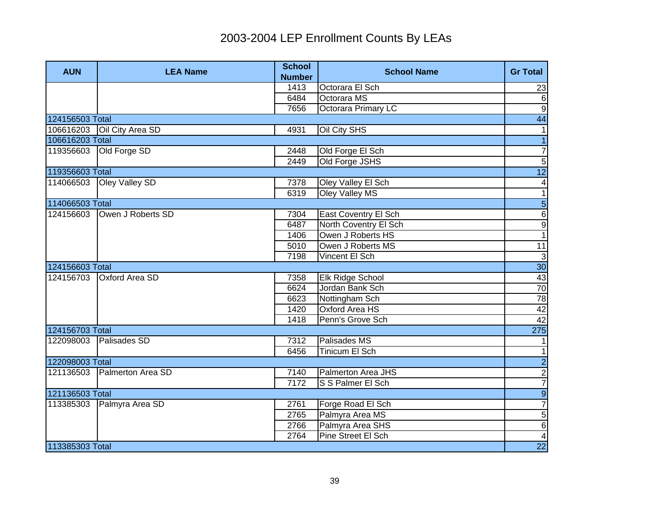| <b>AUN</b>      | <b>LEA Name</b>       | <b>School</b><br><b>Number</b> | <b>School Name</b>      | <b>Gr Total</b>         |
|-----------------|-----------------------|--------------------------------|-------------------------|-------------------------|
|                 |                       | 1413                           | Octorara El Sch         | 23                      |
|                 |                       | 6484                           | Octorara MS             | 6                       |
|                 |                       | 7656                           | Octorara Primary LC     | $\overline{9}$          |
| 124156503 Total |                       |                                |                         | $\overline{44}$         |
| 106616203       | Oil City Area SD      | 4931                           | Oil City SHS            | 1                       |
| 106616203 Total |                       |                                |                         |                         |
| 119356603       | Old Forge SD          | 2448                           | Old Forge El Sch        | $\overline{7}$          |
|                 |                       | 2449                           | Old Forge JSHS          | $\overline{5}$          |
| 119356603 Total |                       |                                |                         | $\overline{12}$         |
| 114066503       | Oley Valley SD        | 7378                           | Oley Valley El Sch      | 4                       |
|                 |                       | 6319                           | Oley Valley MS          | $\mathbf{1}$            |
| 114066503 Total |                       |                                |                         | $\overline{5}$          |
| 124156603       | Owen J Roberts SD     | 7304                           | East Coventry El Sch    | $\overline{6}$          |
|                 |                       | 6487                           | North Coventry El Sch   | $\overline{9}$          |
|                 |                       | 1406                           | Owen J Roberts HS       | $\overline{1}$          |
|                 |                       | 5010                           | Owen J Roberts MS       | $\overline{11}$         |
|                 |                       | 7198                           | Vincent El Sch          | $\overline{3}$          |
| 124156603 Total |                       |                                |                         | 30 <sub>o</sub>         |
| 124156703       | <b>Oxford Area SD</b> | 7358                           | <b>Elk Ridge School</b> | $\frac{43}{70}$         |
|                 |                       | 6624                           | Jordan Bank Sch         |                         |
|                 |                       | 6623                           | Nottingham Sch          | 78                      |
|                 |                       | 1420                           | Oxford Area HS          | 42                      |
|                 |                       | 1418                           | Penn's Grove Sch        | 42                      |
| 124156703 Total |                       |                                |                         | 275                     |
| 122098003       | Palisades SD          | 7312                           | Palisades MS            | 1                       |
|                 |                       | 6456                           | Tinicum El Sch          | $\mathbf{1}$            |
| 122098003 Total |                       |                                |                         | $\overline{2}$          |
| 121136503       | Palmerton Area SD     | 7140                           | Palmerton Area JHS      | $\frac{2}{7}$           |
|                 |                       | 7172                           | S S Palmer El Sch       |                         |
| 121136503 Total |                       |                                |                         | $\overline{9}$          |
| 113385303       | Palmyra Area SD       | 2761                           | Forge Road El Sch       | $\overline{7}$          |
|                 |                       | 2765                           | Palmyra Area MS         | $\overline{5}$          |
|                 |                       | 2766                           | Palmyra Area SHS        | $\overline{6}$          |
|                 |                       | 2764                           | Pine Street El Sch      | $\overline{\mathbf{4}}$ |
| 113385303 Total |                       |                                |                         | $\overline{22}$         |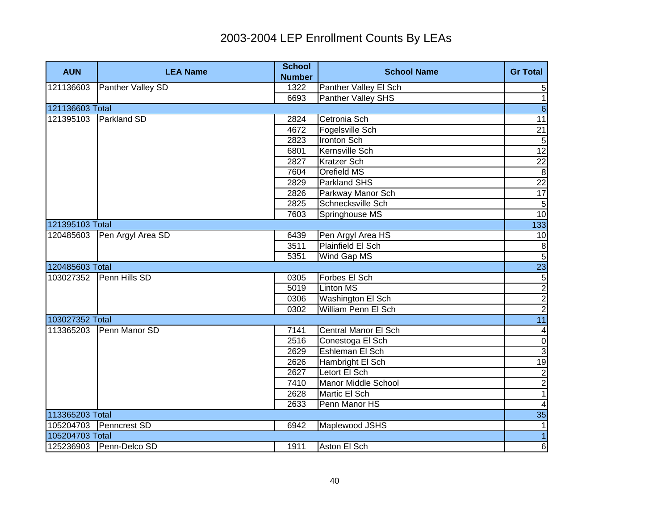| <b>AUN</b>      | <b>LEA Name</b>         | <b>School</b> | <b>School Name</b>     | <b>Gr Total</b>         |
|-----------------|-------------------------|---------------|------------------------|-------------------------|
|                 |                         | <b>Number</b> |                        |                         |
| 121136603       | Panther Valley SD       | 1322          | Panther Valley El Sch  | 5                       |
|                 |                         | 6693          | Panther Valley SHS     | $\overline{1}$          |
| 121136603 Total |                         |               |                        | $\overline{6}$          |
|                 | 121395103 Parkland SD   | 2824          | Cetronia Sch           | 11                      |
|                 |                         | 4672          | Fogelsville Sch        | 21                      |
|                 |                         | 2823          | <b>Ironton Sch</b>     | $\overline{5}$          |
|                 |                         | 6801          | <b>Kernsville Sch</b>  | 12                      |
|                 |                         | 2827          | <b>Kratzer Sch</b>     | 22                      |
|                 |                         | 7604          | Orefield MS            | $\infty$                |
|                 |                         | 2829          | Parkland SHS           | 22                      |
|                 |                         | 2826          | Parkway Manor Sch      | 17                      |
|                 |                         | 2825          | Schnecksville Sch      | <b>ס</b>                |
|                 |                         | 7603          | Springhouse MS         | 10                      |
| 121395103 Total |                         |               |                        | 133                     |
| 120485603       | Pen Argyl Area SD       | 6439          | Pen Argyl Area HS      | 10                      |
|                 |                         | 3511          | Plainfield El Sch      | $\frac{1}{2}$           |
|                 |                         | 5351          | Wind Gap MS            |                         |
| 120485603 Total |                         |               |                        | $\frac{23}{5}$          |
|                 | 103027352 Penn Hills SD | 0305          | Forbes El Sch          |                         |
|                 |                         | 5019          | <b>Linton MS</b>       |                         |
|                 |                         | 0306          | Washington El Sch      |                         |
|                 |                         | 0302          | William Penn El Sch    |                         |
| 103027352 Total |                         |               |                        | 11                      |
| 113365203       | Penn Manor SD           | 7141          | Central Manor El Sch   | $\overline{4}$          |
|                 |                         | 2516          | Conestoga El Sch       | $\overline{0}$          |
|                 |                         | 2629          | <b>Eshleman El Sch</b> | $\mathbf{3}$            |
|                 |                         | 2626          | Hambright El Sch       | 19                      |
|                 |                         | 2627          | Letort El Sch          | $\overline{2}$          |
|                 |                         | 7410          | Manor Middle School    | $\overline{2}$          |
|                 |                         | 2628          | Martic El Sch          | 1                       |
|                 |                         | 2633          | Penn Manor HS          | $\overline{\mathbf{A}}$ |
| 113365203 Total |                         |               |                        | 35                      |
|                 | 105204703 Penncrest SD  | 6942          | Maplewood JSHS         | 1                       |
| 105204703 Total |                         |               |                        | $\overline{1}$          |
|                 | 125236903 Penn-Delco SD | 1911          | Aston El Sch           | 6                       |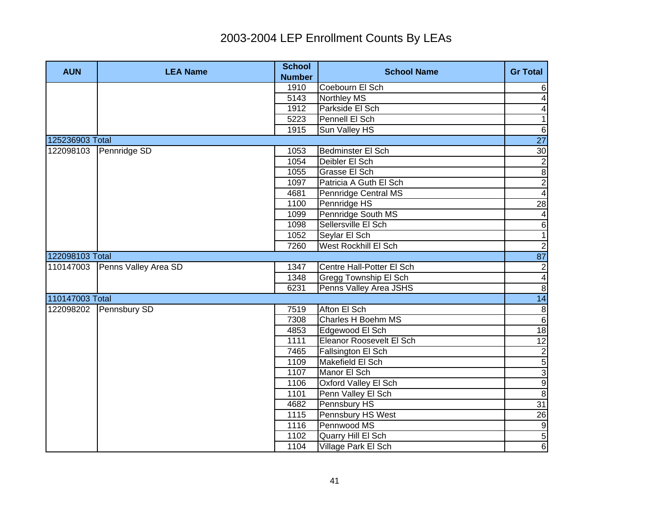| <b>AUN</b>      | <b>LEA Name</b>                | <b>School</b><br><b>Number</b> | <b>School Name</b>           | <b>Gr Total</b>             |
|-----------------|--------------------------------|--------------------------------|------------------------------|-----------------------------|
|                 |                                | 1910                           | Coebourn El Sch              | 6                           |
|                 |                                | 5143                           | <b>Northley MS</b>           | 4                           |
|                 |                                | 1912                           | Parkside El Sch              | 4                           |
|                 |                                | 5223                           | Pennell El Sch               | $\overline{1}$              |
|                 |                                | 1915                           | Sun Valley HS                | $\,6$                       |
| 125236903 Total |                                |                                |                              | $\overline{27}$             |
|                 | 122098103 Pennridge SD         | 1053                           | Bedminster El Sch            | 30                          |
|                 |                                | 1054                           | Deibler El Sch               | $\overline{2}$              |
|                 |                                | 1055                           | Grasse El Sch                | $\overline{8}$              |
|                 |                                | 1097                           | Patricia A Guth El Sch       | $\overline{2}$              |
|                 |                                | 4681                           | Pennridge Central MS         | $\overline{4}$              |
|                 |                                | 1100                           | Pennridge HS                 | $\overline{28}$             |
|                 |                                | 1099                           | Pennridge South MS           | 4                           |
|                 |                                | 1098                           | Sellersville El Sch          | $\overline{6}$              |
|                 |                                | 1052                           | Seylar El Sch                | $\overline{1}$              |
|                 |                                | 7260                           | West Rockhill El Sch         | $\overline{2}$              |
| 122098103 Total |                                |                                |                              | 87                          |
|                 | 110147003 Penns Valley Area SD | 1347                           | Centre Hall-Potter El Sch    |                             |
|                 |                                | 1348                           | <b>Gregg Township El Sch</b> | $\frac{2}{4}$               |
|                 |                                | 6231                           | Penns Valley Area JSHS       |                             |
| 110147003 Total |                                |                                |                              | 14                          |
|                 | 122098202 Pennsbury SD         | 7519                           | Afton El Sch                 | $\boldsymbol{8}$            |
|                 |                                | 7308                           | Charles H Boehm MS           | $\overline{6}$              |
|                 |                                | 4853                           | Edgewood El Sch              | 18                          |
|                 |                                | 1111                           | Eleanor Roosevelt El Sch     | 12                          |
|                 |                                | 7465                           | Fallsington El Sch           |                             |
|                 |                                | 1109                           | Makefield El Sch             | $\frac{2}{5}$ $\frac{3}{9}$ |
|                 |                                | 1107                           | Manor El Sch                 |                             |
|                 |                                | 1106                           | Oxford Valley El Sch         |                             |
|                 |                                | 1101                           | Penn Valley El Sch           | $\, 8$                      |
|                 |                                | 4682                           | Pennsbury HS                 | 31                          |
|                 |                                | 1115                           | Pennsbury HS West            | 26                          |
|                 |                                | 1116                           | Pennwood MS                  | $\overline{9}$              |
|                 |                                | 1102                           | Quarry Hill El Sch           | 5                           |
|                 |                                | 1104                           | Village Park El Sch          | $\overline{6}$              |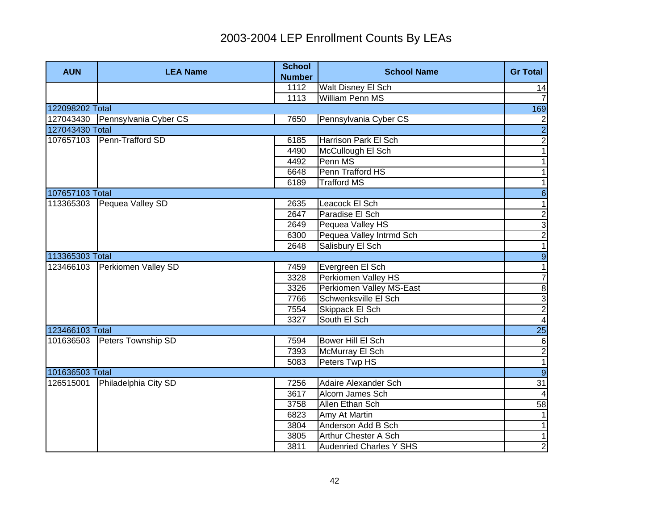| <b>AUN</b>      | <b>LEA Name</b>                 | <b>School</b><br><b>Number</b> | <b>School Name</b>             | <b>Gr Total</b>             |
|-----------------|---------------------------------|--------------------------------|--------------------------------|-----------------------------|
|                 |                                 | 1112                           | Walt Disney El Sch             | 14                          |
|                 |                                 | 1113                           | <b>William Penn MS</b>         | $\overline{7}$              |
| 122098202 Total |                                 |                                |                                | 169                         |
|                 | 127043430 Pennsylvania Cyber CS | 7650                           | Pennsylvania Cyber CS          |                             |
| 127043430 Total |                                 |                                |                                | $\frac{2}{2}$               |
|                 | 107657103 Penn-Trafford SD      | 6185                           | Harrison Park El Sch           | $\overline{c}$              |
|                 |                                 | 4490                           | McCullough El Sch              | $\overline{\phantom{0}}$    |
|                 |                                 | 4492                           | Penn MS                        | $\mathbf{1}$                |
|                 |                                 | 6648                           | Penn Trafford HS               | $\overline{1}$              |
|                 |                                 | 6189                           | <b>Trafford MS</b>             | $\overline{\phantom{0}}$    |
| 107657103 Total |                                 |                                |                                | $\overline{6}$              |
| 113365303       | Pequea Valley SD                | 2635                           | Leacock El Sch                 | $\mathbf{1}$                |
|                 |                                 | 2647                           | Paradise El Sch                |                             |
|                 |                                 | 2649                           | Pequea Valley HS               |                             |
|                 |                                 | 6300                           | Pequea Valley Intrmd Sch       | $\frac{1}{2}$ $\frac{1}{2}$ |
|                 |                                 | 2648                           | Salisbury El Sch               |                             |
| 113365303 Total |                                 |                                |                                | $\overline{9}$              |
| 123466103       | Perkiomen Valley SD             | 7459                           | Evergreen El Sch               | $\overline{1}$              |
|                 |                                 | 3328                           | Perkiomen Valley HS            | $\overline{7}$              |
|                 |                                 | 3326                           | Perkiomen Valley MS-East       | $\frac{8}{2}$               |
|                 |                                 | 7766                           | Schwenksville El Sch           |                             |
|                 |                                 | 7554                           | Skippack El Sch                |                             |
|                 |                                 | 3327                           | South El Sch                   | $\overline{4}$              |
| 123466103 Total |                                 |                                |                                | <b>25</b>                   |
| 101636503       | Peters Township SD              | 7594                           | <b>Bower Hill El Sch</b>       | $\,6$                       |
|                 |                                 | 7393                           | McMurray El Sch                | $\frac{2}{1}$               |
|                 |                                 | 5083                           | Peters Twp HS                  |                             |
| 101636503 Total |                                 |                                |                                | $\overline{9}$              |
| 126515001       | Philadelphia City SD            | 7256                           | Adaire Alexander Sch           | 31                          |
|                 |                                 | 3617                           | Alcorn James Sch               | $\vert$                     |
|                 |                                 | 3758                           | Allen Ethan Sch                | $\overline{58}$             |
|                 |                                 | 6823                           | Amy At Martin                  | 1                           |
|                 |                                 | 3804                           | Anderson Add B Sch             | $\overline{1}$              |
|                 |                                 | 3805                           | Arthur Chester A Sch           | $\overline{1}$              |
|                 |                                 | 3811                           | <b>Audenried Charles Y SHS</b> | $\overline{2}$              |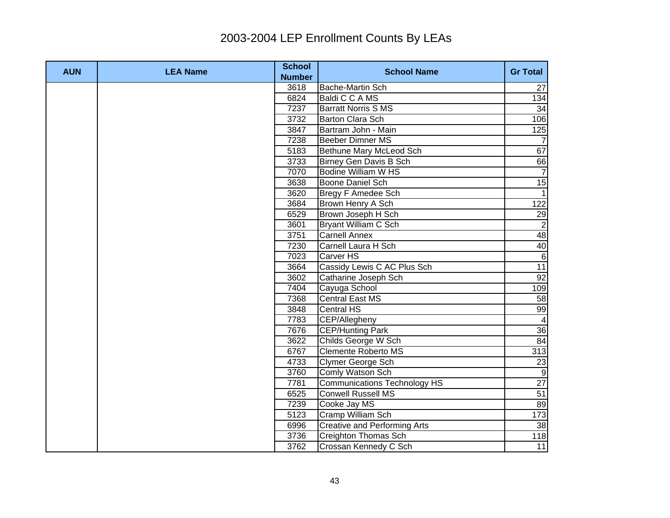| <b>AUN</b> | <b>LEA Name</b> | <b>School</b><br><b>Number</b> | <b>School Name</b>                  | <b>Gr Total</b>               |
|------------|-----------------|--------------------------------|-------------------------------------|-------------------------------|
|            |                 | 3618                           | Bache-Martin Sch                    | 27                            |
|            |                 | 6824                           | Baldi C C A MS                      | 134                           |
|            |                 | 7237                           | <b>Barratt Norris S MS</b>          | 34                            |
|            |                 | 3732                           | <b>Barton Clara Sch</b>             | 106                           |
|            |                 | 3847                           | Bartram John - Main                 | 125                           |
|            |                 | 7238                           | Beeber Dimner MS                    |                               |
|            |                 | 5183                           | Bethune Mary McLeod Sch             | 67                            |
|            |                 | 3733                           | Birney Gen Davis B Sch              | 66                            |
|            |                 | 7070                           | <b>Bodine William W HS</b>          | $\overline{7}$                |
|            |                 | 3638                           | Boone Daniel Sch                    | 15                            |
|            |                 | 3620                           | Bregy F Amedee Sch                  | $\overline{1}$                |
|            |                 | 3684                           | Brown Henry A Sch                   | 122                           |
|            |                 | 6529                           | Brown Joseph H Sch                  | 29                            |
|            |                 | 3601                           | Bryant William C Sch                |                               |
|            |                 | 3751                           | <b>Carnell Annex</b>                |                               |
|            |                 | 7230                           | Carnell Laura H Sch                 | $\frac{2}{48}$ $\frac{48}{6}$ |
|            |                 | 7023                           | Carver HS                           |                               |
|            |                 | 3664                           | Cassidy Lewis C AC Plus Sch         | 11                            |
|            |                 | 3602                           | Catharine Joseph Sch                | 92                            |
|            |                 | 7404                           | Cayuga School                       | 109                           |
|            |                 | 7368                           | <b>Central East MS</b>              | 58                            |
|            |                 | 3848                           | <b>Central HS</b>                   | 99                            |
|            |                 | 7783                           | CEP/Allegheny                       | $\overline{a}$                |
|            |                 | 7676                           | <b>CEP/Hunting Park</b>             | 36                            |
|            |                 | 3622                           | Childs George W Sch                 | 84                            |
|            |                 | 6767                           | <b>Clemente Roberto MS</b>          | 313                           |
|            |                 | 4733                           | Clymer George Sch                   | 23                            |
|            |                 | 3760                           | Comly Watson Sch                    | $\overline{9}$                |
|            |                 | 7781                           | <b>Communications Technology HS</b> | $\overline{27}$               |
|            |                 | 6525                           | <b>Conwell Russell MS</b>           | 51                            |
|            |                 | 7239                           | Cooke Jay MS                        | 89                            |
|            |                 | 5123                           | Cramp William Sch                   | 173                           |
|            |                 | 6996                           | <b>Creative and Performing Arts</b> | အ                             |
|            |                 | 3736                           | Creighton Thomas Sch                | 118                           |
|            |                 | 3762                           | Crossan Kennedy C Sch               | 11                            |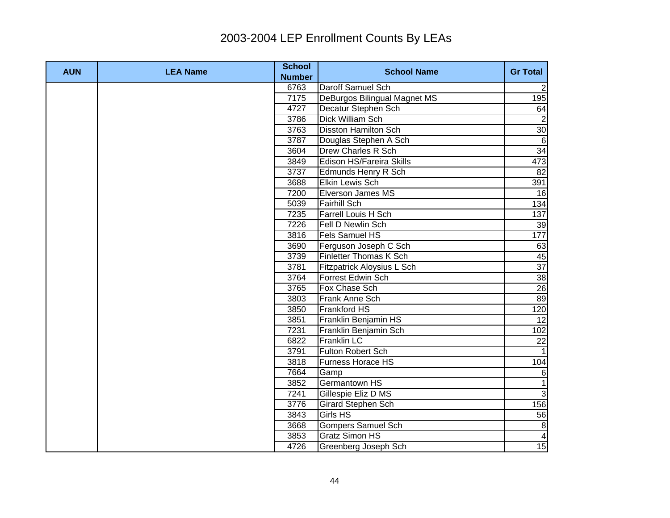| <b>AUN</b> | <b>LEA Name</b> | <b>School</b><br><b>Number</b> | <b>School Name</b>           | <b>Gr Total</b>  |
|------------|-----------------|--------------------------------|------------------------------|------------------|
|            |                 | 6763                           | Daroff Samuel Sch            | $\overline{2}$   |
|            |                 | 7175                           | DeBurgos Bilingual Magnet MS | 195              |
|            |                 | 4727                           | Decatur Stephen Sch          | 64               |
|            |                 | 3786                           | <b>Dick William Sch</b>      |                  |
|            |                 | 3763                           | <b>Disston Hamilton Sch</b>  | 30               |
|            |                 | 3787                           | Douglas Stephen A Sch        | 6                |
|            |                 | 3604                           | Drew Charles R Sch           | 34               |
|            |                 | 3849                           | Edison HS/Fareira Skills     | 473              |
|            |                 | 3737                           | Edmunds Henry R Sch          | 82               |
|            |                 | 3688                           | Elkin Lewis Sch              | 391              |
|            |                 | 7200                           | Elverson James MS            | 16               |
|            |                 | 5039                           | <b>Fairhill Sch</b>          | 134              |
|            |                 | 7235                           | Farrell Louis H Sch          | 137              |
|            |                 | 7226                           | Fell D Newlin Sch            | 39               |
|            |                 | 3816                           | Fels Samuel HS               | 177              |
|            |                 | 3690                           | Ferguson Joseph C Sch        | 63               |
|            |                 | 3739                           | Finletter Thomas K Sch       | $\frac{45}{37}$  |
|            |                 | 3781                           | Fitzpatrick Aloysius L Sch   |                  |
|            |                 | 3764                           | Forrest Edwin Sch            | 38               |
|            |                 | 3765                           | Fox Chase Sch                | 26               |
|            |                 | 3803                           | Frank Anne Sch               | 89               |
|            |                 | 3850                           | <b>Frankford HS</b>          | 120              |
|            |                 | 3851                           | Franklin Benjamin HS         | $\overline{12}$  |
|            |                 | 7231                           | Franklin Benjamin Sch        | 102              |
|            |                 | 6822                           | Franklin LC                  | 22               |
|            |                 | 3791                           | Fulton Robert Sch            |                  |
|            |                 | 3818                           | Furness Horace HS            | 104              |
|            |                 | 7664                           | Gamp                         | 6                |
|            |                 | 3852                           | Germantown HS                | $\overline{1}$   |
|            |                 | 7241                           | Gillespie Eliz D MS          | $\overline{3}$   |
|            |                 | 3776                           | <b>Girard Stephen Sch</b>    | 156              |
|            |                 | 3843                           | Girls HS                     | 56               |
|            |                 | 3668                           | <b>Gompers Samuel Sch</b>    | $\, 8$           |
|            |                 | 3853                           | Gratz Simon HS               | $\blacktriangle$ |
|            |                 | 4726                           | Greenberg Joseph Sch         | 15               |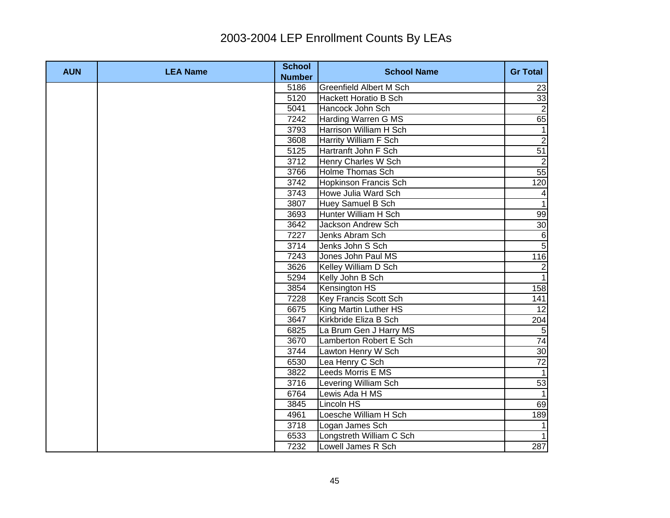| <b>AUN</b> | <b>LEA Name</b> | <b>School</b>         | <b>School Name</b>             | <b>Gr Total</b>  |
|------------|-----------------|-----------------------|--------------------------------|------------------|
|            |                 | <b>Number</b><br>5186 | <b>Greenfield Albert M Sch</b> |                  |
|            |                 | 5120                  | Hackett Horatio B Sch          | 23<br>33         |
|            |                 | 5041                  | Hancock John Sch               | $\overline{2}$   |
|            |                 | 7242                  | Harding Warren G MS            | 65               |
|            |                 | 3793                  | Harrison William H Sch         | $\mathbf 1$      |
|            |                 | 3608                  | <b>Harrity William F Sch</b>   | $\overline{2}$   |
|            |                 |                       |                                |                  |
|            |                 | 5125                  | Hartranft John F Sch           | 51               |
|            |                 | 3712                  | Henry Charles W Sch            | $\overline{2}$   |
|            |                 | 3766                  | <b>Holme Thomas Sch</b>        | 55               |
|            |                 | 3742                  | <b>Hopkinson Francis Sch</b>   | 120              |
|            |                 | 3743                  | Howe Julia Ward Sch            | $\overline{4}$   |
|            |                 | 3807                  | Huey Samuel B Sch              | $\overline{1}$   |
|            |                 | 3693                  | Hunter William H Sch           | 99               |
|            |                 | 3642                  | Jackson Andrew Sch             | 30               |
|            |                 | 7227                  | Jenks Abram Sch                | $\,6$            |
|            |                 | 3714                  | Jenks John S Sch               | $\overline{5}$   |
|            |                 | 7243                  | Jones John Paul MS             | 116              |
|            |                 | 3626                  | Kelley William D Sch           | $\overline{2}$   |
|            |                 | 5294                  | Kelly John B Sch               | $\overline{1}$   |
|            |                 | 3854                  | Kensington HS                  | $\overline{158}$ |
|            |                 | 7228                  | <b>Key Francis Scott Sch</b>   | 141              |
|            |                 | 6675                  | King Martin Luther HS          | 12               |
|            |                 | 3647                  | Kirkbride Eliza B Sch          | 204              |
|            |                 | 6825                  | La Brum Gen J Harry MS         | 5                |
|            |                 | 3670                  | Lamberton Robert E Sch         | 74               |
|            |                 | 3744                  | Lawton Henry W Sch             | 30               |
|            |                 | 6530                  | Lea Henry C Sch                | $\overline{72}$  |
|            |                 | 3822                  | Leeds Morris E MS              | $\overline{1}$   |
|            |                 | 3716                  | Levering William Sch           | 53               |
|            |                 | 6764                  | Lewis Ada H MS                 |                  |
|            |                 | 3845                  | Lincoln HS                     | 69               |
|            |                 | 4961                  | Loesche William H Sch          | 189              |
|            |                 | 3718                  | Logan James Sch                |                  |
|            |                 | 6533                  | Longstreth William C Sch       |                  |
|            |                 | 7232                  | Lowell James R Sch             | 287              |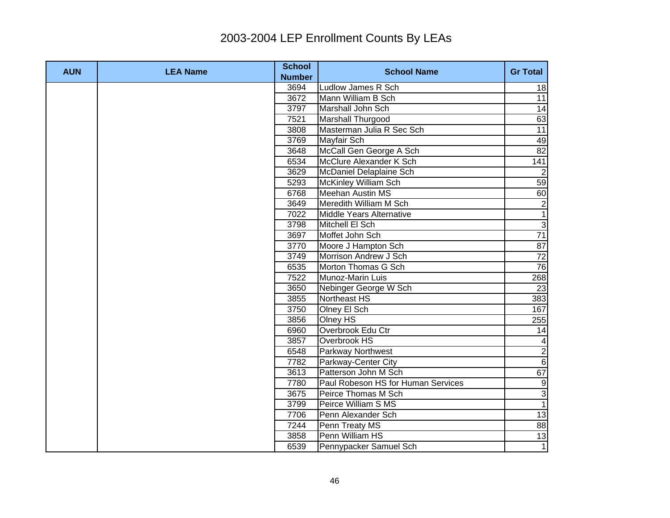| <b>AUN</b> | <b>LEA Name</b> | <b>School</b><br><b>Number</b> | <b>School Name</b>                 | <b>Gr Total</b> |
|------------|-----------------|--------------------------------|------------------------------------|-----------------|
|            |                 | 3694                           | Ludlow James R Sch                 | 18              |
|            |                 | 3672                           | Mann William B Sch                 | 11              |
|            |                 | 3797                           | Marshall John Sch                  | 14              |
|            |                 | 7521                           | Marshall Thurgood                  | 63              |
|            |                 | 3808                           | Masterman Julia R Sec Sch          | $\overline{11}$ |
|            |                 | 3769                           | Mayfair Sch                        | 49              |
|            |                 | 3648                           | McCall Gen George A Sch            | 82              |
|            |                 | 6534                           | McClure Alexander K Sch            | 141             |
|            |                 | 3629                           | McDaniel Delaplaine Sch            | $\overline{2}$  |
|            |                 | 5293                           | McKinley William Sch               | 59              |
|            |                 | 6768                           | <b>Meehan Austin MS</b>            | 60              |
|            |                 | 3649                           | Meredith William M Sch             | $\overline{2}$  |
|            |                 | 7022                           | Middle Years Alternative           | $\overline{1}$  |
|            |                 | 3798                           | Mitchell El Sch                    | $\overline{3}$  |
|            |                 | 3697                           | Moffet John Sch                    | 71              |
|            |                 | 3770                           | Moore J Hampton Sch                | 87              |
|            |                 | 3749                           | Morrison Andrew J Sch              | 72              |
|            |                 | 6535                           | Morton Thomas G Sch                | 76              |
|            |                 | 7522                           | Munoz-Marin Luis                   | 268             |
|            |                 | 3650                           | Nebinger George W Sch              | 23              |
|            |                 | 3855                           | Northeast HS                       | 383             |
|            |                 | 3750                           | Olney El Sch                       | 167             |
|            |                 | 3856                           | Olney HS                           | 255             |
|            |                 | 6960                           | Overbrook Edu Ctr                  | 14              |
|            |                 | 3857                           | Overbrook HS                       | $\overline{4}$  |
|            |                 | 6548                           | <b>Parkway Northwest</b>           | $\overline{2}$  |
|            |                 | 7782                           | Parkway-Center City                | $\overline{6}$  |
|            |                 | 3613                           | Patterson John M Sch               | 67              |
|            |                 | 7780                           | Paul Robeson HS for Human Services | 9               |
|            |                 | 3675                           | Peirce Thomas M Sch                | $\overline{3}$  |
|            |                 | 3799                           | Peirce William S MS                | $\overline{1}$  |
|            |                 | 7706                           | Penn Alexander Sch                 | 13              |
|            |                 | 7244                           | Penn Treaty MS                     | 88              |
|            |                 | 3858                           | Penn William HS                    | 13              |
|            |                 | 6539                           | Pennypacker Samuel Sch             | $\overline{1}$  |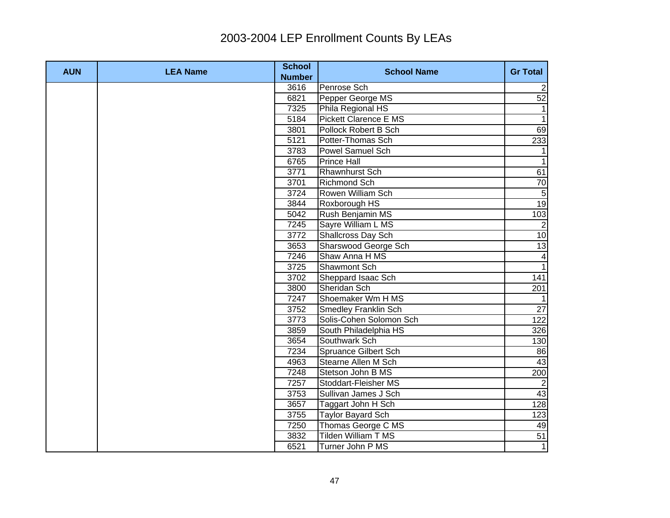| <b>AUN</b> | <b>LEA Name</b> | <b>School</b><br><b>Number</b> | <b>School Name</b>          | <b>Gr Total</b> |
|------------|-----------------|--------------------------------|-----------------------------|-----------------|
|            |                 | 3616                           | Penrose Sch                 | $\mathbf{2}$    |
|            |                 | 6821                           | Pepper George MS            | 52              |
|            |                 | 7325                           | Phila Regional HS           | $\mathbf 1$     |
|            |                 | 5184                           | Pickett Clarence E MS       | $\overline{1}$  |
|            |                 | 3801                           | Pollock Robert B Sch        | 69              |
|            |                 | 5121                           | Potter-Thomas Sch           | 233             |
|            |                 | 3783                           | Powel Samuel Sch            |                 |
|            |                 | 6765                           | <b>Prince Hall</b>          | $\mathbf{1}$    |
|            |                 | 3771                           | <b>Rhawnhurst Sch</b>       | 61              |
|            |                 | 3701                           | <b>Richmond Sch</b>         | 70              |
|            |                 | 3724                           | Rowen William Sch           | $\sqrt{5}$      |
|            |                 | 3844                           | Roxborough HS               | 19              |
|            |                 | 5042                           | Rush Benjamin MS            | 103             |
|            |                 | 7245                           | Sayre William L MS          | $\vert$ 2       |
|            |                 | 3772                           | Shallcross Day Sch          | 10              |
|            |                 | 3653                           | Sharswood George Sch        | 13              |
|            |                 | 7246                           | Shaw Anna H MS              | $\overline{4}$  |
|            |                 | 3725                           | <b>Shawmont Sch</b>         | $\overline{1}$  |
|            |                 | 3702                           | Sheppard Isaac Sch          | 141             |
|            |                 | 3800                           | Sheridan Sch                | 201             |
|            |                 | 7247                           | Shoemaker Wm H MS           |                 |
|            |                 | 3752                           | <b>Smedley Franklin Sch</b> | $\overline{27}$ |
|            |                 | 3773                           | Solis-Cohen Solomon Sch     | 122             |
|            |                 | 3859                           | South Philadelphia HS       | 326             |
|            |                 | 3654                           | Southwark Sch               | 130             |
|            |                 | 7234                           | Spruance Gilbert Sch        | 86              |
|            |                 | 4963                           | Stearne Allen M Sch         | 43              |
|            |                 | 7248                           | Stetson John B MS           | 200             |
|            |                 | 7257                           | Stoddart-Fleisher MS        | $\overline{2}$  |
|            |                 | 3753                           | Sullivan James J Sch        | 43              |
|            |                 | 3657                           | Taggart John H Sch          | 128             |
|            |                 | 3755                           | <b>Taylor Bayard Sch</b>    | 123             |
|            |                 | 7250                           | Thomas George C MS          | 49              |
|            |                 | 3832                           | <b>Tilden William T MS</b>  | 51              |
|            |                 | 6521                           | Turner John P MS            | $\overline{1}$  |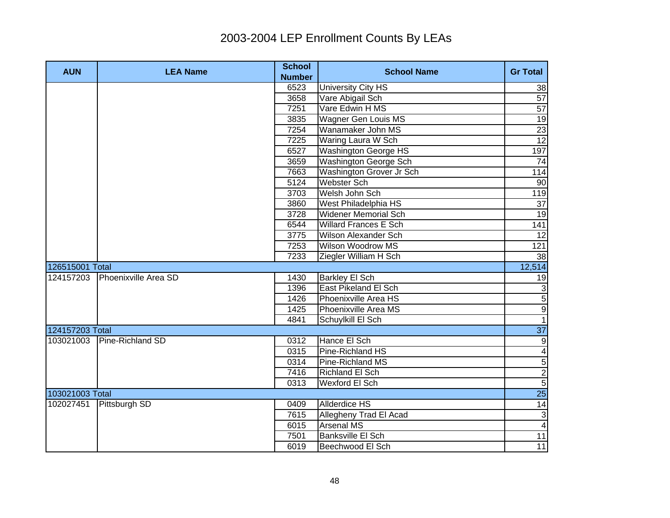| <b>AUN</b>      | <b>LEA Name</b>      | <b>School</b><br><b>Number</b> | <b>School Name</b>           | <b>Gr Total</b>         |
|-----------------|----------------------|--------------------------------|------------------------------|-------------------------|
|                 |                      | 6523                           | University City HS           | 38                      |
|                 |                      | 3658                           | Vare Abigail Sch             | 57                      |
|                 |                      | 7251                           | Vare Edwin H MS              | $\overline{57}$         |
|                 |                      | 3835                           | Wagner Gen Louis MS          | 19                      |
|                 |                      | 7254                           | Wanamaker John MS            | 23                      |
|                 |                      | 7225                           | Waring Laura W Sch           | $\overline{12}$         |
|                 |                      | 6527                           | Washington George HS         | 197                     |
|                 |                      | 3659                           | Washington George Sch        | 74                      |
|                 |                      | 7663                           | Washington Grover Jr Sch     | 114                     |
|                 |                      | 5124                           | <b>Webster Sch</b>           | 90                      |
|                 |                      | 3703                           | Welsh John Sch               | 119                     |
|                 |                      | 3860                           | West Philadelphia HS         | 37                      |
|                 |                      | 3728                           | <b>Widener Memorial Sch</b>  | 19                      |
|                 |                      | 6544                           | <b>Willard Frances E Sch</b> | 141                     |
|                 |                      | 3775                           | <b>Wilson Alexander Sch</b>  | 12                      |
|                 |                      | 7253                           | Wilson Woodrow MS            | 121                     |
|                 |                      | 7233                           | Ziegler William H Sch        | 38                      |
| 126515001 Total |                      |                                |                              | 12,514                  |
| 124157203       | Phoenixville Area SD | 1430                           | <b>Barkley El Sch</b>        | 19                      |
|                 |                      | 1396                           | East Pikeland El Sch         | ده ¤ ¤ا –               |
|                 |                      | 1426                           | Phoenixville Area HS         |                         |
|                 |                      | 1425                           | Phoenixville Area MS         |                         |
|                 |                      | 4841                           | Schuylkill El Sch            |                         |
| 124157203 Total |                      |                                |                              | 37                      |
| 103021003       | Pine-Richland SD     | 0312                           | Hance El Sch                 | $\overline{9}$          |
|                 |                      | 0315                           | Pine-Richland HS             | $\overline{\mathbf{A}}$ |
|                 |                      | 0314                           | Pine-Richland MS             | $\overline{5}$          |
|                 |                      | 7416                           | <b>Richland El Sch</b>       | $\frac{1}{5}$           |
|                 |                      | 0313                           | Wexford El Sch               |                         |
| 103021003 Total |                      |                                |                              | 25                      |
| 102027451       | Pittsburgh SD        | 0409                           | <b>Allderdice HS</b>         | 14                      |
|                 |                      | 7615                           | Allegheny Trad El Acad       | $\mathbf{3}$            |
|                 |                      | 6015                           | Arsenal MS                   | $\overline{4}$          |
|                 |                      | 7501                           | Banksville El Sch            | 11                      |
|                 |                      | 6019                           | Beechwood El Sch             | 11                      |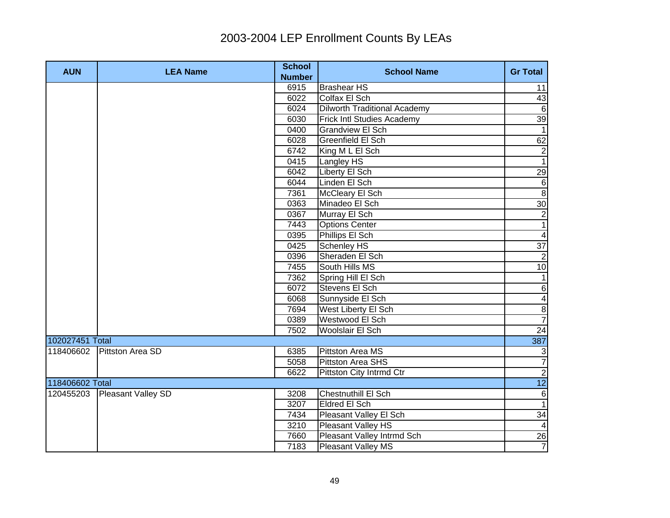| <b>AUN</b>      | <b>LEA Name</b>    | <b>School</b> | <b>School Name</b>                  | <b>Gr Total</b>         |
|-----------------|--------------------|---------------|-------------------------------------|-------------------------|
|                 |                    | <b>Number</b> |                                     |                         |
|                 |                    | 6915          | <b>Brashear HS</b>                  | 11                      |
|                 |                    | 6022          | Colfax El Sch                       | 43                      |
|                 |                    | 6024          | <b>Dilworth Traditional Academy</b> | $\sigma$                |
|                 |                    | 6030          | Frick Intl Studies Academy          | 39                      |
|                 |                    | 0400          | <b>Grandview El Sch</b>             | $\overline{1}$          |
|                 |                    | 6028          | Greenfield El Sch                   | 62                      |
|                 |                    | 6742          | King M L El Sch                     | $\overline{2}$          |
|                 |                    | 0415          | Langley HS                          | $\overline{1}$          |
|                 |                    | 6042          | Liberty El Sch                      | 29                      |
|                 |                    | 6044          | Linden El Sch                       | $\sigma$                |
|                 |                    | 7361          | McCleary El Sch                     | 8                       |
|                 |                    | 0363          | Minadeo El Sch                      | 30                      |
|                 |                    | 0367          | Murray El Sch                       | $\overline{2}$          |
|                 |                    | 7443          | <b>Options Center</b>               | $\overline{1}$          |
|                 |                    | 0395          | Phillips El Sch                     | $\overline{\mathbf{r}}$ |
|                 |                    | 0425          | Schenley HS                         | 37                      |
|                 |                    | 0396          | Sheraden El Sch                     | $\overline{2}$          |
|                 |                    | 7455          | South Hills MS                      | 10                      |
|                 |                    | 7362          | Spring Hill El Sch                  | 1                       |
|                 |                    | 6072          | Stevens El Sch                      | $6 \overline{}$         |
|                 |                    | 6068          | Sunnyside El Sch                    | $\overline{\mathbf{A}}$ |
|                 |                    | 7694          | West Liberty El Sch                 | $\infty$                |
|                 |                    | 0389          | Westwood El Sch                     | $\overline{7}$          |
|                 |                    | 7502          | Woolslair El Sch                    | 24                      |
| 102027451 Total |                    |               |                                     | 387                     |
| 118406602       | Pittston Area SD   | 6385          | <b>Pittston Area MS</b>             | $\mathbf{3}$            |
|                 |                    | 5058          | Pittston Area SHS                   | $\overline{7}$          |
|                 |                    | 6622          | Pittston City Intrmd Ctr            | $\overline{2}$          |
| 118406602 Total |                    |               |                                     | 12                      |
| 120455203       | Pleasant Valley SD | 3208          | Chestnuthill El Sch                 | $6 \overline{6}$        |
|                 |                    | 3207          | Eldred El Sch                       | $\overline{1}$          |
|                 |                    | 7434          | Pleasant Valley El Sch              | 34                      |
|                 |                    | 3210          | Pleasant Valley HS                  | $\overline{4}$          |
|                 |                    | 7660          | Pleasant Valley Intrmd Sch          |                         |
|                 |                    | 7183          | Pleasant Valley MS                  | $\frac{26}{7}$          |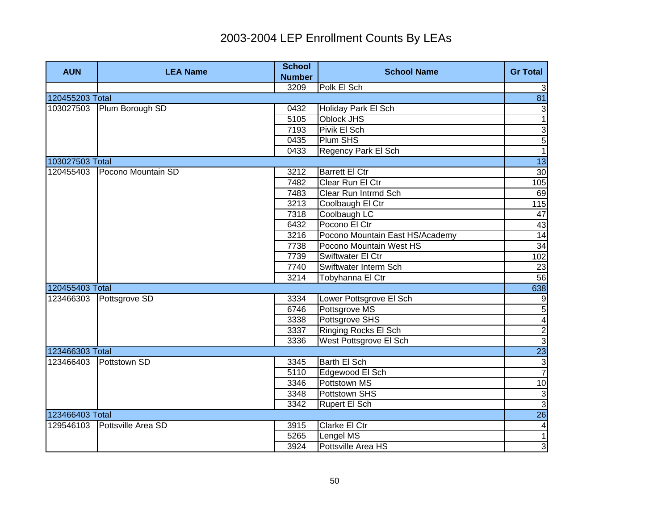| <b>AUN</b>      | <b>LEA Name</b>    | <b>School</b><br><b>Number</b> | <b>School Name</b>              | <b>Gr Total</b>  |
|-----------------|--------------------|--------------------------------|---------------------------------|------------------|
|                 |                    | 3209                           | Polk El Sch                     | 3                |
| 120455203 Total |                    |                                |                                 | 81               |
| 103027503       | Plum Borough SD    | 0432                           | Holiday Park El Sch             | 3                |
|                 |                    | 5105                           | <b>Oblock JHS</b>               | $\overline{1}$   |
|                 |                    | 7193                           | Pivik El Sch                    | $\overline{3}$   |
|                 |                    | 0435                           | Plum SHS                        | 5                |
|                 |                    | 0433                           | Regency Park El Sch             | $\overline{1}$   |
| 103027503 Total |                    |                                |                                 | $\overline{13}$  |
| 120455403       | Pocono Mountain SD | 3212                           | <b>Barrett El Ctr</b>           | 30               |
|                 |                    | 7482                           | Clear Run El Ctr                | 105              |
|                 |                    | 7483                           | Clear Run Intrmd Sch            | 69               |
|                 |                    | 3213                           | Coolbaugh El Ctr                | 115              |
|                 |                    | 7318                           | Coolbaugh LC                    | $\overline{47}$  |
|                 |                    | 6432                           | Pocono El Ctr                   | 43               |
|                 |                    | 3216                           | Pocono Mountain East HS/Academy | 14               |
|                 |                    | 7738                           | Pocono Mountain West HS         | 34               |
|                 |                    | 7739                           | Swiftwater El Ctr               | 102              |
|                 |                    | 7740                           | Swiftwater Interm Sch           | 23               |
|                 |                    | 3214                           | Tobyhanna El Ctr                | 56               |
| 120455403 Total |                    |                                |                                 | 638              |
| 123466303       | Pottsgrove SD      | 3334                           | Lower Pottsgrove El Sch         | $\boldsymbol{9}$ |
|                 |                    | 6746                           | Pottsgrove MS                   | 5                |
|                 |                    | 3338                           | Pottsgrove SHS                  | $\frac{4}{2}$    |
|                 |                    | 3337                           | <b>Ringing Rocks El Sch</b>     |                  |
|                 |                    | 3336                           | West Pottsgrove El Sch          |                  |
| 123466303 Total |                    |                                |                                 | 23               |
| 123466403       | Pottstown SD       | 3345                           | <b>Barth El Sch</b>             | $\frac{3}{7}$    |
|                 |                    | 5110                           | Edgewood El Sch                 |                  |
|                 |                    | 3346                           | <b>Pottstown MS</b>             | 10               |
|                 |                    | 3348                           | Pottstown SHS                   | $\frac{3}{3}$    |
|                 |                    | 3342                           | Rupert El Sch                   |                  |
| 123466403 Total |                    |                                |                                 | 26               |
| 129546103       | Pottsville Area SD | 3915                           | Clarke El Ctr                   | $\vert 4 \vert$  |
|                 |                    | 5265                           | Lengel MS                       | $\overline{1}$   |
|                 |                    | 3924                           | Pottsville Area HS              | $\overline{3}$   |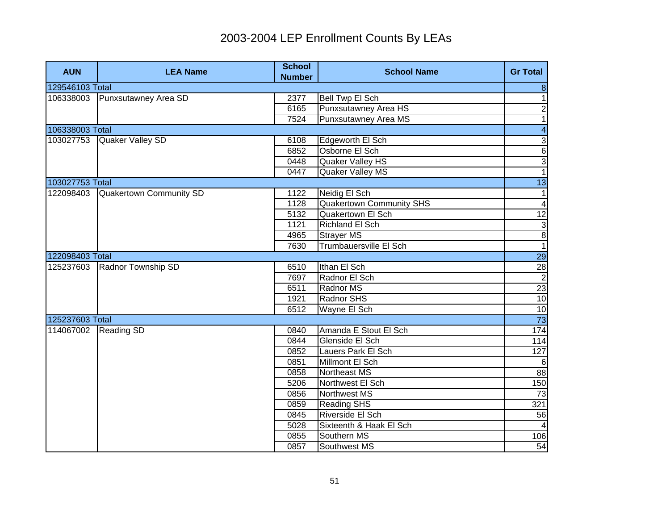| <b>AUN</b>      | <b>LEA Name</b>                | <b>School</b><br><b>Number</b> | <b>School Name</b>            | <b>Gr Total</b>                                 |
|-----------------|--------------------------------|--------------------------------|-------------------------------|-------------------------------------------------|
| 129546103 Total |                                |                                |                               | $\bf 8$                                         |
| 106338003       | Punxsutawney Area SD           | 2377                           | Bell Twp El Sch               | $\overline{1}$                                  |
|                 |                                | 6165                           | Punxsutawney Area HS          | $\overline{2}$                                  |
|                 |                                | 7524                           | Punxsutawney Area MS          | $\mathbf{1}$                                    |
| 106338003 Total |                                |                                |                               | $\overline{\mathbf{4}}$                         |
| 103027753       | Quaker Valley SD               | 6108                           | Edgeworth El Sch              | $\overline{3}$                                  |
|                 |                                | 6852                           | Osborne El Sch                | $\overline{6}$                                  |
|                 |                                | 0448                           | Quaker Valley HS              | $\overline{3}$                                  |
|                 |                                | 0447                           | Quaker Valley MS              | $\overline{1}$                                  |
| 103027753 Total |                                |                                |                               | $\overline{13}$                                 |
| 122098403       | <b>Quakertown Community SD</b> | 1122                           | Neidig El Sch                 | $\mathbf{1}$                                    |
|                 |                                | 1128                           | Quakertown Community SHS      | $\overline{\mathbf{4}}$                         |
|                 |                                | 5132                           | <b>Quakertown El Sch</b>      | 12                                              |
|                 |                                | 1121                           | Richland El Sch               | $\overline{3}$                                  |
|                 |                                | 4965                           | <b>Strayer MS</b>             | $\frac{8}{1}$                                   |
|                 |                                | 7630                           | <b>Trumbauersville El Sch</b> |                                                 |
| 122098403 Total |                                |                                |                               | 29                                              |
| 125237603       | <b>Radnor Township SD</b>      | 6510                           | Ithan El Sch                  |                                                 |
|                 |                                | 7697                           | Radnor El Sch                 |                                                 |
|                 |                                | 6511                           | Radnor MS                     |                                                 |
|                 |                                | 1921                           | Radnor SHS                    |                                                 |
|                 |                                | 6512                           | Wayne El Sch                  | $\frac{28}{10}$ $\frac{28}{10}$ $\frac{28}{10}$ |
| 125237603 Total |                                |                                |                               |                                                 |
| 114067002       | <b>Reading SD</b>              | 0840                           | Amanda E Stout El Sch         | 174                                             |
|                 |                                | 0844                           | Glenside El Sch               | 114                                             |
|                 |                                | 0852                           | Lauers Park El Sch            | 127                                             |
|                 |                                | 0851                           | Millmont El Sch               | 6                                               |
|                 |                                | 0858                           | Northeast MS                  | 88                                              |
|                 |                                | 5206                           | Northwest El Sch              | 150                                             |
|                 |                                | 0856                           | <b>Northwest MS</b>           | 73                                              |
|                 |                                | 0859                           | <b>Reading SHS</b>            | 321                                             |
|                 |                                | 0845                           | Riverside El Sch              | 56                                              |
|                 |                                | 5028                           | Sixteenth & Haak El Sch       |                                                 |
|                 |                                | 0855                           | Southern MS                   | 106                                             |
|                 |                                | 0857                           | Southwest MS                  | 54                                              |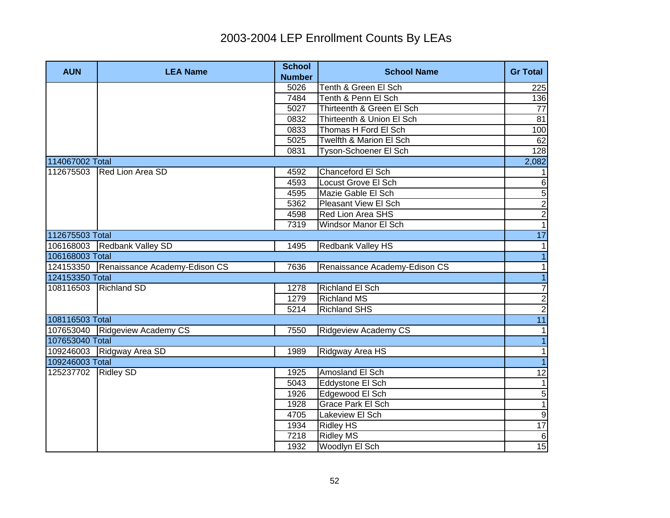| <b>AUN</b>          | <b>LEA Name</b>                         | <b>School</b><br><b>Number</b> | <b>School Name</b>            | <b>Gr Total</b> |
|---------------------|-----------------------------------------|--------------------------------|-------------------------------|-----------------|
|                     |                                         | 5026                           | Tenth & Green El Sch          | 225             |
|                     |                                         | 7484                           | Tenth & Penn El Sch           | 136             |
|                     |                                         | 5027                           | Thirteenth & Green El Sch     | 77              |
|                     |                                         | 0832                           | Thirteenth & Union El Sch     | 81              |
|                     |                                         | 0833                           | Thomas H Ford El Sch          | 100             |
|                     |                                         | 5025                           | Twelfth & Marion El Sch       | 62              |
|                     |                                         | 0831                           | Tyson-Schoener El Sch         | 128             |
| 114067002 Total     |                                         |                                |                               | 2,082           |
| 112675503           | Red Lion Area SD                        | 4592                           | Chanceford El Sch             | $1 \vert$       |
|                     |                                         | 4593                           | Locust Grove El Sch           | $\,6$           |
|                     |                                         | 4595                           | Mazie Gable El Sch            | 5               |
|                     |                                         | 5362                           | Pleasant View El Sch          | $\overline{c}$  |
|                     |                                         | 4598                           | Red Lion Area SHS             | $\overline{2}$  |
|                     |                                         | 7319                           | Windsor Manor El Sch          | $\overline{1}$  |
| 112675503 Total     |                                         |                                |                               | 17              |
|                     | 106168003 Redbank Valley SD             | 1495                           | Redbank Valley HS             | $\mathbf{1}$    |
| 106168003 Total     |                                         |                                |                               | $\overline{1}$  |
|                     | 124153350 Renaissance Academy-Edison CS | 7636                           | Renaissance Academy-Edison CS | $\mathbf{1}$    |
| 124153350 Total     |                                         |                                |                               | $\overline{1}$  |
| 108116503           | <b>Richland SD</b>                      | 1278                           | Richland El Sch               | $\overline{7}$  |
|                     |                                         | 1279                           | <b>Richland MS</b>            | $\frac{2}{2}$   |
|                     |                                         | 5214                           | <b>Richland SHS</b>           |                 |
| 108116503 Total     |                                         |                                |                               | 11              |
|                     | 107653040 Ridgeview Academy CS          | 7550                           | <b>Ridgeview Academy CS</b>   | 1               |
| 107653040 Total     |                                         |                                |                               | $\overline{1}$  |
|                     | 109246003 Ridgway Area SD               | 1989                           | Ridgway Area HS               | 1               |
| 109246003 Total     |                                         |                                |                               | $\overline{1}$  |
| 125237702 Ridley SD |                                         | 1925                           | Amosland El Sch               | $\overline{12}$ |
|                     |                                         | 5043                           | Eddystone El Sch              | 1               |
|                     |                                         | 1926                           | Edgewood El Sch               | $\sqrt{5}$      |
|                     |                                         | 1928                           | <b>Grace Park El Sch</b>      | $\overline{1}$  |
|                     |                                         | 4705                           | Lakeview El Sch               | 9               |
|                     |                                         | 1934                           | <b>Ridley HS</b>              | 17              |
|                     |                                         | 7218                           | <b>Ridley MS</b>              | 6               |
|                     |                                         | 1932                           | Woodlyn El Sch                | 15              |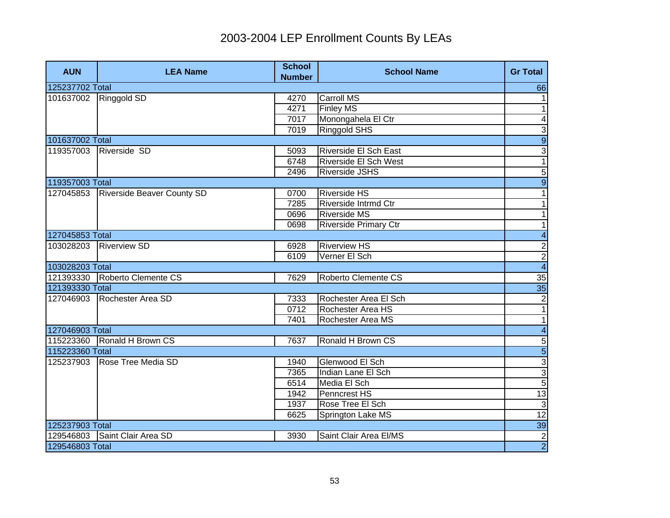| <b>AUN</b>      | <b>LEA Name</b>                   | <b>School</b><br><b>Number</b> | <b>School Name</b>           | <b>Gr Total</b>          |
|-----------------|-----------------------------------|--------------------------------|------------------------------|--------------------------|
| 125237702 Total |                                   |                                |                              | 66                       |
| 101637002       | Ringgold SD                       | 4270                           | <b>Carroll MS</b>            | 1                        |
|                 |                                   | 4271                           | <b>Finley MS</b>             | 1                        |
|                 |                                   | 7017                           | Monongahela El Ctr           | $\overline{\mathbf{4}}$  |
|                 |                                   | 7019                           | <b>Ringgold SHS</b>          | 3                        |
| 101637002 Total |                                   |                                |                              | $\overline{9}$           |
| 119357003       | Riverside SD                      | 5093                           | <b>Riverside El Sch East</b> | $\overline{3}$           |
|                 |                                   | 6748                           | Riverside El Sch West        | $\overline{1}$           |
|                 |                                   | 2496                           | <b>Riverside JSHS</b>        | $\overline{5}$           |
| 119357003 Total |                                   |                                |                              | $\overline{9}$           |
| 127045853       | <b>Riverside Beaver County SD</b> | 0700                           | <b>Riverside HS</b>          | 1                        |
|                 |                                   | 7285                           | Riverside Intrmd Ctr         | $\mathbf{1}$             |
|                 |                                   | 0696                           | <b>Riverside MS</b>          | 1                        |
|                 |                                   | 0698                           | <b>Riverside Primary Ctr</b> | $\mathbf{1}$             |
| 127045853 Total |                                   |                                |                              | $\overline{4}$           |
| 103028203       | <b>Riverview SD</b>               | 6928                           | <b>Riverview HS</b>          |                          |
|                 |                                   | 6109                           | Verner El Sch                | $\frac{2}{4}$            |
| 103028203 Total |                                   |                                |                              |                          |
|                 | 121393330 Roberto Clemente CS     | 7629                           | Roberto Clemente CS          | $\frac{35}{35}$          |
| 121393330 Total |                                   |                                |                              |                          |
| 127046903       | Rochester Area SD                 | 7333                           | Rochester Area El Sch        | $\overline{2}$           |
|                 |                                   | 0712                           | Rochester Area HS            | $\overline{1}$           |
|                 |                                   | 7401                           | Rochester Area MS            | $\overline{\phantom{0}}$ |
| 127046903 Total |                                   |                                |                              | $\overline{4}$           |
|                 | 115223360 Ronald H Brown CS       | 7637                           | Ronald H Brown CS            |                          |
| 115223360 Total |                                   |                                |                              | տ ա ա <mark> տ</mark>  տ |
| 125237903       | Rose Tree Media SD                | 1940                           | Glenwood El Sch              |                          |
|                 |                                   | 7365                           | Indian Lane El Sch           |                          |
|                 |                                   | 6514                           | Media El Sch                 |                          |
|                 |                                   | 1942                           | Penncrest HS                 | 13                       |
|                 |                                   | 1937                           | Rose Tree El Sch             | 3                        |
|                 |                                   | 6625                           | Springton Lake MS            | 12                       |
| 125237903 Total |                                   |                                |                              | 39                       |
| 129546803       | Saint Clair Area SD               | 3930                           | Saint Clair Area El/MS       | $\overline{2}$           |
| 129546803 Total |                                   |                                |                              | $\overline{2}$           |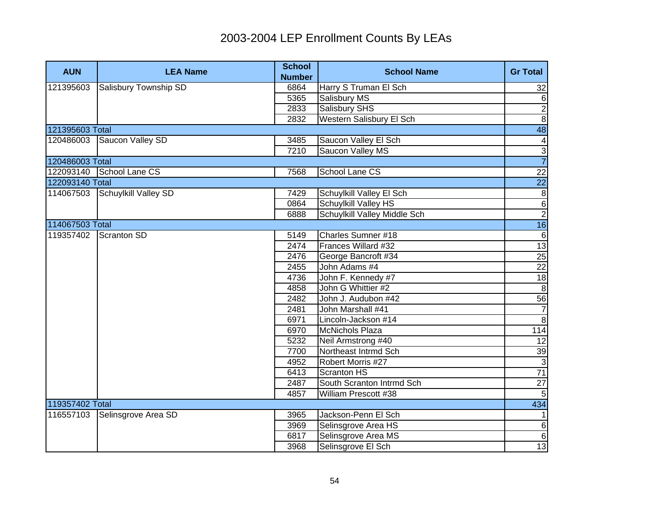| <b>AUN</b>      | <b>LEA Name</b>          | <b>School</b><br><b>Number</b> | <b>School Name</b>           | <b>Gr Total</b>         |
|-----------------|--------------------------|--------------------------------|------------------------------|-------------------------|
| 121395603       | Salisbury Township SD    | 6864                           | Harry S Truman El Sch        | 32                      |
|                 |                          | 5365                           | Salisbury MS                 | 6                       |
|                 |                          | 2833                           | Salisbury SHS                | $\overline{2}$          |
|                 |                          | 2832                           | Western Salisbury El Sch     | $\overline{8}$          |
| 121395603 Total |                          |                                |                              | $\overline{48}$         |
| 120486003       | Saucon Valley SD         | 3485                           | Saucon Valley El Sch         | $\overline{\mathbf{A}}$ |
|                 |                          | 7210                           | Saucon Valley MS             | $\frac{1}{7}$           |
| 120486003 Total |                          |                                |                              |                         |
|                 | 122093140 School Lane CS | 7568                           | School Lane CS               | $\overline{22}$         |
| 122093140 Total |                          |                                |                              | $\overline{22}$         |
| 114067503       | Schuylkill Valley SD     | 7429                           | Schuylkill Valley El Sch     | $\infty$                |
|                 |                          | 0864                           | Schuylkill Valley HS         | $\overline{6}$          |
|                 |                          | 6888                           | Schuylkill Valley Middle Sch | $\overline{2}$          |
| 114067503 Total |                          |                                |                              | 16                      |
| 119357402       | Scranton SD              | 5149                           | Charles Sumner #18           | $\sigma$                |
|                 |                          | 2474                           | Frances Willard #32          | 13                      |
|                 |                          | 2476                           | George Bancroft #34          | 25                      |
|                 |                          | 2455                           | John Adams #4                | 22                      |
|                 |                          | 4736                           | John F. Kennedy #7           | 18                      |
|                 |                          | 4858                           | John G Whittier #2           | $\infty$                |
|                 |                          | 2482                           | John J. Audubon #42          | 56                      |
|                 |                          | 2481                           | John Marshall #41            | $\overline{7}$          |
|                 |                          | 6971                           | Lincoln-Jackson #14          | $\infty$                |
|                 |                          | 6970                           | <b>McNichols Plaza</b>       | 114                     |
|                 |                          | 5232                           | Neil Armstrong #40           | 12                      |
|                 |                          | 7700                           | Northeast Intrmd Sch         | 39                      |
|                 |                          | 4952                           | Robert Morris #27            | 3                       |
|                 |                          | 6413                           | Scranton HS                  | 71                      |
|                 |                          | 2487                           | South Scranton Intrmd Sch    | 27                      |
|                 |                          | 4857                           | William Prescott #38         | 5 <sub>5</sub>          |
| 119357402 Total |                          |                                |                              | 434                     |
| 116557103       | Selinsgrove Area SD      | 3965                           | Jackson-Penn El Sch          | $\mathbf{1}$            |
|                 |                          | 3969                           | Selinsgrove Area HS          | $6 \overline{6}$        |
|                 |                          | 6817                           | Selinsgrove Area MS          | $\overline{6}$          |
|                 |                          | 3968                           | Selinsgrove El Sch           | 13                      |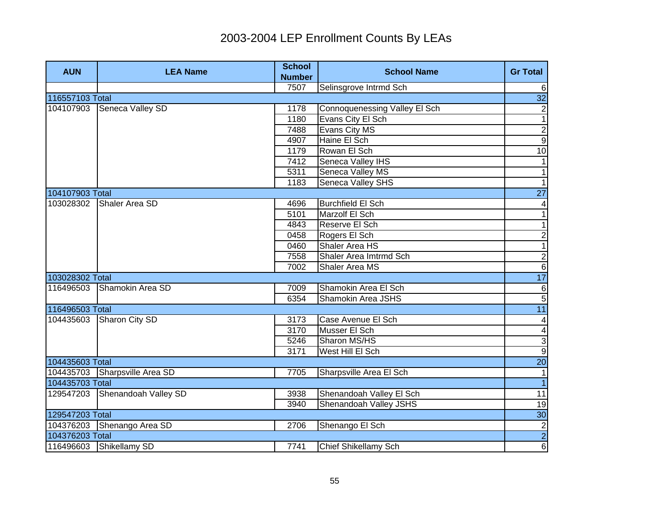| <b>AUN</b>      | <b>LEA Name</b>               | <b>School</b><br><b>Number</b> | <b>School Name</b>            | <b>Gr Total</b>          |
|-----------------|-------------------------------|--------------------------------|-------------------------------|--------------------------|
|                 |                               | 7507                           | Selinsgrove Intrmd Sch        | 6                        |
| 116557103 Total |                               |                                |                               | 32                       |
| 104107903       | Seneca Valley SD              | 1178                           | Connoquenessing Valley El Sch | $\mathbf{2}$             |
|                 |                               | 1180                           | Evans City El Sch             | $\overline{1}$           |
|                 |                               | 7488                           | Evans City MS                 | $\overline{2}$           |
|                 |                               | 4907                           | Haine El Sch                  | $\overline{9}$           |
|                 |                               | 1179                           | Rowan El Sch                  | 10                       |
|                 |                               | 7412                           | Seneca Valley IHS             | $\mathbf{1}$             |
|                 |                               | 5311                           | Seneca Valley MS              | $\overline{\phantom{0}}$ |
|                 |                               | 1183                           | Seneca Valley SHS             | $\overline{1}$           |
| 104107903 Total |                               |                                |                               | $\overline{27}$          |
| 103028302       | Shaler Area SD                | 4696                           | <b>Burchfield El Sch</b>      | $\overline{\mathcal{A}}$ |
|                 |                               | 5101                           | Marzolf El Sch                | $\mathbf{1}$             |
|                 |                               | 4843                           | Reserve El Sch                | $\mathbf{1}$             |
|                 |                               | 0458                           | Rogers El Sch                 | $\overline{c}$           |
|                 |                               | 0460                           | Shaler Area HS                | $\overline{1}$           |
|                 |                               | 7558                           | Shaler Area Imtrmd Sch        | $\overline{2}$           |
|                 |                               | 7002                           | Shaler Area MS                | $6\overline{6}$          |
| 103028302 Total |                               |                                |                               | 17                       |
| 116496503       | Shamokin Area SD              | 7009                           | Shamokin Area El Sch          |                          |
|                 |                               | 6354                           | Shamokin Area JSHS            | $\sigma$                 |
| 116496503 Total |                               |                                |                               | $\overline{11}$          |
| 104435603       | Sharon City SD                | 3173                           | Case Avenue El Sch            | $\overline{\mathbf{4}}$  |
|                 |                               | 3170                           | Musser El Sch                 | $\overline{\mathbf{4}}$  |
|                 |                               | 5246                           | Sharon MS/HS                  | ا ده                     |
|                 |                               | 3171                           | West Hill El Sch              |                          |
| 104435603 Total |                               |                                |                               | $\overline{20}$          |
|                 | 104435703 Sharpsville Area SD | 7705                           | Sharpsville Area El Sch       | $\vert$ 1                |
| 104435703 Total |                               |                                |                               | $\vert$ 1                |
| 129547203       | Shenandoah Valley SD          | 3938                           | Shenandoah Valley El Sch      | 11                       |
|                 |                               | 3940                           | Shenandoah Valley JSHS        | 19                       |
| 129547203 Total |                               |                                |                               | 30                       |
|                 | 104376203 Shenango Area SD    | 2706                           | Shenango El Sch               | $\overline{2}$           |
| 104376203 Total |                               |                                |                               | $\overline{2}$           |
|                 | 116496603 Shikellamy SD       | 7741                           | Chief Shikellamy Sch          | $\overline{6}$           |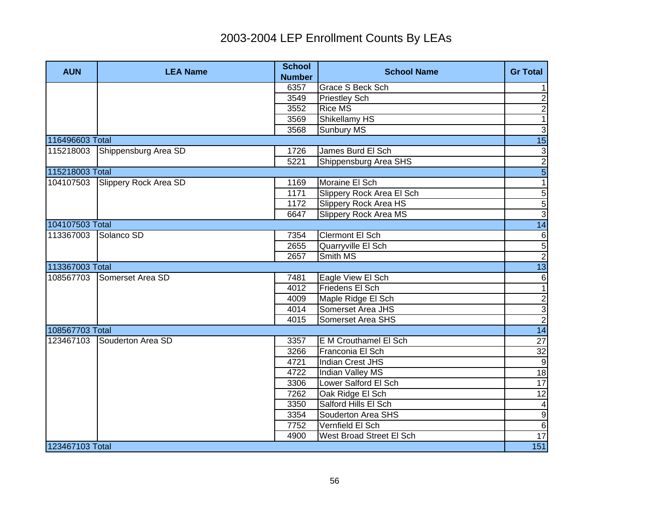| <b>AUN</b>      | <b>LEA Name</b>       | <b>School</b><br><b>Number</b> | <b>School Name</b>        | <b>Gr Total</b> |
|-----------------|-----------------------|--------------------------------|---------------------------|-----------------|
|                 |                       | 6357                           | <b>Grace S Beck Sch</b>   | 1               |
|                 |                       | 3549                           | <b>Priestley Sch</b>      | $\overline{2}$  |
|                 |                       | 3552                           | <b>Rice MS</b>            | $\overline{2}$  |
|                 |                       | 3569                           | Shikellamy HS             | $\mathbf{1}$    |
|                 |                       | 3568                           | Sunbury MS                | $\overline{3}$  |
| 116496603 Total |                       |                                |                           | $\overline{15}$ |
| 115218003       | Shippensburg Area SD  | 1726                           | James Burd El Sch         | 3               |
|                 |                       | 5221                           | Shippensburg Area SHS     | $\overline{2}$  |
| 115218003 Total |                       |                                |                           | $\overline{5}$  |
| 104107503       | Slippery Rock Area SD | 1169                           | Moraine El Sch            | $\overline{1}$  |
|                 |                       | 1171                           | Slippery Rock Area El Sch | $\overline{5}$  |
|                 |                       | 1172                           | Slippery Rock Area HS     |                 |
|                 |                       | 6647                           | Slippery Rock Area MS     | $\frac{5}{3}$   |
| 104107503 Total |                       |                                |                           | 14              |
| 113367003       | Solanco SD            | 7354                           | <b>Clermont El Sch</b>    | $\overline{6}$  |
|                 |                       | 2655                           | Quarryville El Sch        |                 |
|                 |                       | 2657                           | Smith MS                  | $\frac{5}{2}$   |
| 113367003 Total |                       |                                |                           | 13              |
| 108567703       | Somerset Area SD      | 7481                           | Eagle View El Sch         | 6               |
|                 |                       | 4012                           | Friedens El Sch           | $\overline{1}$  |
|                 |                       | 4009                           | Maple Ridge El Sch        |                 |
|                 |                       | 4014                           | Somerset Area JHS         | $\frac{2}{3}$   |
|                 |                       | 4015                           | Somerset Area SHS         |                 |
| 108567703 Total |                       |                                |                           | 14              |
| 123467103       | Souderton Area SD     | 3357                           | E M Crouthamel El Sch     | $\overline{27}$ |
|                 |                       | 3266                           | Franconia El Sch          | $\overline{32}$ |
|                 |                       | 4721                           | Indian Crest JHS          | $\overline{9}$  |
|                 |                       | 4722                           | Indian Valley MS          | 18              |
|                 |                       | 3306                           | Lower Salford El Sch      | 17              |
|                 |                       | 7262                           | Oak Ridge El Sch          | 12              |
|                 |                       | 3350                           | Salford Hills El Sch      | 4               |
|                 |                       | 3354                           | Souderton Area SHS        | $\overline{9}$  |
|                 |                       | 7752                           | Vernfield El Sch          | $\overline{6}$  |
|                 |                       | 4900                           | West Broad Street El Sch  | 17              |
| 123467103 Total |                       |                                |                           | 151             |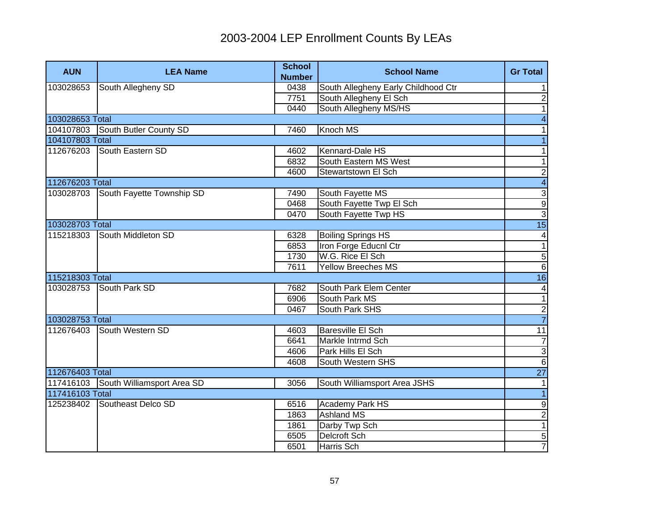| <b>AUN</b>      | <b>LEA Name</b>                      | <b>School</b><br><b>Number</b> | <b>School Name</b>                  | <b>Gr Total</b>         |
|-----------------|--------------------------------------|--------------------------------|-------------------------------------|-------------------------|
| 103028653       | South Allegheny SD                   | 0438                           | South Allegheny Early Childhood Ctr | 1                       |
|                 |                                      | 7751                           | South Allegheny El Sch              | $\overline{2}$          |
|                 |                                      | 0440                           | South Allegheny MS/HS               | $\overline{1}$          |
| 103028653 Total |                                      |                                |                                     | $\overline{4}$          |
| 104107803       | South Butler County SD               | 7460                           | Knoch MS                            | $\mathbf{1}$            |
| 104107803 Total |                                      |                                |                                     | $\overline{1}$          |
|                 | 112676203 South Eastern SD           | 4602                           | Kennard-Dale HS                     | $\mathbf{1}$            |
|                 |                                      | 6832                           | South Eastern MS West               | $\overline{1}$          |
|                 |                                      | 4600                           | Stewartstown El Sch                 | $\overline{2}$          |
| 112676203 Total |                                      |                                |                                     | $\overline{\mathbf{4}}$ |
| 103028703       | South Fayette Township SD            | 7490                           | South Fayette MS                    | $\overline{3}$          |
|                 |                                      | 0468                           | South Fayette Twp El Sch            | $\overline{9}$          |
|                 |                                      | 0470                           | South Fayette Twp HS                | $\overline{3}$          |
| 103028703 Total |                                      |                                |                                     | 15                      |
| 115218303       | South Middleton SD                   | 6328                           | <b>Boiling Springs HS</b>           | $\overline{\mathbf{4}}$ |
|                 |                                      | 6853                           | Iron Forge Educnl Ctr               | $\overline{1}$          |
|                 |                                      | 1730                           | W.G. Rice El Sch                    |                         |
|                 |                                      | 7611                           | <b>Yellow Breeches MS</b>           | $\frac{5}{6}$           |
| 115218303 Total |                                      |                                |                                     | 16                      |
| 103028753       | South Park SD                        | 7682                           | South Park Elem Center              | $\overline{\mathbf{r}}$ |
|                 |                                      | 6906                           | South Park MS                       | $\overline{1}$          |
|                 |                                      | 0467                           | South Park SHS                      | $\frac{2}{7}$           |
| 103028753 Total |                                      |                                |                                     |                         |
| 112676403       | South Western SD                     | 4603                           | <b>Baresville El Sch</b>            | $\overline{11}$         |
|                 |                                      | 6641                           | Markle Intrmd Sch                   | $\overline{7}$          |
|                 |                                      | 4606                           | Park Hills El Sch                   | $\overline{3}$          |
|                 |                                      | 4608                           | South Western SHS                   | $\overline{6}$          |
| 112676403 Total |                                      |                                |                                     | 27                      |
|                 | 117416103 South Williamsport Area SD | 3056                           | South Williamsport Area JSHS        | 1                       |
| 117416103 Total |                                      |                                |                                     | $\overline{1}$          |
| 125238402       | Southeast Delco SD                   | 6516                           | Academy Park HS                     | ٥                       |
|                 |                                      | 1863                           | <b>Ashland MS</b>                   | $\overline{2}$          |
|                 |                                      | 1861                           | Darby Twp Sch                       | $\overline{1}$          |
|                 |                                      | 6505                           | <b>Delcroft Sch</b>                 | $\overline{5}$          |
|                 |                                      | 6501                           | Harris Sch                          | $\overline{7}$          |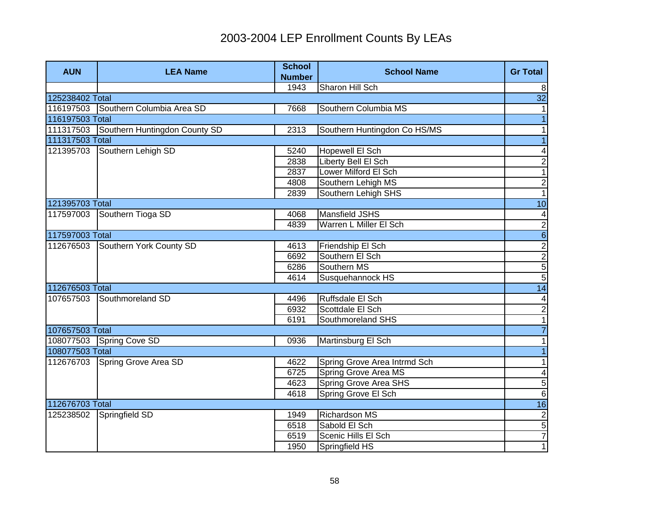| <b>AUN</b>      | <b>LEA Name</b>                         | <b>School</b><br><b>Number</b> | <b>School Name</b>           | <b>Gr Total</b>            |
|-----------------|-----------------------------------------|--------------------------------|------------------------------|----------------------------|
|                 |                                         | 1943                           | Sharon Hill Sch              | 8                          |
| 125238402 Total |                                         |                                |                              | $\overline{32}$            |
| 116197503       | Southern Columbia Area SD               | 7668                           | Southern Columbia MS         | $\mathbf{1}$               |
| 116197503 Total |                                         |                                |                              | $\overline{1}$             |
|                 | 111317503 Southern Huntingdon County SD | 2313                           | Southern Huntingdon Co HS/MS | $\mathbf{1}$               |
| 111317503 Total |                                         |                                |                              | $\overline{1}$             |
| 121395703       | Southern Lehigh SD                      | 5240                           | <b>Hopewell El Sch</b>       | $\blacktriangle$           |
|                 |                                         | 2838                           | Liberty Bell El Sch          | $\overline{2}$             |
|                 |                                         | 2837                           | Lower Milford El Sch         | $\overline{1}$             |
|                 |                                         | 4808                           | Southern Lehigh MS           | $\overline{2}$             |
|                 |                                         | 2839                           | Southern Lehigh SHS          | $\overline{1}$             |
| 121395703 Total |                                         |                                |                              | 10                         |
| 117597003       | Southern Tioga SD                       | 4068                           | Mansfield JSHS               |                            |
|                 |                                         | 4839                           | Warren L Miller El Sch       |                            |
| 117597003 Total |                                         |                                |                              | $\frac{4}{5}$   0  0  0  0 |
| 112676503       | Southern York County SD                 | 4613                           | Friendship El Sch            |                            |
|                 |                                         | 6692                           | Southern El Sch              |                            |
|                 |                                         | 6286                           | Southern MS                  |                            |
|                 |                                         | 4614                           | Susquehannock HS             |                            |
| 112676503 Total |                                         |                                |                              | 14                         |
| 107657503       | Southmoreland SD                        | 4496                           | Ruffsdale El Sch             | $\overline{4}$             |
|                 |                                         | 6932                           | Scottdale El Sch             | $\overline{2}$             |
|                 |                                         | 6191                           | Southmoreland SHS            | $\overline{1}$             |
| 107657503 Total |                                         |                                |                              | $\overline{7}$             |
|                 | 108077503 Spring Cove SD                | 0936                           | Martinsburg El Sch           | 1                          |
| 108077503 Total |                                         |                                |                              | $\overline{1}$             |
| 112676703       | Spring Grove Area SD                    | 4622                           | Spring Grove Area Intrmd Sch | 1                          |
|                 |                                         | 6725                           | Spring Grove Area MS         | $\overline{\mathbf{4}}$    |
|                 |                                         | 4623                           | Spring Grove Area SHS        | $\mathbf 5$                |
|                 |                                         | 4618                           | Spring Grove El Sch          | $6\phantom{1}6$            |
| 112676703 Total |                                         |                                |                              | 16                         |
| 125238502       | Springfield SD                          | 1949                           | <b>Richardson MS</b>         | $\frac{2}{5}$              |
|                 |                                         | 6518                           | Sabold El Sch                |                            |
|                 |                                         | 6519                           | Scenic Hills El Sch          | $\overline{7}$             |
|                 |                                         | 1950                           | Springfield HS               | $\overline{1}$             |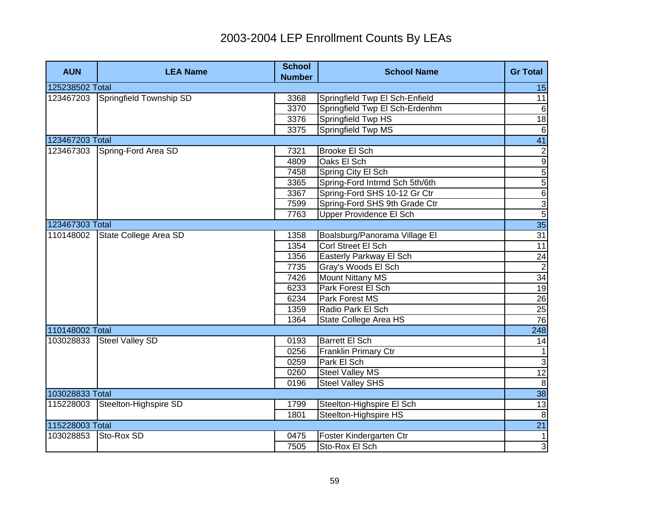| <b>AUN</b>      | <b>LEA Name</b>         | <b>School</b><br><b>Number</b> | <b>School Name</b>             | <b>Gr Total</b>                 |
|-----------------|-------------------------|--------------------------------|--------------------------------|---------------------------------|
| 125238502 Total |                         |                                |                                | 15                              |
| 123467203       | Springfield Township SD | 3368                           | Springfield Twp El Sch-Enfield | $\overline{11}$                 |
|                 |                         | 3370                           | Springfield Twp El Sch-Erdenhm | $6\phantom{1}6$                 |
|                 |                         | 3376                           | Springfield Twp HS             | 18                              |
|                 |                         | 3375                           | Springfield Twp MS             | $6\phantom{1}6$                 |
| 123467203 Total |                         |                                |                                | 41                              |
| 123467303       | Spring-Ford Area SD     | 7321                           | <b>Brooke El Sch</b>           | $\overline{2}$                  |
|                 |                         | 4809                           | Oaks El Sch                    | $\overline{9}$                  |
|                 |                         | 7458                           | Spring City El Sch             | 5                               |
|                 |                         | 3365                           | Spring-Ford Intrmd Sch 5th/6th | $\overline{5}$                  |
|                 |                         | 3367                           | Spring-Ford SHS 10-12 Gr Ctr   | $\overline{6}$                  |
|                 |                         | 7599                           | Spring-Ford SHS 9th Grade Ctr  |                                 |
|                 |                         | 7763                           | Upper Providence El Sch        | $\frac{1}{5}$                   |
| 123467303 Total |                         |                                |                                | 35                              |
| 110148002       | State College Area SD   | 1358                           | Boalsburg/Panorama Village El  | $\overline{31}$                 |
|                 |                         | 1354                           | Corl Street El Sch             | 11                              |
|                 |                         | 1356                           | Easterly Parkway El Sch        |                                 |
|                 |                         | 7735                           | Gray's Woods El Sch            | $\frac{24}{34}$ $\frac{34}{19}$ |
|                 |                         | 7426                           | <b>Mount Nittany MS</b>        |                                 |
|                 |                         | 6233                           | Park Forest El Sch             |                                 |
|                 |                         | 6234                           | <b>Park Forest MS</b>          | $\frac{26}{25}$ $\frac{25}{76}$ |
|                 |                         | 1359                           | Radio Park El Sch              |                                 |
|                 |                         | 1364                           | State College Area HS          |                                 |
| 110148002 Total |                         |                                |                                | 248                             |
| 103028833       | <b>Steel Valley SD</b>  | 0193                           | <b>Barrett El Sch</b>          | 14                              |
|                 |                         | 0256                           | <b>Franklin Primary Ctr</b>    | $\mathbf{1}$                    |
|                 |                         | 0259                           | Park El Sch                    | $\overline{3}$                  |
|                 |                         | 0260                           | <b>Steel Valley MS</b>         | 12                              |
|                 |                         | 0196                           | <b>Steel Valley SHS</b>        | 8                               |
| 103028833 Total |                         |                                |                                | 38                              |
| 115228003       | Steelton-Highspire SD   | 1799                           | Steelton-Highspire El Sch      | 13                              |
|                 |                         | 1801                           | Steelton-Highspire HS          | $\boldsymbol{8}$                |
| 115228003 Total |                         |                                |                                | $\overline{21}$                 |
| 103028853       | Sto-Rox SD              | 0475                           | Foster Kindergarten Ctr        | $\overline{1}$                  |
|                 |                         | 7505                           | Sto-Rox El Sch                 | 3                               |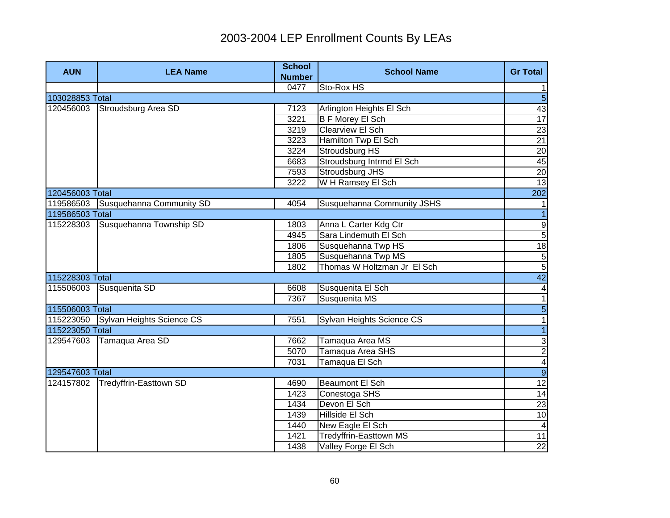| <b>AUN</b>      | <b>LEA Name</b>                     | <b>School</b><br><b>Number</b> | <b>School Name</b>          | <b>Gr Total</b>          |
|-----------------|-------------------------------------|--------------------------------|-----------------------------|--------------------------|
|                 |                                     | 0477                           | Sto-Rox HS                  | 1                        |
| 103028853 Total |                                     |                                |                             | $\overline{5}$           |
| 120456003       | Stroudsburg Area SD                 | 7123                           | Arlington Heights El Sch    | 43                       |
|                 |                                     | 3221                           | <b>B F Morey El Sch</b>     | 17                       |
|                 |                                     | 3219                           | Clearview El Sch            | 23                       |
|                 |                                     | 3223                           | Hamilton Twp El Sch         | $\overline{21}$          |
|                 |                                     | 3224                           | Stroudsburg HS              | 20                       |
|                 |                                     | 6683                           | Stroudsburg Intrmd El Sch   | 45                       |
|                 |                                     | 7593                           | Stroudsburg JHS             | 20                       |
|                 |                                     | 3222                           | W H Ramsey El Sch           | 13                       |
| 120456003 Total |                                     |                                |                             | 202                      |
| 119586503       | Susquehanna Community SD            | 4054                           | Susquehanna Community JSHS  | $\mathbf{1}$             |
| 119586503 Total |                                     |                                |                             | $\overline{1}$           |
| 115228303       | Susquehanna Township SD             | 1803                           | Anna L Carter Kdg Ctr       | ပျစ                      |
|                 |                                     | 4945                           | Sara Lindemuth El Sch       |                          |
|                 |                                     | 1806                           | Susquehanna Twp HS          | 18                       |
|                 |                                     | 1805                           | Susquehanna Twp MS          | $\frac{5}{5}$            |
|                 |                                     | 1802                           | Thomas W Holtzman Jr El Sch |                          |
| 115228303 Total |                                     |                                |                             | 42                       |
| 115506003       | Susquenita SD                       | 6608                           | Susquenita El Sch           | $\overline{4}$           |
|                 |                                     | 7367                           | Susquenita MS               | $\overline{\phantom{0}}$ |
| 115506003 Total |                                     |                                |                             | $\overline{5}$           |
|                 | 115223050 Sylvan Heights Science CS | 7551                           | Sylvan Heights Science CS   | $\overline{1}$           |
| 115223050 Total |                                     |                                |                             | $\overline{1}$           |
| 129547603       | Tamaqua Area SD                     | 7662                           | Tamaqua Area MS             | دى                       |
|                 |                                     | 5070                           | Tamaqua Area SHS            | $\overline{2}$           |
|                 |                                     | 7031                           | Tamaqua El Sch              | $\overline{\mathbf{4}}$  |
| 129547603 Total |                                     |                                |                             | $\overline{9}$           |
| 124157802       | Tredyffrin-Easttown SD              | 4690                           | <b>Beaumont El Sch</b>      | 12                       |
|                 |                                     | 1423                           | Conestoga SHS               | 14                       |
|                 |                                     | 1434                           | Devon El Sch                | 23                       |
|                 |                                     | 1439                           | Hillside El Sch             | 10                       |
|                 |                                     | 1440                           | New Eagle El Sch            | $\overline{4}$           |
|                 |                                     | 1421                           | Tredyffrin-Easttown MS      | 11                       |
|                 |                                     | 1438                           | Valley Forge El Sch         | $\overline{22}$          |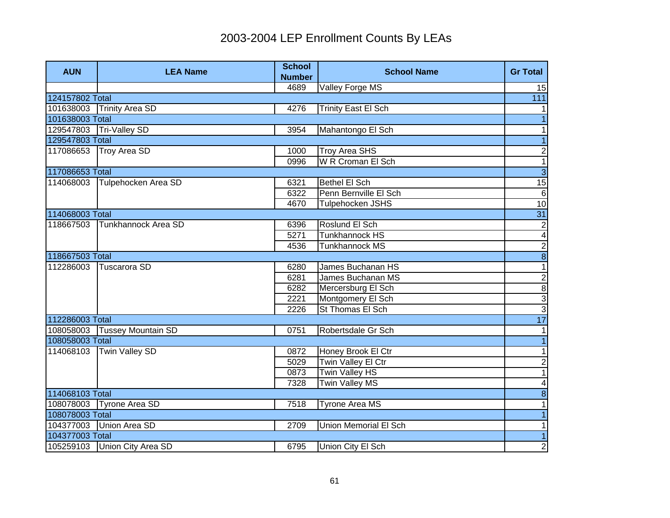| <b>AUN</b>      | <b>LEA Name</b>              | <b>School</b><br><b>Number</b> | <b>School Name</b>           | <b>Gr Total</b>          |
|-----------------|------------------------------|--------------------------------|------------------------------|--------------------------|
|                 |                              | 4689                           | Valley Forge MS              | 15                       |
| 124157802 Total |                              |                                |                              | $\overline{111}$         |
| 101638003       | <b>Trinity Area SD</b>       | 4276                           | <b>Trinity East El Sch</b>   | 1                        |
| 101638003 Total |                              |                                |                              |                          |
|                 | 129547803 Tri-Valley SD      | 3954                           | Mahantongo El Sch            | 1                        |
| 129547803 Total |                              |                                |                              | $\overline{1}$           |
| 117086653       | <b>Troy Area SD</b>          | 1000                           | <b>Troy Area SHS</b>         | $\boldsymbol{2}$         |
|                 |                              | 0996                           | W R Croman El Sch            | $\overline{1}$           |
| 117086653 Total |                              |                                |                              | $\overline{3}$           |
| 114068003       | Tulpehocken Area SD          | 6321                           | <b>Bethel El Sch</b>         | 15                       |
|                 |                              | 6322                           | Penn Bernville El Sch        | $\sigma$                 |
|                 |                              | 4670                           | Tulpehocken JSHS             | 10                       |
| 114068003 Total |                              |                                |                              | 31                       |
| 118667503       | Tunkhannock Area SD          | 6396                           | Roslund El Sch               | $\overline{2}$           |
|                 |                              | 5271                           | <b>Tunkhannock HS</b>        |                          |
|                 |                              | 4536                           | Tunkhannock MS               |                          |
| 118667503 Total |                              |                                |                              | $\frac{1}{2}$            |
| 112286003       | Tuscarora SD                 | 6280                           | James Buchanan HS            |                          |
|                 |                              | 6281                           | James Buchanan MS            | <u>ယ ယ ထ</u> လ           |
|                 |                              | 6282                           | Mercersburg El Sch           |                          |
|                 |                              | 2221                           | Montgomery El Sch            |                          |
|                 |                              | 2226                           | St Thomas El Sch             |                          |
| 112286003 Total |                              |                                |                              | 17                       |
|                 | 108058003 Tussey Mountain SD | 0751                           | Robertsdale Gr Sch           | 1                        |
| 108058003 Total |                              |                                |                              | $\overline{1}$           |
| 114068103       | <b>Twin Valley SD</b>        | 0872                           | Honey Brook El Ctr           | $\overline{\phantom{0}}$ |
|                 |                              | 5029                           | Twin Valley El Ctr           | $\overline{c}$           |
|                 |                              | 0873                           | <b>Twin Valley HS</b>        | $\overline{1}$           |
|                 |                              | 7328                           | <b>Twin Valley MS</b>        | $\overline{\mathbf{4}}$  |
| 114068103 Total |                              |                                |                              | $\infty$                 |
|                 | 108078003 Tyrone Area SD     | 7518                           | Tyrone Area MS               | 1                        |
| 108078003 Total |                              |                                |                              | $\vert$                  |
|                 | 104377003 Union Area SD      | 2709                           | <b>Union Memorial El Sch</b> | $\mathbf{1}$             |
| 104377003 Total |                              |                                |                              | $\overline{1}$           |
|                 | 105259103 Union City Area SD | 6795                           | Union City El Sch            | $\overline{2}$           |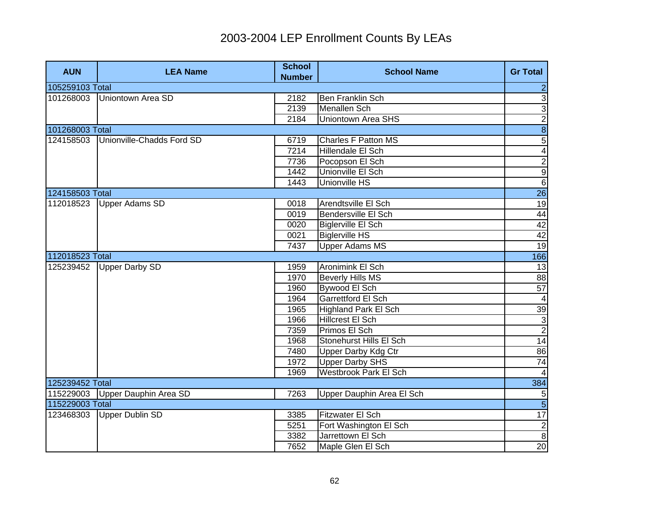| <b>AUN</b>      | <b>LEA Name</b>           | <b>School</b><br><b>Number</b> | <b>School Name</b>           | <b>Gr Total</b>         |
|-----------------|---------------------------|--------------------------------|------------------------------|-------------------------|
| 105259103 Total |                           |                                |                              | $\overline{\mathbf{c}}$ |
| 101268003       | Uniontown Area SD         | 2182                           | <b>Ben Franklin Sch</b>      | $\overline{3}$          |
|                 |                           | 2139                           | <b>Menallen Sch</b>          | $\overline{3}$          |
|                 |                           | 2184                           | <b>Uniontown Area SHS</b>    | $\overline{2}$          |
| 101268003 Total |                           |                                |                              | $\overline{8}$          |
| 124158503       | Unionville-Chadds Ford SD | 6719                           | Charles F Patton MS          | $\overline{5}$          |
|                 |                           | 7214                           | Hillendale El Sch            | $\overline{4}$          |
|                 |                           | 7736                           | Pocopson El Sch              | $\overline{2}$          |
|                 |                           | 1442                           | Unionville El Sch            | $\overline{9}$          |
|                 |                           | 1443                           | <b>Unionville HS</b>         | $\overline{6}$          |
| 124158503 Total |                           |                                |                              | 26                      |
| 112018523       | <b>Upper Adams SD</b>     | 0018                           | Arendtsville El Sch          | 19                      |
|                 |                           | 0019                           | Bendersville El Sch          | 44                      |
|                 |                           | 0020                           | Biglerville El Sch           | 42                      |
|                 |                           | 0021                           | <b>Biglerville HS</b>        | 42                      |
|                 |                           | 7437                           | <b>Upper Adams MS</b>        | 19                      |
| 112018523 Total |                           |                                |                              | 166                     |
| 125239452       | <b>Upper Darby SD</b>     | 1959                           | Aronimink El Sch             | 13                      |
|                 |                           | 1970                           | <b>Beverly Hills MS</b>      | 88                      |
|                 |                           | 1960                           | Bywood El Sch                | 57                      |
|                 |                           | 1964                           | <b>Garrettford El Sch</b>    | $\overline{4}$          |
|                 |                           | 1965                           | <b>Highland Park El Sch</b>  | 39                      |
|                 |                           | 1966                           | <b>Hillcrest El Sch</b>      | $\frac{3}{2}$           |
|                 |                           | 7359                           | Primos El Sch                |                         |
|                 |                           | 1968                           | Stonehurst Hills El Sch      | 14                      |
|                 |                           | 7480                           | Upper Darby Kdg Ctr          | 86                      |
|                 |                           | 1972                           | <b>Upper Darby SHS</b>       | 74                      |
|                 |                           | 1969                           | <b>Westbrook Park El Sch</b> | $\overline{4}$          |
| 125239452 Total |                           |                                |                              | 384                     |
| 115229003       | Upper Dauphin Area SD     | 7263                           | Upper Dauphin Area El Sch    | 5                       |
| 115229003 Total |                           |                                |                              | $\overline{5}$          |
| 123468303       | <b>Upper Dublin SD</b>    | 3385                           | Fitzwater El Sch             | 17                      |
|                 |                           | 5251                           | Fort Washington El Sch       | $\overline{2}$          |
|                 |                           | 3382                           | Jarrettown El Sch            | $\overline{8}$          |
|                 |                           | 7652                           | Maple Glen El Sch            | 20                      |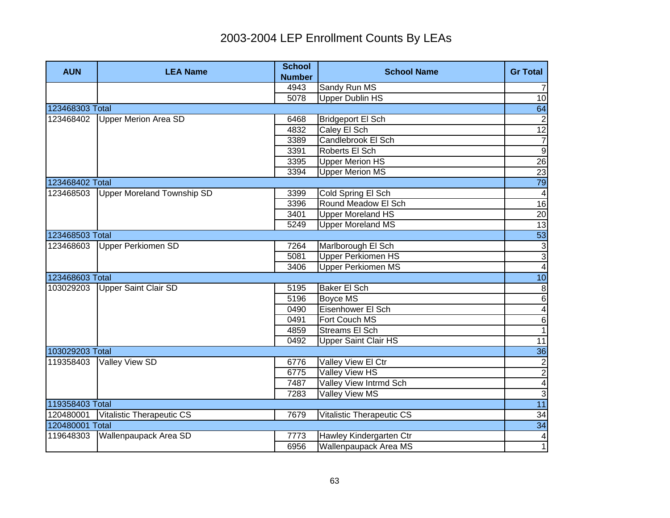| <b>AUN</b>      | <b>LEA Name</b>             | <b>School</b><br><b>Number</b> | <b>School Name</b>          | <b>Gr Total</b>                                     |
|-----------------|-----------------------------|--------------------------------|-----------------------------|-----------------------------------------------------|
|                 |                             | 4943                           | Sandy Run MS                | $\overline{7}$                                      |
|                 |                             | 5078                           | <b>Upper Dublin HS</b>      | 10                                                  |
| 123468303 Total |                             |                                |                             | 64                                                  |
| 123468402       | <b>Upper Merion Area SD</b> | 6468                           | <b>Bridgeport El Sch</b>    | $\overline{2}$                                      |
|                 |                             | 4832                           | Caley El Sch                | $\overline{12}$                                     |
|                 |                             | 3389                           | Candlebrook El Sch          | $\overline{7}$                                      |
|                 |                             | 3391                           | Roberts El Sch              | $\overline{9}$                                      |
|                 |                             | 3395                           | <b>Upper Merion HS</b>      | 26                                                  |
|                 |                             | 3394                           | <b>Upper Merion MS</b>      | $\overline{23}$                                     |
| 123468402 Total |                             |                                |                             | 79                                                  |
| 123468503       | Upper Moreland Township SD  | 3399                           | Cold Spring El Sch          | $\overline{4}$                                      |
|                 |                             | 3396                           | Round Meadow El Sch         | 16                                                  |
|                 |                             | 3401                           | <b>Upper Moreland HS</b>    | 20                                                  |
|                 |                             | 5249                           | <b>Upper Moreland MS</b>    | 13                                                  |
| 123468503 Total |                             |                                |                             | 53                                                  |
| 123468603       | Upper Perkiomen SD          | 7264                           | Marlborough El Sch          | $\overline{3}$                                      |
|                 |                             | 5081                           | <b>Upper Perkiomen HS</b>   | $\overline{3}$                                      |
|                 |                             | 3406                           | <b>Upper Perkiomen MS</b>   | $\overline{4}$                                      |
| 123468603 Total |                             |                                |                             | 10                                                  |
| 103029203       | Upper Saint Clair SD        | 5195                           | Baker El Sch                | $\begin{array}{c}\n 8 \\  \hline\n 6\n \end{array}$ |
|                 |                             | 5196                           | <b>Boyce MS</b>             |                                                     |
|                 |                             | 0490                           | Eisenhower El Sch           | $\overline{4}$                                      |
|                 |                             | 0491                           | Fort Couch MS               | $\,6$                                               |
|                 |                             | 4859                           | <b>Streams El Sch</b>       | $\overline{1}$                                      |
|                 |                             | 0492                           | <b>Upper Saint Clair HS</b> | $\overline{11}$                                     |
| 103029203 Total |                             |                                |                             | 36                                                  |
| 119358403       | <b>Valley View SD</b>       | 6776                           | Valley View El Ctr          | $\overline{2}$                                      |
|                 |                             | 6775                           | <b>Valley View HS</b>       | $\overline{2}$                                      |
|                 |                             | 7487                           | Valley View Intrmd Sch      | $\overline{\mathbf{4}}$                             |
|                 |                             | 7283                           | Valley View MS              | $\ensuremath{\mathsf{3}}$                           |
| 119358403 Total |                             |                                |                             | 11                                                  |
| 120480001       | Vitalistic Therapeutic CS   | 7679                           | Vitalistic Therapeutic CS   | 34                                                  |
| 120480001 Total |                             |                                |                             | 34                                                  |
| 119648303       | Wallenpaupack Area SD       | 7773                           | Hawley Kindergarten Ctr     | $\overline{\mathbf{4}}$                             |
|                 |                             | 6956                           | Wallenpaupack Area MS       | $\overline{1}$                                      |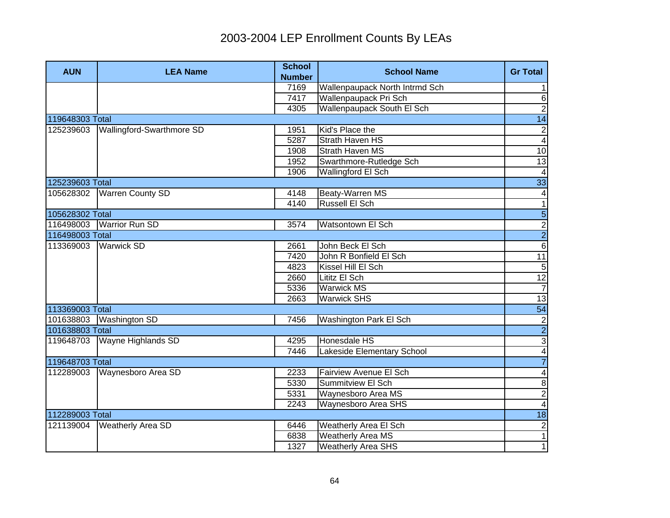| <b>AUN</b>      | <b>LEA Name</b>           | <b>School</b> | <b>School Name</b>             | <b>Gr Total</b>         |
|-----------------|---------------------------|---------------|--------------------------------|-------------------------|
|                 |                           | <b>Number</b> |                                |                         |
|                 |                           | 7169          | Wallenpaupack North Intrmd Sch | $\mathbf{1}$            |
|                 |                           | 7417          | Wallenpaupack Pri Sch          | 6                       |
| 119648303 Total |                           | 4305          | Wallenpaupack South El Sch     | $\overline{2}$          |
|                 |                           |               |                                | $\overline{14}$         |
| 125239603       | Wallingford-Swarthmore SD | 1951          | Kid's Place the                | $\mathbf{2}$            |
|                 |                           | 5287          | <b>Strath Haven HS</b>         | $\overline{\mathbf{4}}$ |
|                 |                           | 1908          | <b>Strath Haven MS</b>         | 10                      |
|                 |                           | 1952          | Swarthmore-Rutledge Sch        | 13                      |
|                 |                           | 1906          | Wallingford El Sch             | $\overline{\mathbf{4}}$ |
| 125239603 Total |                           |               |                                | 33                      |
| 105628302       | <b>Warren County SD</b>   | 4148          | <b>Beaty-Warren MS</b>         | $\overline{4}$          |
|                 |                           | 4140          | Russell El Sch                 | $\overline{1}$          |
| 105628302 Total |                           |               |                                | $\overline{5}$          |
|                 | 116498003 Warrior Run SD  | 3574          | Watsontown El Sch              | $\frac{2}{2}$           |
| 116498003 Total |                           |               |                                |                         |
| 113369003       | <b>Warwick SD</b>         | 2661          | John Beck El Sch               | $\overline{6}$          |
|                 |                           | 7420          | John R Bonfield El Sch         | 11                      |
|                 |                           | 4823          | Kissel Hill El Sch             | $\sqrt{5}$              |
|                 |                           | 2660          | Lititz El Sch                  | 12                      |
|                 |                           | 5336          | <b>Warwick MS</b>              | $\overline{7}$          |
|                 |                           | 2663          | <b>Warwick SHS</b>             | 13                      |
| 113369003 Total |                           |               |                                | $\overline{54}$         |
| 101638803       | <b>Washington SD</b>      | 7456          | Washington Park El Sch         |                         |
| 101638803 Total |                           |               |                                | $\frac{2}{4}$           |
| 119648703       | <b>Wayne Highlands SD</b> | 4295          | Honesdale HS                   |                         |
|                 |                           | 7446          | Lakeside Elementary School     |                         |
| 119648703 Total |                           |               |                                | $\overline{7}$          |
| 112289003       | Waynesboro Area SD        | 2233          | Fairview Avenue El Sch         | $\overline{\mathbf{4}}$ |
|                 |                           | 5330          | Summitview El Sch              | $\infty$                |
|                 |                           | 5331          | Waynesboro Area MS             | $\overline{2}$          |
|                 |                           | 2243          | Waynesboro Area SHS            | $\overline{\mathbf{4}}$ |
| 112289003 Total |                           |               |                                | 18                      |
| 121139004       | <b>Weatherly Area SD</b>  | 6446          | Weatherly Area El Sch          | $\mathbf{2}$            |
|                 |                           | 6838          | <b>Weatherly Area MS</b>       | $\overline{1}$          |
|                 |                           | 1327          | <b>Weatherly Area SHS</b>      | $\overline{1}$          |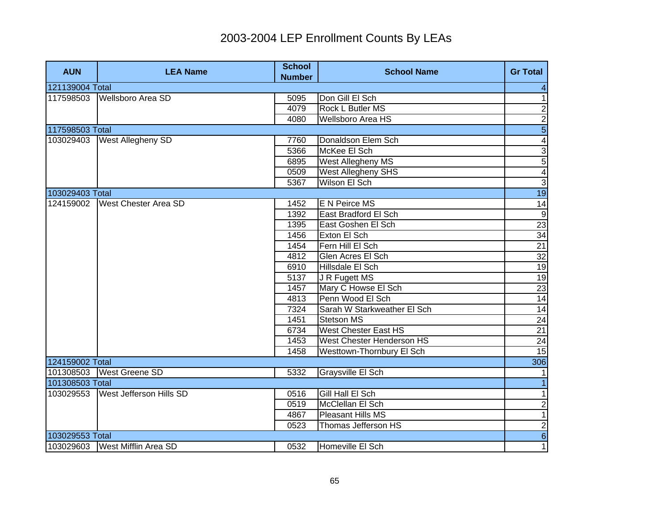| <b>AUN</b>      | <b>LEA Name</b>                | <b>School</b><br><b>Number</b> | <b>School Name</b>          | <b>Gr Total</b>               |
|-----------------|--------------------------------|--------------------------------|-----------------------------|-------------------------------|
| 121139004 Total |                                |                                |                             | 4                             |
| 117598503       | <b>Wellsboro Area SD</b>       | 5095                           | Don Gill El Sch             | $\overline{1}$                |
|                 |                                | 4079                           | Rock L Butler MS            | $\overline{2}$                |
|                 |                                | 4080                           | <b>Wellsboro Area HS</b>    | $\overline{2}$                |
| 117598503 Total |                                |                                |                             | $\overline{5}$                |
| 103029403       | West Allegheny SD              | 7760                           | Donaldson Elem Sch          | $\overline{4}$                |
|                 |                                | 5366                           | McKee El Sch                | $\overline{3}$                |
|                 |                                | 6895                           | West Allegheny MS           | 5                             |
|                 |                                | 0509                           | West Allegheny SHS          | $\overline{\mathbf{4}}$       |
|                 |                                | 5367                           | Wilson El Sch               | $\overline{3}$                |
| 103029403 Total |                                |                                |                             | 19                            |
| 124159002       | <b>West Chester Area SD</b>    | 1452                           | E N Peirce MS               |                               |
|                 |                                | 1392                           | East Bradford El Sch        |                               |
|                 |                                | 1395                           | East Goshen El Sch          |                               |
|                 |                                | 1456                           | Exton El Sch                | $rac{14}{23}$<br>$rac{9}{21}$ |
|                 |                                | 1454                           | Fern Hill El Sch            |                               |
|                 |                                | 4812                           | Glen Acres El Sch           | 32                            |
|                 |                                | 6910                           | Hillsdale El Sch            |                               |
|                 |                                | 5137                           | J R Fugett MS               | $\frac{19}{19}$               |
|                 |                                | 1457                           | Mary C Howse El Sch         | 23                            |
|                 |                                | 4813                           | Penn Wood El Sch            | 14                            |
|                 |                                | 7324                           | Sarah W Starkweather El Sch | 14                            |
|                 |                                | 1451                           | <b>Stetson MS</b>           | 24                            |
|                 |                                | 6734                           | <b>West Chester East HS</b> | 21                            |
|                 |                                | 1453                           | West Chester Henderson HS   | 24                            |
|                 |                                | 1458                           | Westtown-Thornbury El Sch   | 15                            |
| 124159002 Total |                                |                                |                             | 306                           |
| 101308503       | <b>West Greene SD</b>          | 5332                           | Graysville El Sch           |                               |
| 101308503 Total |                                |                                |                             |                               |
| 103029553       | <b>West Jefferson Hills SD</b> | 0516                           | Gill Hall El Sch            | $\mathbf 1$                   |
|                 |                                | 0519                           | McClellan El Sch            | $\overline{2}$                |
|                 |                                | 4867                           | Pleasant Hills MS           | $\overline{1}$                |
|                 |                                | 0523                           | Thomas Jefferson HS         | $\overline{2}$                |
| 103029553 Total |                                |                                |                             | $\overline{6}$                |
|                 | 103029603 West Mifflin Area SD | 0532                           | Homeville El Sch            | $\overline{1}$                |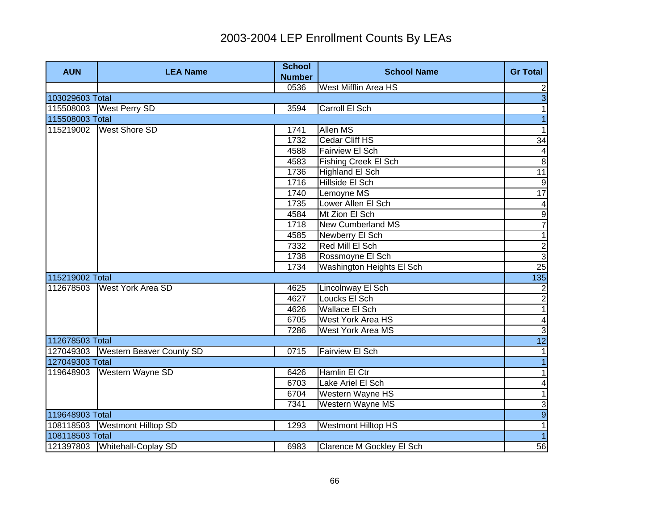| <b>AUN</b>      | <b>LEA Name</b>                    | <b>School</b><br><b>Number</b> | <b>School Name</b>          | <b>Gr Total</b>         |
|-----------------|------------------------------------|--------------------------------|-----------------------------|-------------------------|
|                 |                                    | 0536                           | West Mifflin Area HS        | $\mathbf{2}$            |
| 103029603 Total |                                    |                                |                             | $\overline{3}$          |
| 115508003       | <b>West Perry SD</b>               | 3594                           | Carroll El Sch              | 1                       |
| 115508003 Total |                                    |                                |                             | $\overline{1}$          |
|                 | 115219002 West Shore SD            | 1741                           | Allen MS                    | 1                       |
|                 |                                    | 1732                           | Cedar Cliff HS              | $\overline{34}$         |
|                 |                                    | 4588                           | Fairview El Sch             | $\overline{\mathbf{4}}$ |
|                 |                                    | 4583                           | <b>Fishing Creek El Sch</b> | $\infty$                |
|                 |                                    | 1736                           | <b>Highland El Sch</b>      | $\overline{11}$         |
|                 |                                    | 1716                           | Hillside El Sch             | ဖ                       |
|                 |                                    | 1740                           | Lemoyne MS                  | $\overline{17}$         |
|                 |                                    | 1735                           | Lower Allen El Sch          | $\overline{\mathbf{4}}$ |
|                 |                                    | 4584                           | Mt Zion El Sch              | $\overline{9}$          |
|                 |                                    | 1718                           | <b>New Cumberland MS</b>    | $\overline{7}$          |
|                 |                                    | 4585                           | Newberry El Sch             | $\mathbf{1}$            |
|                 |                                    | 7332                           | Red Mill El Sch             | $\overline{2}$          |
|                 |                                    | 1738                           | Rossmoyne El Sch            | $\overline{3}$          |
|                 |                                    | 1734                           | Washington Heights El Sch   | 25                      |
| 115219002 Total |                                    |                                |                             | 135                     |
| 112678503       | <b>West York Area SD</b>           | 4625                           | Lincolnway El Sch           |                         |
|                 |                                    | 4627                           | Loucks El Sch               | $\frac{2}{1}$           |
|                 |                                    | 4626                           | <b>Wallace El Sch</b>       |                         |
|                 |                                    | 6705                           | West York Area HS           | $\overline{\mathbf{A}}$ |
|                 |                                    | 7286                           | <b>West York Area MS</b>    | $\overline{3}$          |
| 112678503 Total |                                    |                                |                             | 12                      |
|                 | 127049303 Western Beaver County SD | 0715                           | <b>Fairview El Sch</b>      | $\mathbf{1}$            |
| 127049303 Total |                                    |                                |                             | $\overline{1}$          |
| 119648903       | Western Wayne SD                   | 6426                           | Hamlin El Ctr               | 1                       |
|                 |                                    | 6703                           | Lake Ariel El Sch           | $\vert 4 \vert$         |
|                 |                                    | 6704                           | Western Wayne HS            | 1                       |
|                 |                                    | 7341                           | Western Wayne MS            | 3                       |
| 119648903 Total |                                    |                                |                             | $\overline{9}$          |
|                 | 108118503 Westmont Hilltop SD      | 1293                           | <b>Westmont Hilltop HS</b>  | $\overline{1}$          |
| 108118503 Total |                                    |                                |                             | $\overline{1}$          |
|                 | 121397803 Whitehall-Coplay SD      | 6983                           | Clarence M Gockley El Sch   | 56                      |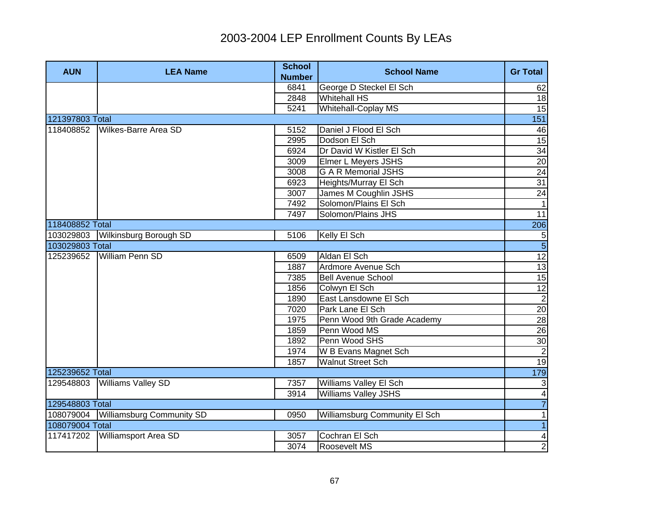| <b>AUN</b>      | <b>LEA Name</b>                     | <b>School</b> | <b>School Name</b>            | <b>Gr Total</b> |
|-----------------|-------------------------------------|---------------|-------------------------------|-----------------|
|                 |                                     | <b>Number</b> |                               |                 |
|                 |                                     | 6841          | George D Steckel El Sch       | 62              |
|                 |                                     | 2848          | <b>Whitehall HS</b>           | 18              |
|                 |                                     | 5241          | Whitehall-Coplay MS           | $\overline{15}$ |
| 121397803 Total |                                     |               |                               | 151             |
| 118408852       | Wilkes-Barre Area SD                | 5152          | Daniel J Flood El Sch         | 46              |
|                 |                                     | 2995          | Dodson El Sch                 | $\overline{15}$ |
|                 |                                     | 6924          | Dr David W Kistler El Sch     | 34              |
|                 |                                     | 3009          | <b>Elmer L Meyers JSHS</b>    | $\overline{20}$ |
|                 |                                     | 3008          | <b>G A R Memorial JSHS</b>    | 24              |
|                 |                                     | 6923          | Heights/Murray El Sch         | 31              |
|                 |                                     | 3007          | James M Coughlin JSHS         | 24              |
|                 |                                     | 7492          | Solomon/Plains El Sch         | $\mathbf{1}$    |
|                 |                                     | 7497          | Solomon/Plains JHS            | 11              |
| 118408852 Total |                                     |               |                               | 206             |
|                 | 103029803 Wilkinsburg Borough SD    | 5106          | Kelly El Sch                  |                 |
| 103029803 Total |                                     |               |                               | $\frac{5}{5}$   |
| 125239652       | <b>William Penn SD</b>              | 6509          | Aldan El Sch                  | $\overline{12}$ |
|                 |                                     | 1887          | Ardmore Avenue Sch            | 13              |
|                 |                                     | 7385          | <b>Bell Avenue School</b>     | 15              |
|                 |                                     | 1856          | Colwyn El Sch                 |                 |
|                 |                                     | 1890          | East Lansdowne El Sch         | $\frac{12}{2}$  |
|                 |                                     | 7020          | Park Lane El Sch              | 20              |
|                 |                                     | 1975          | Penn Wood 9th Grade Academy   | 28              |
|                 |                                     | 1859          | Penn Wood MS                  | 26              |
|                 |                                     | 1892          | Penn Wood SHS                 | 30              |
|                 |                                     | 1974          | W B Evans Magnet Sch          | $\overline{c}$  |
|                 |                                     | 1857          | <b>Walnut Street Sch</b>      | 19              |
| 125239652 Total |                                     |               |                               | 179             |
| 129548803       | <b>Williams Valley SD</b>           | 7357          | <b>Williams Valley El Sch</b> | دى              |
|                 |                                     | 3914          | Williams Valley JSHS          | $\vert 4 \vert$ |
| 129548803 Total |                                     |               |                               | $\overline{7}$  |
|                 | 108079004 Williamsburg Community SD | 0950          | Williamsburg Community El Sch | 1               |
| 108079004 Total |                                     |               |                               | $\overline{1}$  |
| 117417202       | Williamsport Area SD                | 3057          | Cochran El Sch                | $\vert 4 \vert$ |
|                 |                                     | 3074          | Roosevelt MS                  | $\overline{2}$  |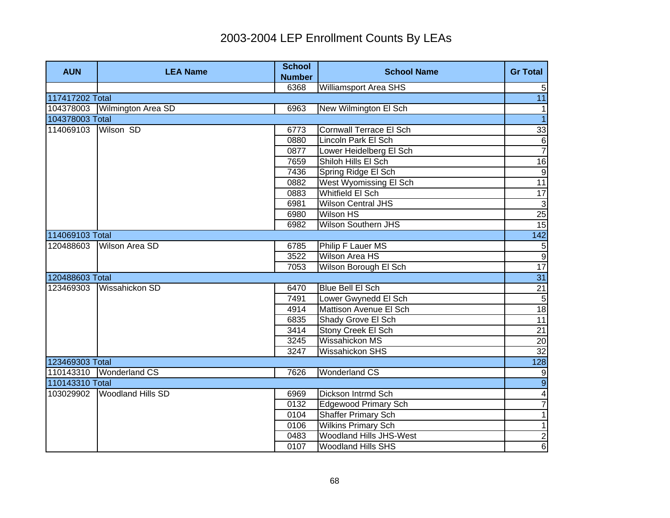| <b>AUN</b>      | <b>LEA Name</b>          | <b>School</b><br><b>Number</b> | <b>School Name</b>             | <b>Gr Total</b>         |
|-----------------|--------------------------|--------------------------------|--------------------------------|-------------------------|
|                 |                          | 6368                           | <b>Williamsport Area SHS</b>   | 5                       |
| 117417202 Total |                          |                                |                                | $\overline{11}$         |
| 104378003       | Wilmington Area SD       | 6963                           | New Wilmington El Sch          | $\mathbf{1}$            |
| 104378003 Total |                          |                                |                                | $\overline{1}$          |
| 114069103       | Wilson SD                | 6773                           | <b>Cornwall Terrace El Sch</b> | 33                      |
|                 |                          | 0880                           | Lincoln Park El Sch            | $\,6$                   |
|                 |                          | 0877                           | Lower Heidelberg El Sch        | $\overline{7}$          |
|                 |                          | 7659                           | Shiloh Hills El Sch            | 16                      |
|                 |                          | 7436                           | Spring Ridge El Sch            | g                       |
|                 |                          | 0882                           | West Wyomissing El Sch         | $\overline{11}$         |
|                 |                          | 0883                           | Whitfield El Sch               | $\overline{17}$         |
|                 |                          | 6981                           | Wilson Central JHS             | $\overline{3}$          |
|                 |                          | 6980                           | <b>Wilson HS</b>               | 25                      |
|                 |                          | 6982                           | <b>Wilson Southern JHS</b>     | 15                      |
| 114069103 Total |                          |                                |                                | 142                     |
| 120488603       | <b>Wilson Area SD</b>    | 6785                           | Philip F Lauer MS              | $\frac{5}{9}$           |
|                 |                          | 3522                           | <b>Wilson Area HS</b>          |                         |
|                 |                          | 7053                           | Wilson Borough El Sch          | 17                      |
| 120488603 Total |                          |                                |                                | $\overline{31}$         |
| 123469303       | Wissahickon SD           | 6470                           | <b>Blue Bell El Sch</b>        | 21                      |
|                 |                          | 7491                           | Lower Gwynedd El Sch           | $\sqrt{5}$              |
|                 |                          | 4914                           | Mattison Avenue El Sch         | 18                      |
|                 |                          | 6835                           | Shady Grove El Sch             | 11                      |
|                 |                          | 3414                           | Stony Creek El Sch             | 21                      |
|                 |                          | 3245                           | Wissahickon MS                 | 20                      |
|                 |                          | 3247                           | Wissahickon SHS                | 32                      |
| 123469303 Total |                          |                                |                                | 128                     |
|                 | 110143310 Wonderland CS  | 7626                           | Wonderland CS                  | 9                       |
| 110143310 Total |                          |                                |                                | $\overline{9}$          |
| 103029902       | <b>Woodland Hills SD</b> | 6969                           | Dickson Intrmd Sch             | $\overline{\mathbf{A}}$ |
|                 |                          | 0132                           | <b>Edgewood Primary Sch</b>    | $\overline{7}$          |
|                 |                          | 0104                           | <b>Shaffer Primary Sch</b>     | 1                       |
|                 |                          | 0106                           | <b>Wilkins Primary Sch</b>     | $\overline{1}$          |
|                 |                          | 0483                           | Woodland Hills JHS-West        | $\overline{2}$          |
|                 |                          | 0107                           | <b>Woodland Hills SHS</b>      | $\overline{6}$          |